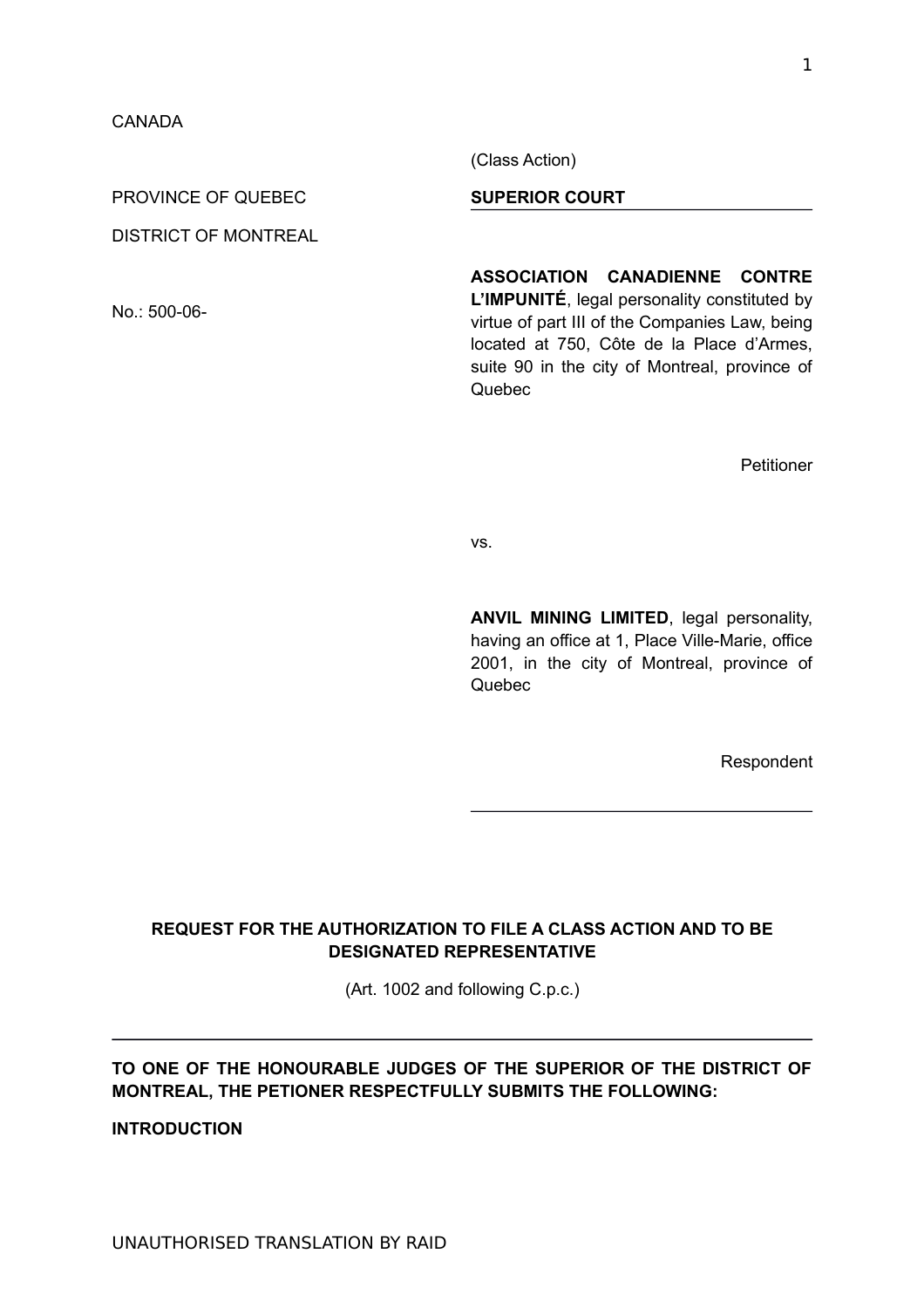(Class Action)

PROVINCE OF QUEBEC

DISTRICT OF MONTREAL

No.: 500-06-

**SUPERIOR COURT**

**ASSOCIATION CANADIENNE CONTRE L'IMPUNITÉ**, legal personality constituted by virtue of part III of the Companies Law, being located at 750, Côte de la Place d'Armes, suite 90 in the city of Montreal, province of Quebec

Petitioner

vs.

**ANVIL MINING LIMITED**, legal personality, having an office at 1, Place Ville-Marie, office 2001, in the city of Montreal, province of Quebec

Respondent

## **REQUEST FOR THE AUTHORIZATION TO FILE A CLASS ACTION AND TO BE DESIGNATED REPRESENTATIVE**

(Art. 1002 and following C.p.c.)

# **TO ONE OF THE HONOURABLE JUDGES OF THE SUPERIOR OF THE DISTRICT OF MONTREAL, THE PETIONER RESPECTFULLY SUBMITS THE FOLLOWING:**

**INTRODUCTION**

1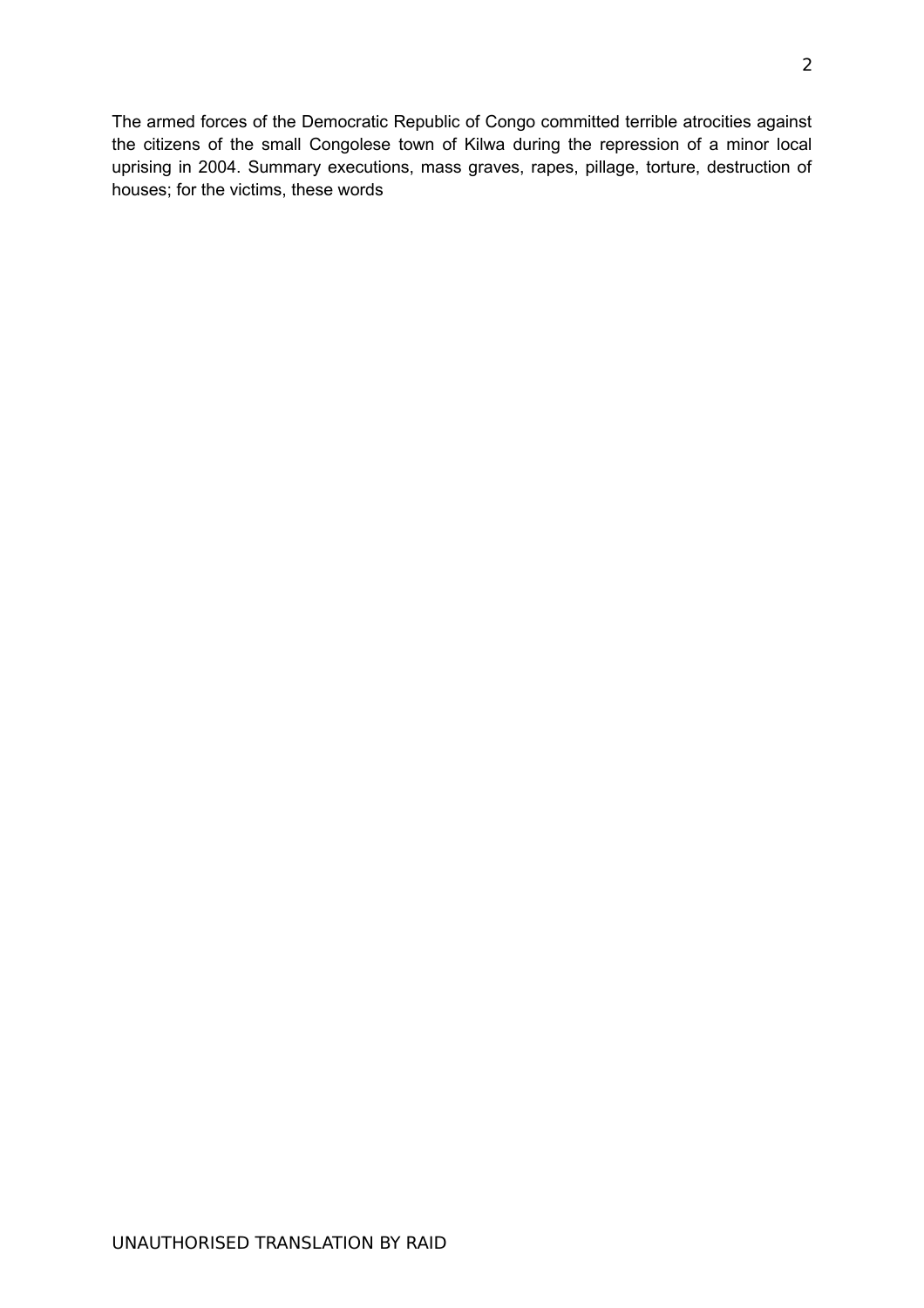The armed forces of the Democratic Republic of Congo committed terrible atrocities against the citizens of the small Congolese town of Kilwa during the repression of a minor local uprising in 2004. Summary executions, mass graves, rapes, pillage, torture, destruction of houses; for the victims, these words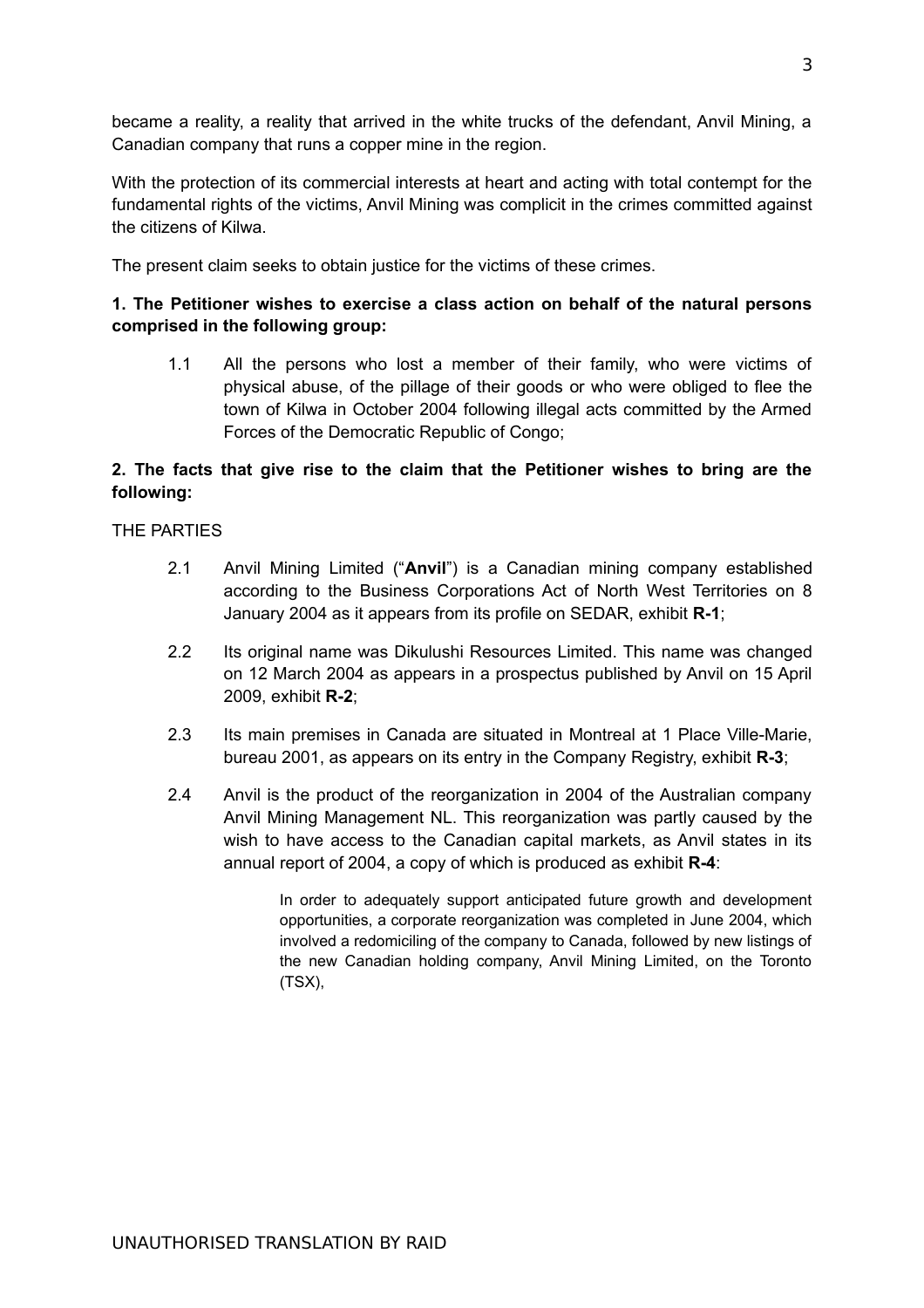became a reality, a reality that arrived in the white trucks of the defendant, Anvil Mining, a Canadian company that runs a copper mine in the region.

With the protection of its commercial interests at heart and acting with total contempt for the fundamental rights of the victims, Anvil Mining was complicit in the crimes committed against the citizens of Kilwa.

The present claim seeks to obtain justice for the victims of these crimes.

# **1. The Petitioner wishes to exercise a class action on behalf of the natural persons comprised in the following group:**

1.1 All the persons who lost a member of their family, who were victims of physical abuse, of the pillage of their goods or who were obliged to flee the town of Kilwa in October 2004 following illegal acts committed by the Armed Forces of the Democratic Republic of Congo;

# **2. The facts that give rise to the claim that the Petitioner wishes to bring are the following:**

### THE PARTIES

- 2.1 Anvil Mining Limited ("**Anvil**") is a Canadian mining company established according to the Business Corporations Act of North West Territories on 8 January 2004 as it appears from its profile on SEDAR, exhibit **R-1**;
- 2.2 Its original name was Dikulushi Resources Limited. This name was changed on 12 March 2004 as appears in a prospectus published by Anvil on 15 April 2009, exhibit **R-2**;
- 2.3 Its main premises in Canada are situated in Montreal at 1 Place Ville-Marie, bureau 2001, as appears on its entry in the Company Registry, exhibit **R-3**;
- 2.4 Anvil is the product of the reorganization in 2004 of the Australian company Anvil Mining Management NL. This reorganization was partly caused by the wish to have access to the Canadian capital markets, as Anvil states in its annual report of 2004, a copy of which is produced as exhibit **R-4**:

In order to adequately support anticipated future growth and development opportunities, a corporate reorganization was completed in June 2004, which involved a redomiciling of the company to Canada, followed by new listings of the new Canadian holding company, Anvil Mining Limited, on the Toronto (TSX),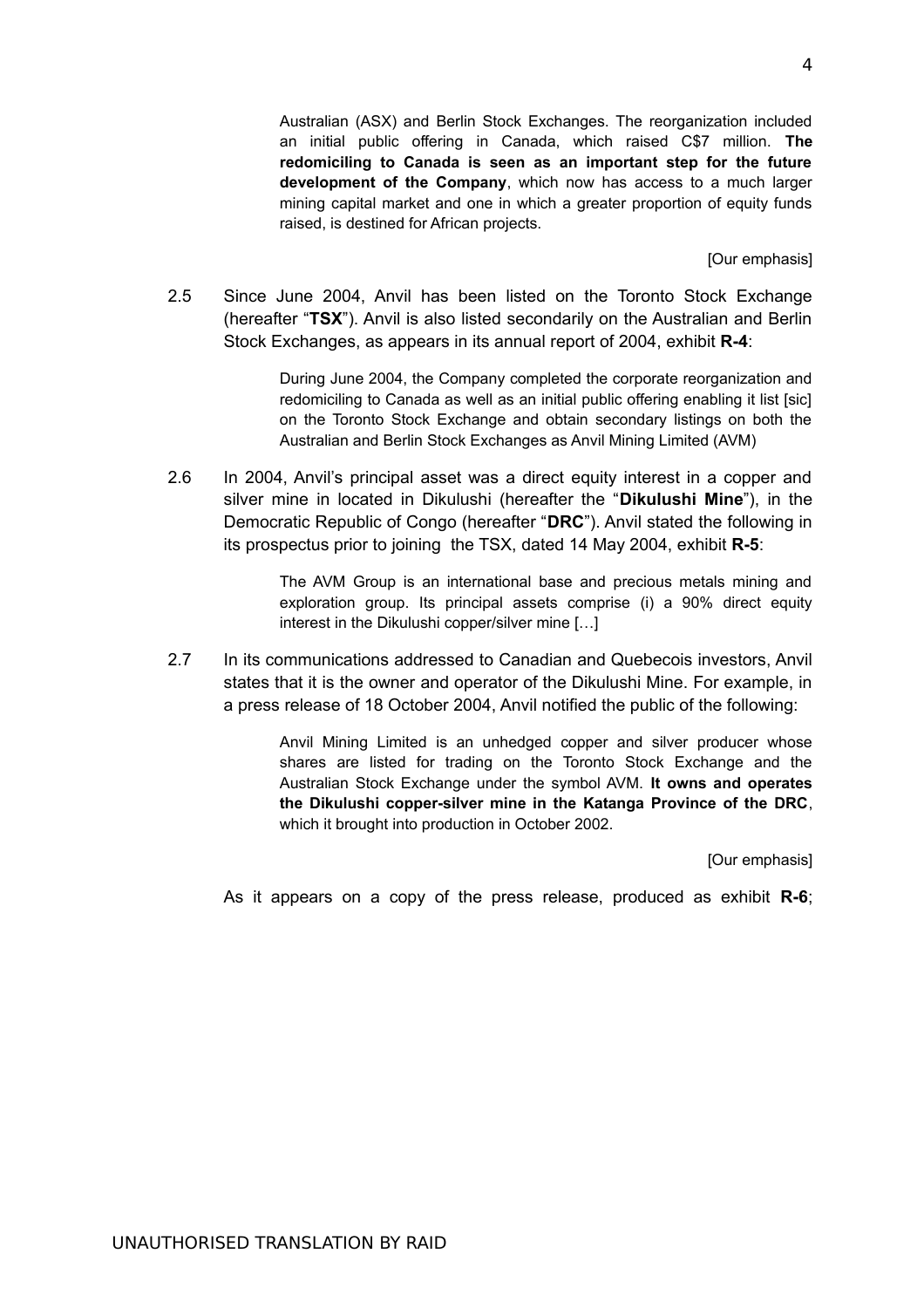Australian (ASX) and Berlin Stock Exchanges. The reorganization included an initial public offering in Canada, which raised C\$7 million. **The redomiciling to Canada is seen as an important step for the future development of the Company**, which now has access to a much larger mining capital market and one in which a greater proportion of equity funds raised, is destined for African projects.

[Our emphasis]

2.5 Since June 2004, Anvil has been listed on the Toronto Stock Exchange (hereafter "**TSX**"). Anvil is also listed secondarily on the Australian and Berlin Stock Exchanges, as appears in its annual report of 2004, exhibit **R-4**:

> During June 2004, the Company completed the corporate reorganization and redomiciling to Canada as well as an initial public offering enabling it list [sic] on the Toronto Stock Exchange and obtain secondary listings on both the Australian and Berlin Stock Exchanges as Anvil Mining Limited (AVM)

2.6 In 2004, Anvil's principal asset was a direct equity interest in a copper and silver mine in located in Dikulushi (hereafter the "**Dikulushi Mine**"), in the Democratic Republic of Congo (hereafter "**DRC**"). Anvil stated the following in its prospectus prior to joining the TSX, dated 14 May 2004, exhibit **R-5**:

> The AVM Group is an international base and precious metals mining and exploration group. Its principal assets comprise (i) a 90% direct equity interest in the Dikulushi copper/silver mine […]

2.7 In its communications addressed to Canadian and Quebecois investors, Anvil states that it is the owner and operator of the Dikulushi Mine. For example, in a press release of 18 October 2004, Anvil notified the public of the following:

> Anvil Mining Limited is an unhedged copper and silver producer whose shares are listed for trading on the Toronto Stock Exchange and the Australian Stock Exchange under the symbol AVM. **It owns and operates the Dikulushi copper-silver mine in the Katanga Province of the DRC**, which it brought into production in October 2002.

> > [Our emphasis]

As it appears on a copy of the press release, produced as exhibit **R-6**;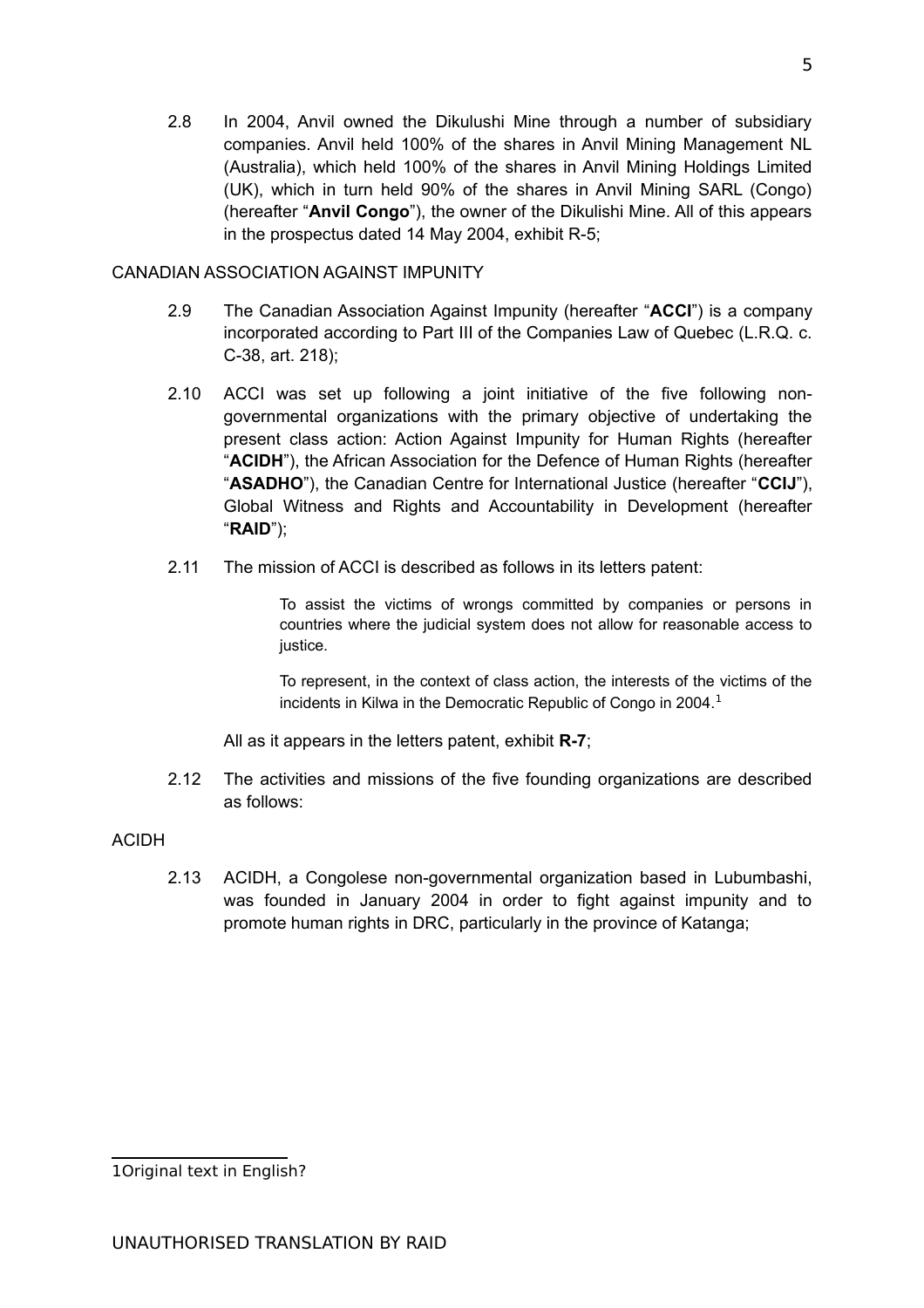2.8 In 2004, Anvil owned the Dikulushi Mine through a number of subsidiary companies. Anvil held 100% of the shares in Anvil Mining Management NL (Australia), which held 100% of the shares in Anvil Mining Holdings Limited (UK), which in turn held 90% of the shares in Anvil Mining SARL (Congo) (hereafter "**Anvil Congo**"), the owner of the Dikulishi Mine. All of this appears in the prospectus dated 14 May 2004, exhibit R-5;

# CANADIAN ASSOCIATION AGAINST IMPUNITY

- 2.9 The Canadian Association Against Impunity (hereafter "**ACCI**") is a company incorporated according to Part III of the Companies Law of Quebec (L.R.Q. c. C-38, art. 218);
- 2.10 ACCI was set up following a joint initiative of the five following nongovernmental organizations with the primary objective of undertaking the present class action: Action Against Impunity for Human Rights (hereafter "**ACIDH**"), the African Association for the Defence of Human Rights (hereafter "**ASADHO**"), the Canadian Centre for International Justice (hereafter "**CCIJ**"), Global Witness and Rights and Accountability in Development (hereafter "**RAID**");
- 2.11 The mission of ACCI is described as follows in its letters patent:

To assist the victims of wrongs committed by companies or persons in countries where the judicial system does not allow for reasonable access to justice.

To represent, in the context of class action, the interests of the victims of the incidents in Kilwa in the Democratic Republic of Congo in 2004. $<sup>1</sup>$  $<sup>1</sup>$  $<sup>1</sup>$ </sup>

All as it appears in the letters patent, exhibit **R-7**;

2.12 The activities and missions of the five founding organizations are described as follows:

# ACIDH

2.13 ACIDH, a Congolese non-governmental organization based in Lubumbashi, was founded in January 2004 in order to fight against impunity and to promote human rights in DRC, particularly in the province of Katanga;

<span id="page-4-0"></span><sup>1</sup> Original text in English?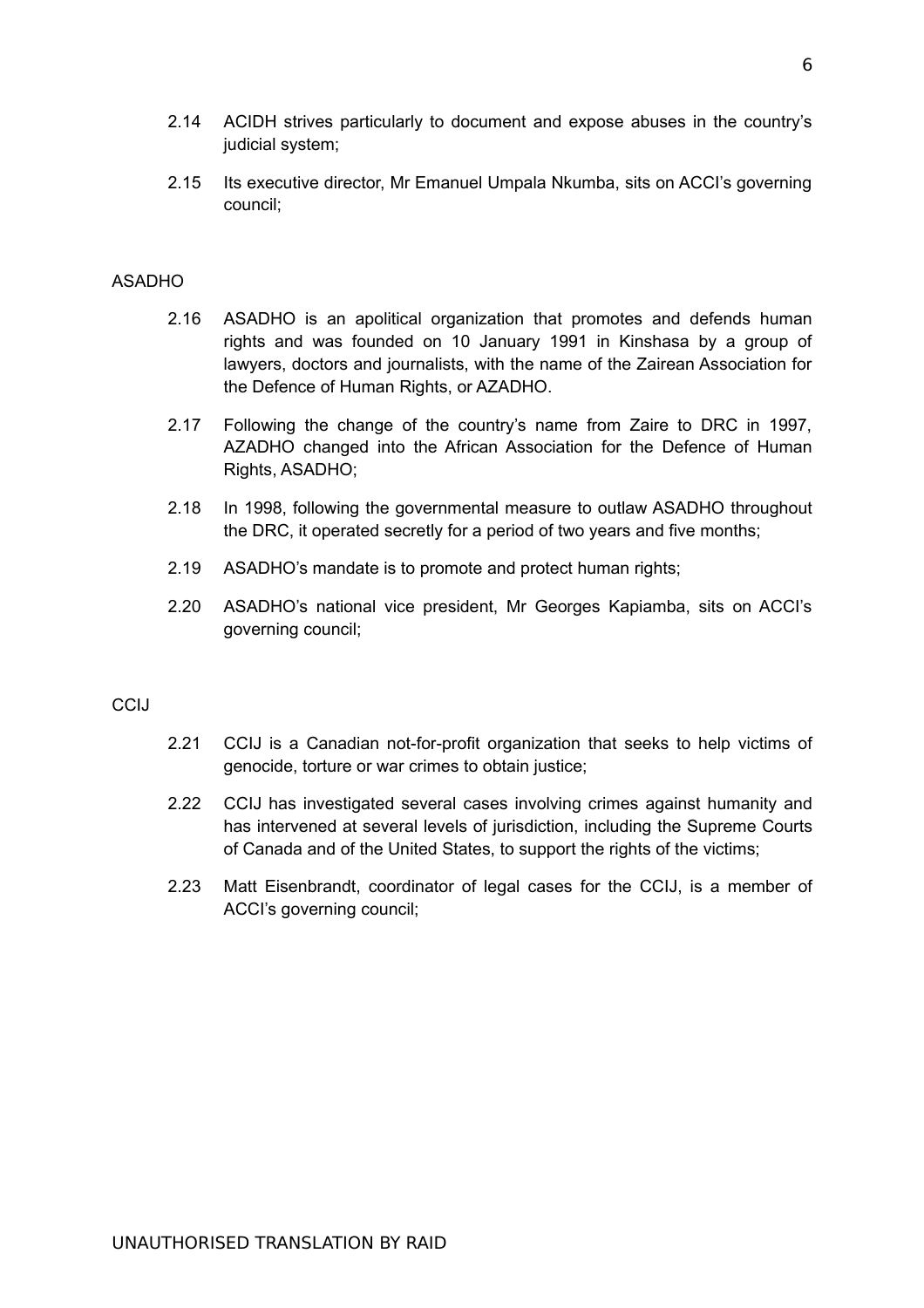- 2.14 ACIDH strives particularly to document and expose abuses in the country's judicial system;
- 2.15 Its executive director, Mr Emanuel Umpala Nkumba, sits on ACCI's governing council;

### ASADHO

- 2.16 ASADHO is an apolitical organization that promotes and defends human rights and was founded on 10 January 1991 in Kinshasa by a group of lawyers, doctors and journalists, with the name of the Zairean Association for the Defence of Human Rights, or AZADHO.
- 2.17 Following the change of the country's name from Zaire to DRC in 1997, AZADHO changed into the African Association for the Defence of Human Rights, ASADHO;
- 2.18 In 1998, following the governmental measure to outlaw ASADHO throughout the DRC, it operated secretly for a period of two years and five months;
- 2.19 ASADHO's mandate is to promote and protect human rights;
- 2.20 ASADHO's national vice president, Mr Georges Kapiamba, sits on ACCI's governing council;

## **CCIJ**

- 2.21 CCIJ is a Canadian not-for-profit organization that seeks to help victims of genocide, torture or war crimes to obtain justice;
- 2.22 CCIJ has investigated several cases involving crimes against humanity and has intervened at several levels of jurisdiction, including the Supreme Courts of Canada and of the United States, to support the rights of the victims;
- 2.23 Matt Eisenbrandt, coordinator of legal cases for the CCIJ, is a member of ACCI's governing council;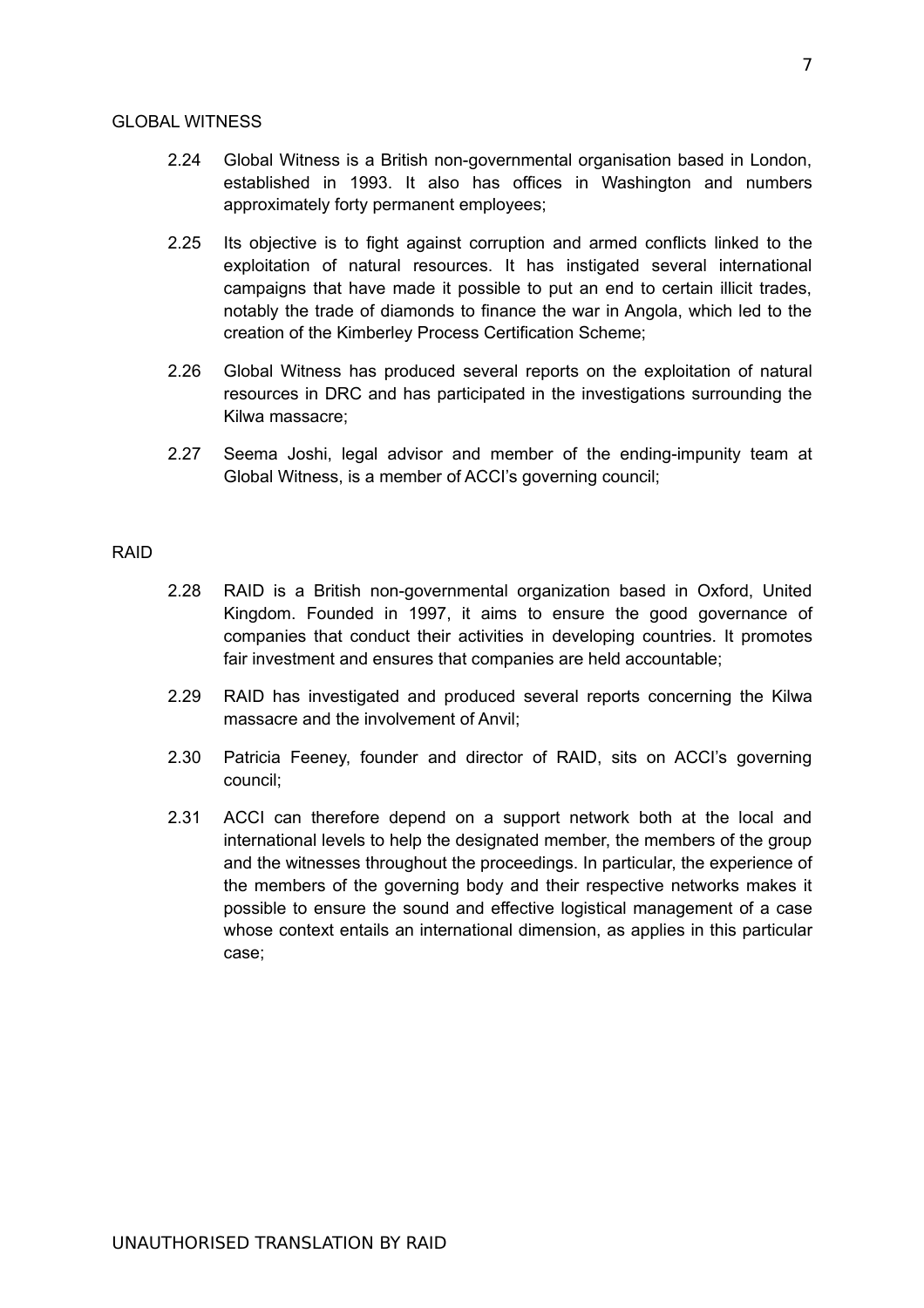### GLOBAL WITNESS

- 2.24 Global Witness is a British non-governmental organisation based in London, established in 1993. It also has offices in Washington and numbers approximately forty permanent employees;
- 2.25 Its objective is to fight against corruption and armed conflicts linked to the exploitation of natural resources. It has instigated several international campaigns that have made it possible to put an end to certain illicit trades, notably the trade of diamonds to finance the war in Angola, which led to the creation of the Kimberley Process Certification Scheme;
- 2.26 Global Witness has produced several reports on the exploitation of natural resources in DRC and has participated in the investigations surrounding the Kilwa massacre;
- 2.27 Seema Joshi, legal advisor and member of the ending-impunity team at Global Witness, is a member of ACCI's governing council;

## RAID

- 2.28 RAID is a British non-governmental organization based in Oxford, United Kingdom. Founded in 1997, it aims to ensure the good governance of companies that conduct their activities in developing countries. It promotes fair investment and ensures that companies are held accountable;
- 2.29 RAID has investigated and produced several reports concerning the Kilwa massacre and the involvement of Anvil;
- 2.30 Patricia Feeney, founder and director of RAID, sits on ACCI's governing council;
- 2.31 ACCI can therefore depend on a support network both at the local and international levels to help the designated member, the members of the group and the witnesses throughout the proceedings. In particular, the experience of the members of the governing body and their respective networks makes it possible to ensure the sound and effective logistical management of a case whose context entails an international dimension, as applies in this particular case;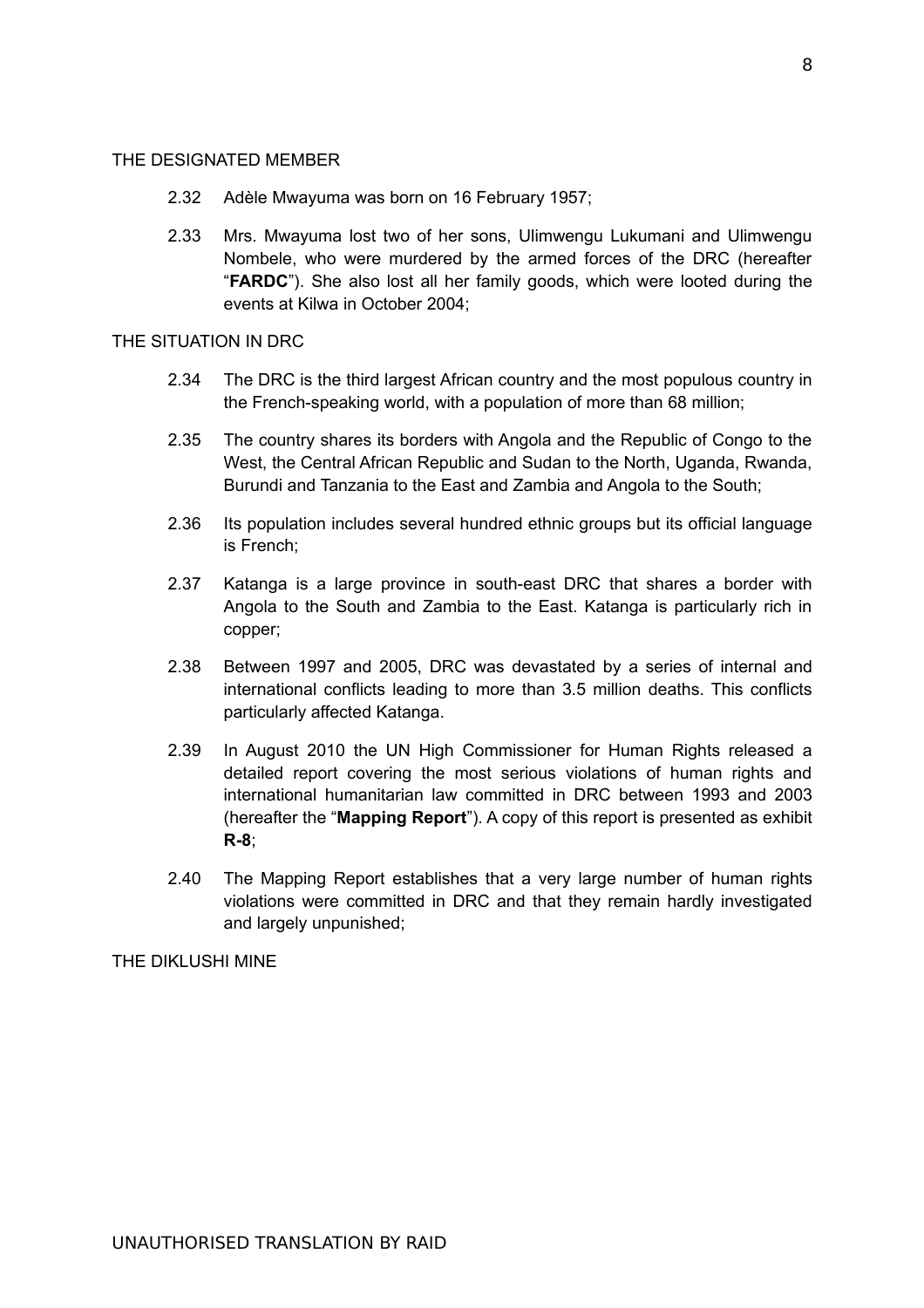### THE DESIGNATED MEMBER

- 2.32 Adèle Mwayuma was born on 16 February 1957;
- 2.33 Mrs. Mwayuma lost two of her sons, Ulimwengu Lukumani and Ulimwengu Nombele, who were murdered by the armed forces of the DRC (hereafter "**FARDC**"). She also lost all her family goods, which were looted during the events at Kilwa in October 2004;

### THE SITUATION IN DRC

- 2.34 The DRC is the third largest African country and the most populous country in the French-speaking world, with a population of more than 68 million;
- 2.35 The country shares its borders with Angola and the Republic of Congo to the West, the Central African Republic and Sudan to the North, Uganda, Rwanda, Burundi and Tanzania to the East and Zambia and Angola to the South;
- 2.36 Its population includes several hundred ethnic groups but its official language is French;
- 2.37 Katanga is a large province in south-east DRC that shares a border with Angola to the South and Zambia to the East. Katanga is particularly rich in copper;
- 2.38 Between 1997 and 2005, DRC was devastated by a series of internal and international conflicts leading to more than 3.5 million deaths. This conflicts particularly affected Katanga.
- 2.39 In August 2010 the UN High Commissioner for Human Rights released a detailed report covering the most serious violations of human rights and international humanitarian law committed in DRC between 1993 and 2003 (hereafter the "**Mapping Report**"). A copy of this report is presented as exhibit **R-8**;
- 2.40 The Mapping Report establishes that a very large number of human rights violations were committed in DRC and that they remain hardly investigated and largely unpunished;

THE DIKLUSHI MINE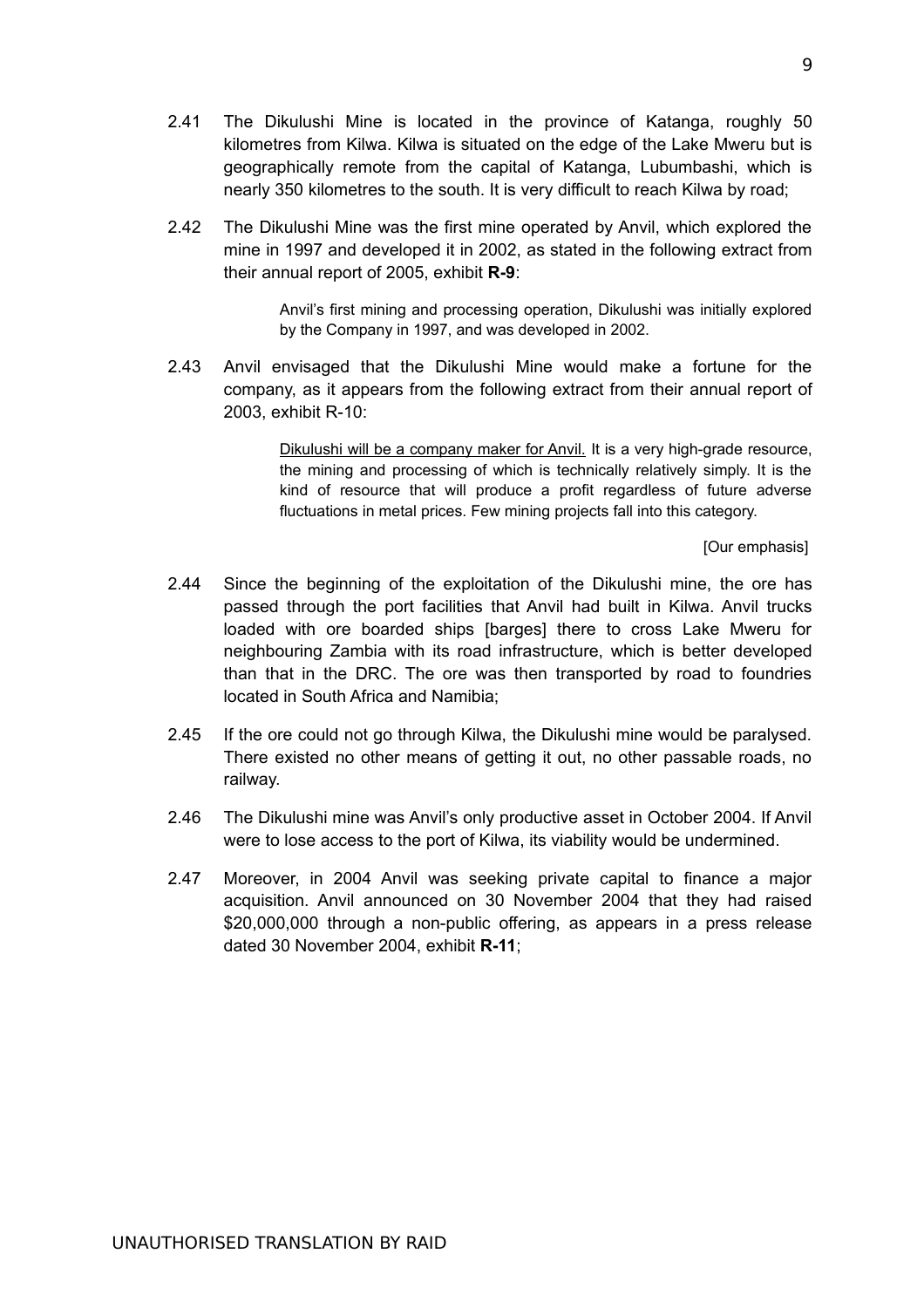9

- 2.41 The Dikulushi Mine is located in the province of Katanga, roughly 50 kilometres from Kilwa. Kilwa is situated on the edge of the Lake Mweru but is geographically remote from the capital of Katanga, Lubumbashi, which is nearly 350 kilometres to the south. It is very difficult to reach Kilwa by road;
- 2.42 The Dikulushi Mine was the first mine operated by Anvil, which explored the mine in 1997 and developed it in 2002, as stated in the following extract from their annual report of 2005, exhibit **R-9**:

Anvil's first mining and processing operation, Dikulushi was initially explored by the Company in 1997, and was developed in 2002.

2.43 Anvil envisaged that the Dikulushi Mine would make a fortune for the company, as it appears from the following extract from their annual report of 2003, exhibit R-10:

> Dikulushi will be a company maker for Anvil. It is a very high-grade resource, the mining and processing of which is technically relatively simply. It is the kind of resource that will produce a profit regardless of future adverse fluctuations in metal prices. Few mining projects fall into this category.

> > [Our emphasis]

- 2.44 Since the beginning of the exploitation of the Dikulushi mine, the ore has passed through the port facilities that Anvil had built in Kilwa. Anvil trucks loaded with ore boarded ships [barges] there to cross Lake Mweru for neighbouring Zambia with its road infrastructure, which is better developed than that in the DRC. The ore was then transported by road to foundries located in South Africa and Namibia;
- 2.45 If the ore could not go through Kilwa, the Dikulushi mine would be paralysed. There existed no other means of getting it out, no other passable roads, no railway.
- 2.46 The Dikulushi mine was Anvil's only productive asset in October 2004. If Anvil were to lose access to the port of Kilwa, its viability would be undermined.
- 2.47 Moreover, in 2004 Anvil was seeking private capital to finance a major acquisition. Anvil announced on 30 November 2004 that they had raised \$20,000,000 through a non-public offering, as appears in a press release dated 30 November 2004, exhibit **R-11**;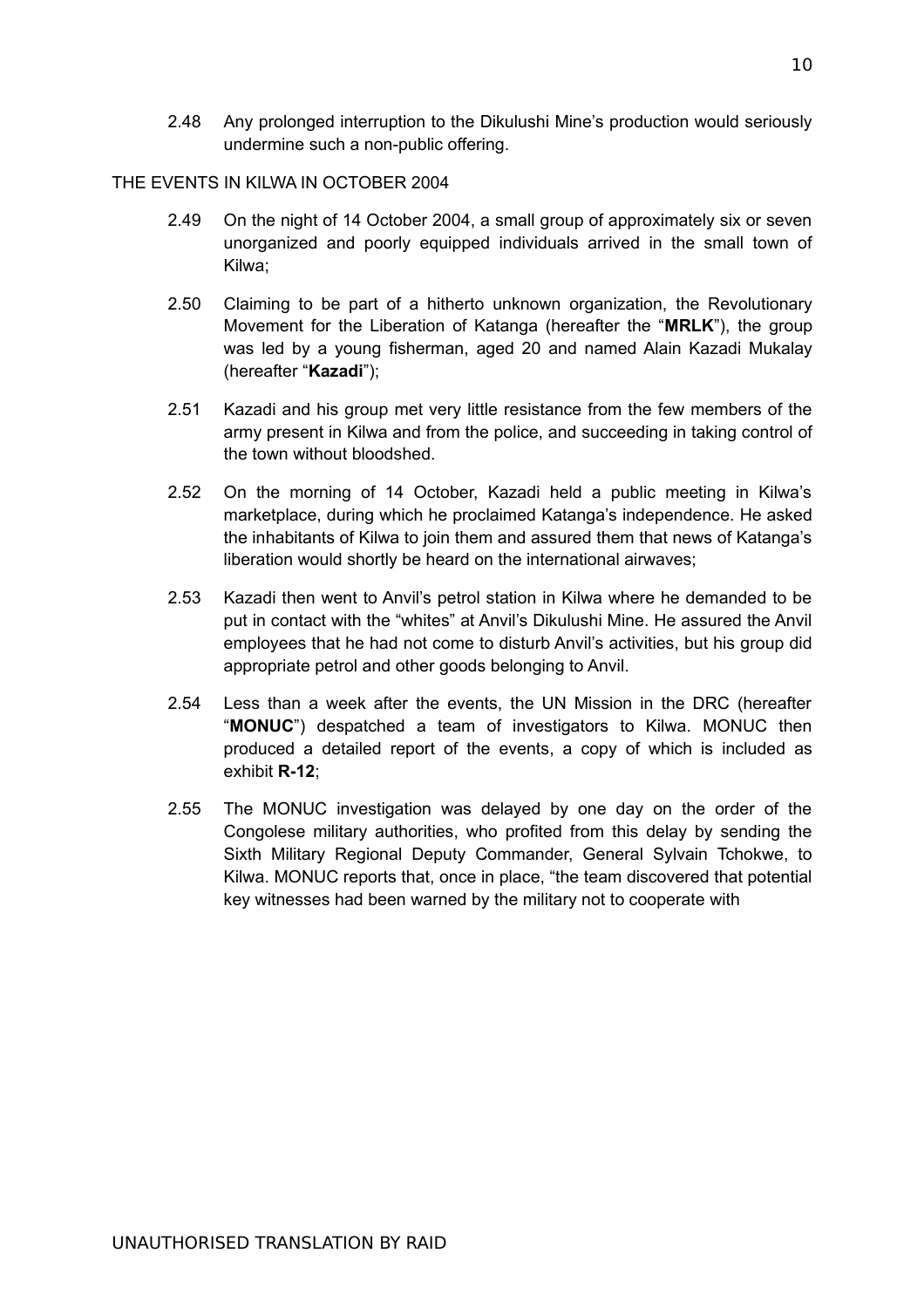2.48 Any prolonged interruption to the Dikulushi Mine's production would seriously undermine such a non-public offering.

# THE EVENTS IN KILWA IN OCTOBER 2004

- 2.49 On the night of 14 October 2004, a small group of approximately six or seven unorganized and poorly equipped individuals arrived in the small town of Kilwa;
- 2.50 Claiming to be part of a hitherto unknown organization, the Revolutionary Movement for the Liberation of Katanga (hereafter the "**MRLK**"), the group was led by a young fisherman, aged 20 and named Alain Kazadi Mukalay (hereafter "**Kazadi**");
- 2.51 Kazadi and his group met very little resistance from the few members of the army present in Kilwa and from the police, and succeeding in taking control of the town without bloodshed.
- 2.52 On the morning of 14 October, Kazadi held a public meeting in Kilwa's marketplace, during which he proclaimed Katanga's independence. He asked the inhabitants of Kilwa to join them and assured them that news of Katanga's liberation would shortly be heard on the international airwaves;
- 2.53 Kazadi then went to Anvil's petrol station in Kilwa where he demanded to be put in contact with the "whites" at Anvil's Dikulushi Mine. He assured the Anvil employees that he had not come to disturb Anvil's activities, but his group did appropriate petrol and other goods belonging to Anvil.
- 2.54 Less than a week after the events, the UN Mission in the DRC (hereafter "**MONUC**") despatched a team of investigators to Kilwa. MONUC then produced a detailed report of the events, a copy of which is included as exhibit **R-12**;
- 2.55 The MONUC investigation was delayed by one day on the order of the Congolese military authorities, who profited from this delay by sending the Sixth Military Regional Deputy Commander, General Sylvain Tchokwe, to Kilwa. MONUC reports that, once in place, "the team discovered that potential key witnesses had been warned by the military not to cooperate with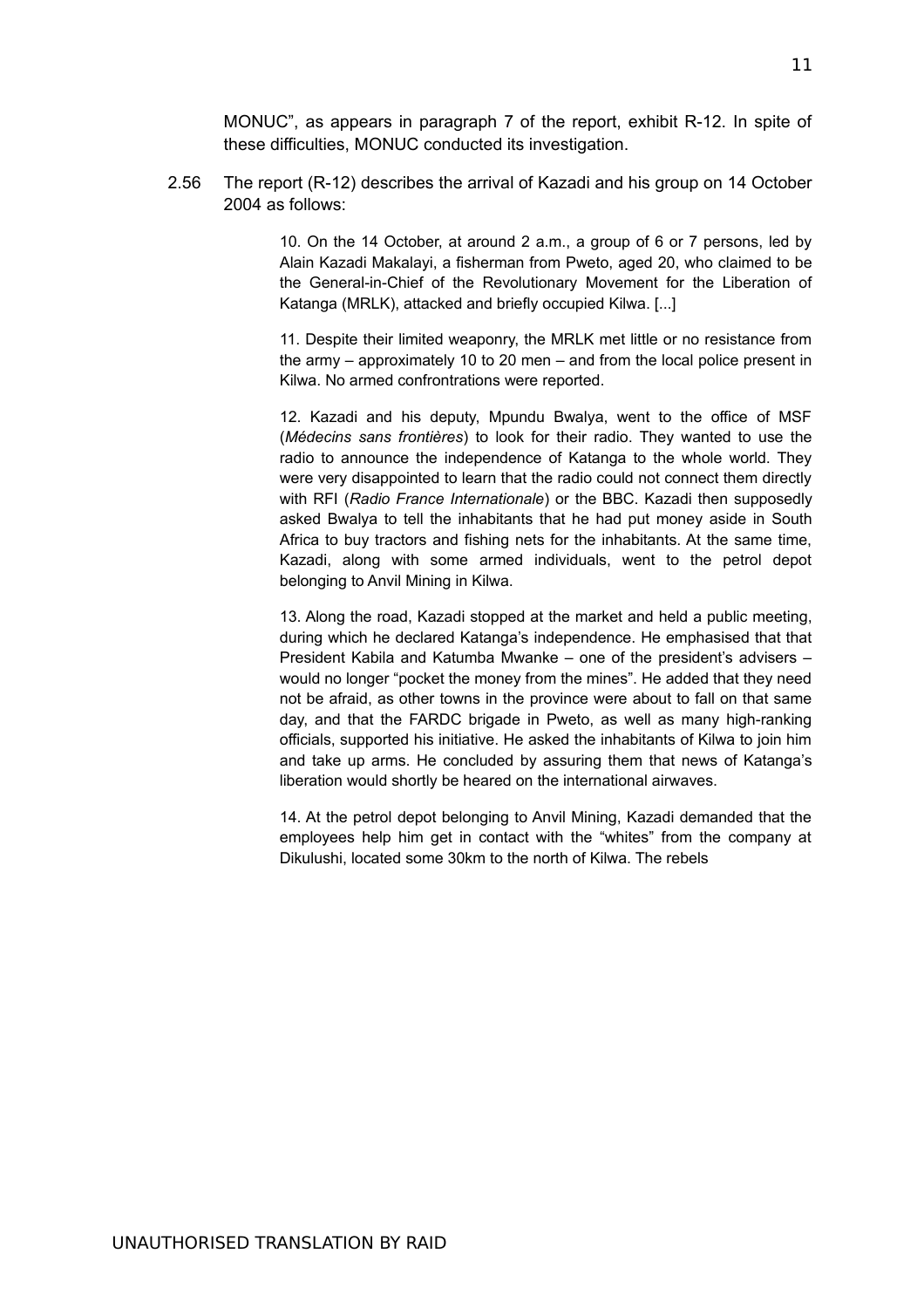MONUC", as appears in paragraph 7 of the report, exhibit R-12. In spite of these difficulties, MONUC conducted its investigation.

2.56 The report (R-12) describes the arrival of Kazadi and his group on 14 October 2004 as follows:

> 10. On the 14 October, at around 2 a.m., a group of 6 or 7 persons, led by Alain Kazadi Makalayi, a fisherman from Pweto, aged 20, who claimed to be the General-in-Chief of the Revolutionary Movement for the Liberation of Katanga (MRLK), attacked and briefly occupied Kilwa. [...]

> 11. Despite their limited weaponry, the MRLK met little or no resistance from the army – approximately 10 to 20 men – and from the local police present in Kilwa. No armed confrontrations were reported.

> 12. Kazadi and his deputy, Mpundu Bwalya, went to the office of MSF (*Médecins sans frontières*) to look for their radio. They wanted to use the radio to announce the independence of Katanga to the whole world. They were very disappointed to learn that the radio could not connect them directly with RFI (*Radio France Internationale*) or the BBC. Kazadi then supposedly asked Bwalya to tell the inhabitants that he had put money aside in South Africa to buy tractors and fishing nets for the inhabitants. At the same time, Kazadi, along with some armed individuals, went to the petrol depot belonging to Anvil Mining in Kilwa.

> 13. Along the road, Kazadi stopped at the market and held a public meeting, during which he declared Katanga's independence. He emphasised that that President Kabila and Katumba Mwanke – one of the president's advisers – would no longer "pocket the money from the mines". He added that they need not be afraid, as other towns in the province were about to fall on that same day, and that the FARDC brigade in Pweto, as well as many high-ranking officials, supported his initiative. He asked the inhabitants of Kilwa to join him and take up arms. He concluded by assuring them that news of Katanga's liberation would shortly be heared on the international airwaves.

> 14. At the petrol depot belonging to Anvil Mining, Kazadi demanded that the employees help him get in contact with the "whites" from the company at Dikulushi, located some 30km to the north of Kilwa. The rebels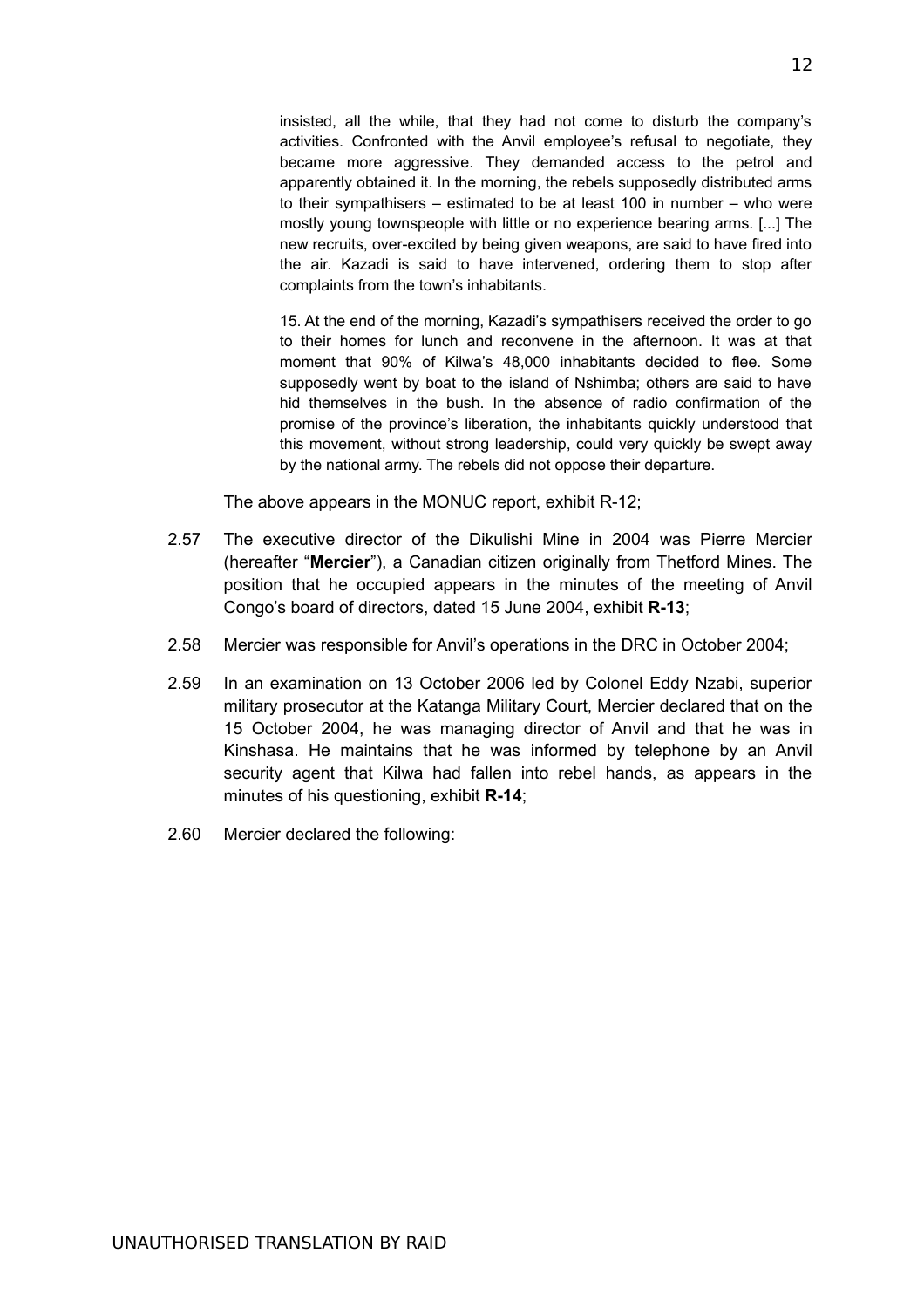insisted, all the while, that they had not come to disturb the company's activities. Confronted with the Anvil employee's refusal to negotiate, they became more aggressive. They demanded access to the petrol and apparently obtained it. In the morning, the rebels supposedly distributed arms to their sympathisers – estimated to be at least 100 in number – who were mostly young townspeople with little or no experience bearing arms. [...] The new recruits, over-excited by being given weapons, are said to have fired into the air. Kazadi is said to have intervened, ordering them to stop after complaints from the town's inhabitants.

15. At the end of the morning, Kazadi's sympathisers received the order to go to their homes for lunch and reconvene in the afternoon. It was at that moment that 90% of Kilwa's 48,000 inhabitants decided to flee. Some supposedly went by boat to the island of Nshimba; others are said to have hid themselves in the bush. In the absence of radio confirmation of the promise of the province's liberation, the inhabitants quickly understood that this movement, without strong leadership, could very quickly be swept away by the national army. The rebels did not oppose their departure.

The above appears in the MONUC report, exhibit R-12;

- 2.57 The executive director of the Dikulishi Mine in 2004 was Pierre Mercier (hereafter "**Mercier**"), a Canadian citizen originally from Thetford Mines. The position that he occupied appears in the minutes of the meeting of Anvil Congo's board of directors, dated 15 June 2004, exhibit **R-13**;
- 2.58 Mercier was responsible for Anvil's operations in the DRC in October 2004;
- 2.59 In an examination on 13 October 2006 led by Colonel Eddy Nzabi, superior military prosecutor at the Katanga Military Court, Mercier declared that on the 15 October 2004, he was managing director of Anvil and that he was in Kinshasa. He maintains that he was informed by telephone by an Anvil security agent that Kilwa had fallen into rebel hands, as appears in the minutes of his questioning, exhibit **R-14**;
- 2.60 Mercier declared the following: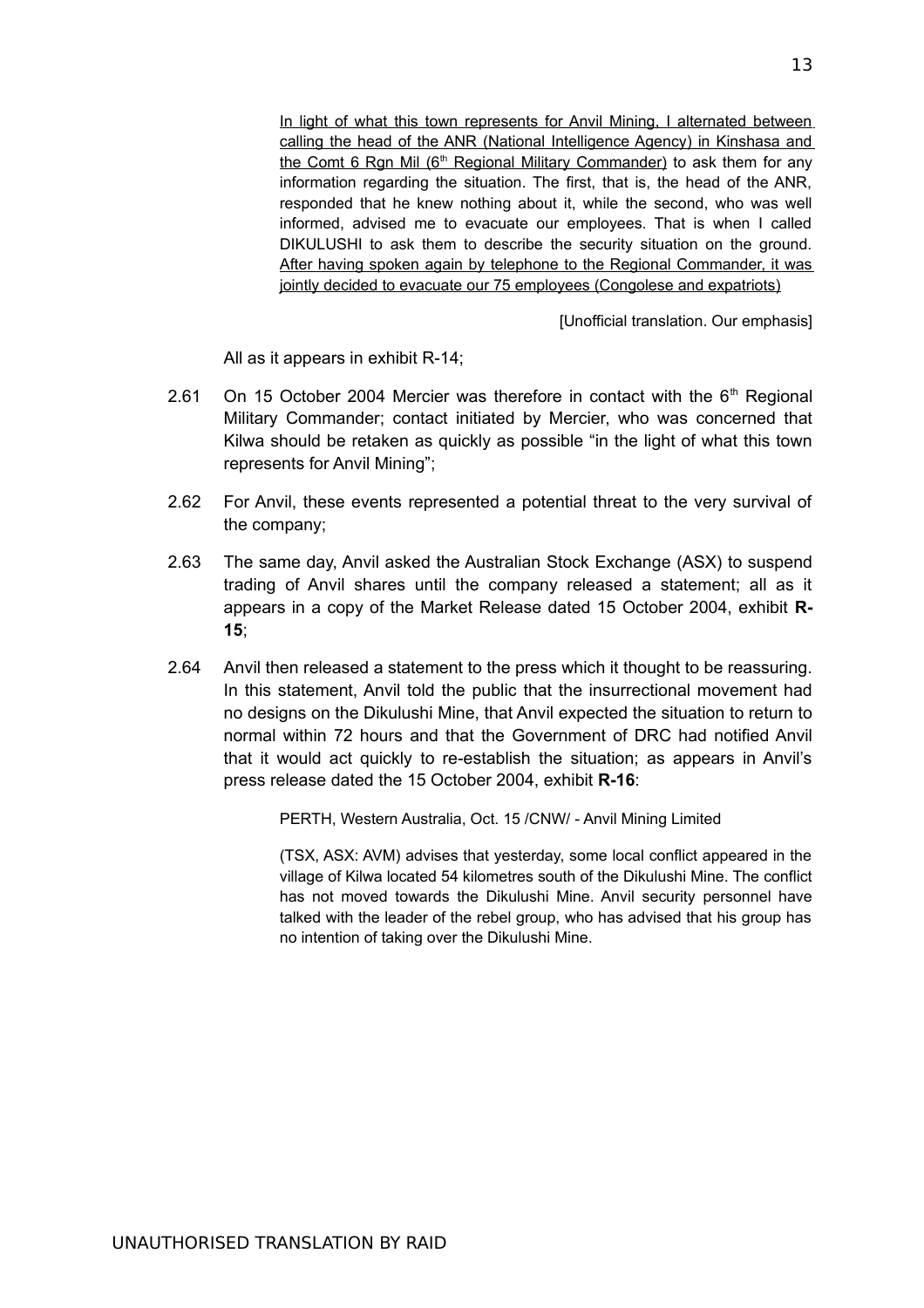In light of what this town represents for Anvil Mining, I alternated between calling the head of the ANR (National Intelligence Agency) in Kinshasa and the Comt 6 Rgn Mil (6<sup>th</sup> Regional Military Commander) to ask them for any information regarding the situation. The first, that is, the head of the ANR, responded that he knew nothing about it, while the second, who was well informed, advised me to evacuate our employees. That is when I called DIKULUSHI to ask them to describe the security situation on the ground. After having spoken again by telephone to the Regional Commander, it was jointly decided to evacuate our 75 employees (Congolese and expatriots)

[Unofficial translation. Our emphasis]

All as it appears in exhibit R-14;

- 2.61 On 15 October 2004 Mercier was therefore in contact with the  $6<sup>th</sup>$  Regional Military Commander; contact initiated by Mercier, who was concerned that Kilwa should be retaken as quickly as possible "in the light of what this town represents for Anvil Mining";
- 2.62 For Anvil, these events represented a potential threat to the very survival of the company;
- 2.63 The same day, Anvil asked the Australian Stock Exchange (ASX) to suspend trading of Anvil shares until the company released a statement; all as it appears in a copy of the Market Release dated 15 October 2004, exhibit **R-15**;
- 2.64 Anvil then released a statement to the press which it thought to be reassuring. In this statement, Anvil told the public that the insurrectional movement had no designs on the Dikulushi Mine, that Anvil expected the situation to return to normal within 72 hours and that the Government of DRC had notified Anvil that it would act quickly to re-establish the situation; as appears in Anvil's press release dated the 15 October 2004, exhibit **R-16**:

PERTH, Western Australia, Oct. 15 /CNW/ - Anvil Mining Limited

(TSX, ASX: AVM) advises that yesterday, some local conflict appeared in the village of Kilwa located 54 kilometres south of the Dikulushi Mine. The conflict has not moved towards the Dikulushi Mine. Anvil security personnel have talked with the leader of the rebel group, who has advised that his group has no intention of taking over the Dikulushi Mine.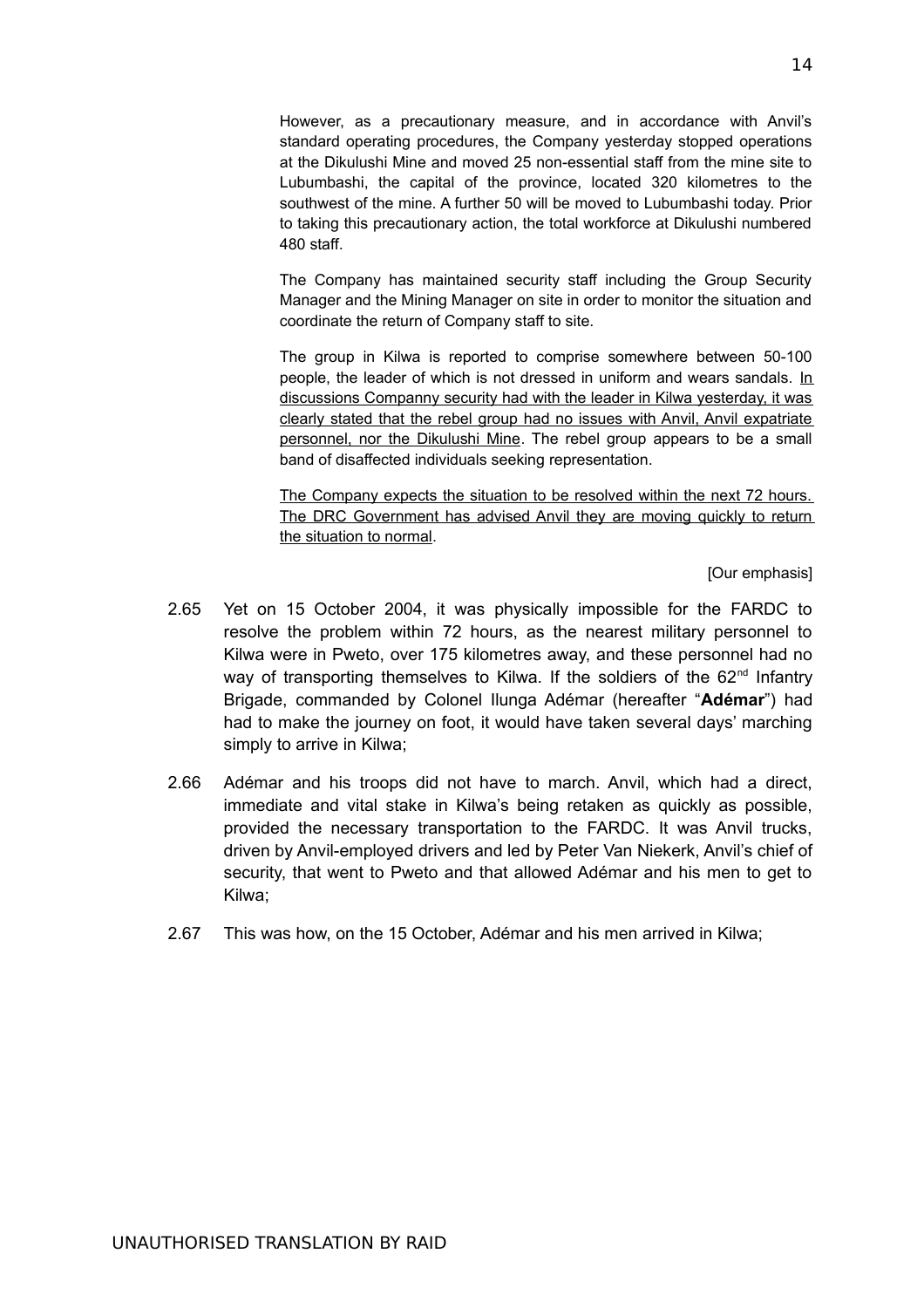However, as a precautionary measure, and in accordance with Anvil's standard operating procedures, the Company yesterday stopped operations at the Dikulushi Mine and moved 25 non-essential staff from the mine site to Lubumbashi, the capital of the province, located 320 kilometres to the southwest of the mine. A further 50 will be moved to Lubumbashi today. Prior to taking this precautionary action, the total workforce at Dikulushi numbered 480 staff.

The Company has maintained security staff including the Group Security Manager and the Mining Manager on site in order to monitor the situation and coordinate the return of Company staff to site.

The group in Kilwa is reported to comprise somewhere between 50-100 people, the leader of which is not dressed in uniform and wears sandals. In discussions Companny security had with the leader in Kilwa yesterday, it was clearly stated that the rebel group had no issues with Anvil, Anvil expatriate personnel, nor the Dikulushi Mine. The rebel group appears to be a small band of disaffected individuals seeking representation.

The Company expects the situation to be resolved within the next 72 hours. The DRC Government has advised Anvil they are moving quickly to return the situation to normal.

[Our emphasis]

- 2.65 Yet on 15 October 2004, it was physically impossible for the FARDC to resolve the problem within 72 hours, as the nearest military personnel to Kilwa were in Pweto, over 175 kilometres away, and these personnel had no way of transporting themselves to Kilwa. If the soldiers of the 62<sup>nd</sup> Infantry Brigade, commanded by Colonel Ilunga Adémar (hereafter "**Adémar**") had had to make the journey on foot, it would have taken several days' marching simply to arrive in Kilwa;
- 2.66 Adémar and his troops did not have to march. Anvil, which had a direct, immediate and vital stake in Kilwa's being retaken as quickly as possible, provided the necessary transportation to the FARDC. It was Anvil trucks, driven by Anvil-employed drivers and led by Peter Van Niekerk, Anvil's chief of security, that went to Pweto and that allowed Adémar and his men to get to Kilwa;
- 2.67 This was how, on the 15 October, Adémar and his men arrived in Kilwa;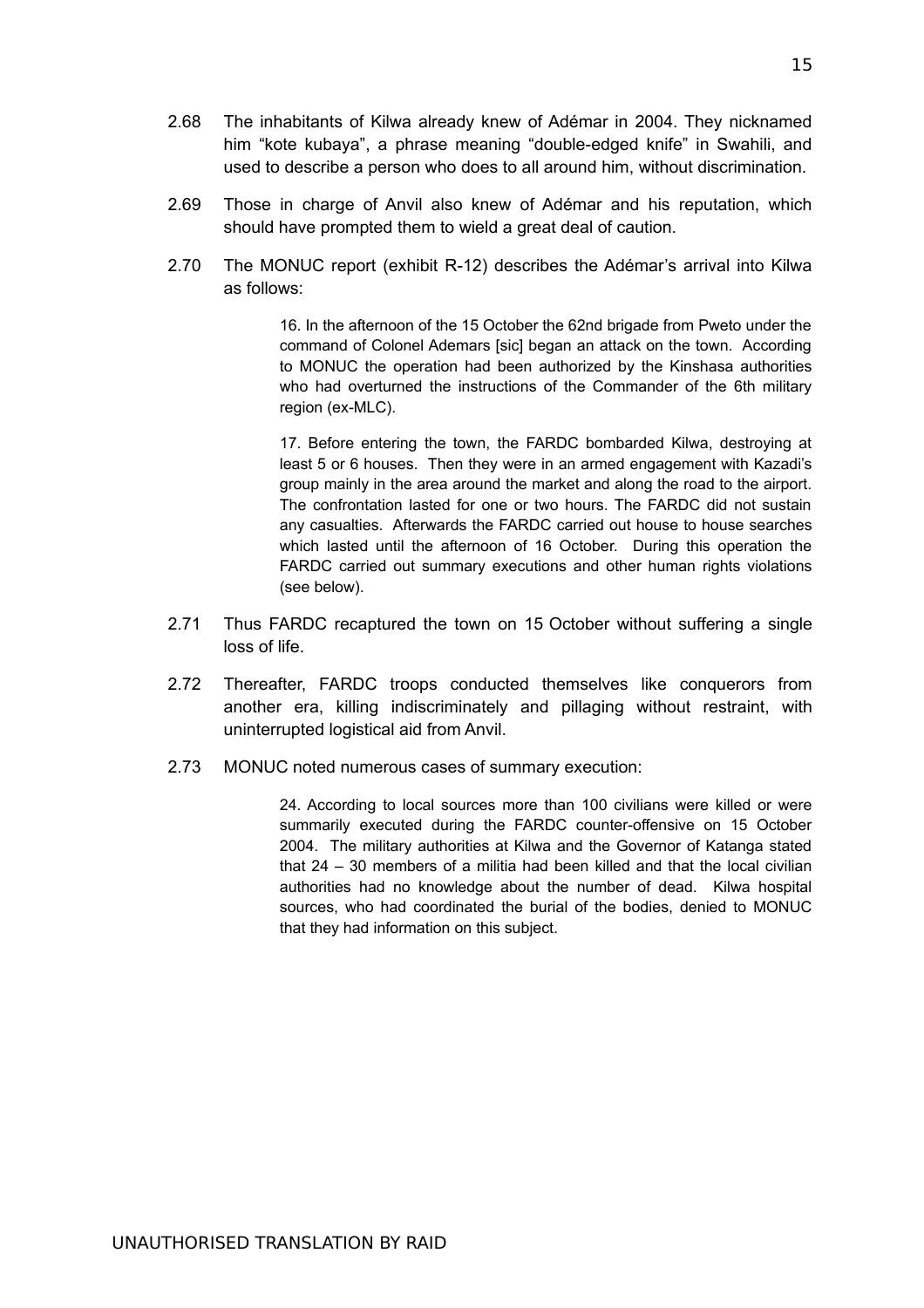- 2.68 The inhabitants of Kilwa already knew of Adémar in 2004. They nicknamed him "kote kubaya", a phrase meaning "double-edged knife" in Swahili, and used to describe a person who does to all around him, without discrimination.
- 2.69 Those in charge of Anvil also knew of Adémar and his reputation, which should have prompted them to wield a great deal of caution.
- 2.70 The MONUC report (exhibit R-12) describes the Adémar's arrival into Kilwa as follows:

16. In the afternoon of the 15 October the 62nd brigade from Pweto under the command of Colonel Ademars [sic] began an attack on the town. According to MONUC the operation had been authorized by the Kinshasa authorities who had overturned the instructions of the Commander of the 6th military region (ex-MLC).

17. Before entering the town, the FARDC bombarded Kilwa, destroying at least 5 or 6 houses. Then they were in an armed engagement with Kazadi's group mainly in the area around the market and along the road to the airport. The confrontation lasted for one or two hours. The FARDC did not sustain any casualties. Afterwards the FARDC carried out house to house searches which lasted until the afternoon of 16 October. During this operation the FARDC carried out summary executions and other human rights violations (see below).

- 2.71 Thus FARDC recaptured the town on 15 October without suffering a single loss of life.
- 2.72 Thereafter, FARDC troops conducted themselves like conquerors from another era, killing indiscriminately and pillaging without restraint, with uninterrupted logistical aid from Anvil.
- 2.73 MONUC noted numerous cases of summary execution:

24. According to local sources more than 100 civilians were killed or were summarily executed during the FARDC counter-offensive on 15 October 2004. The military authorities at Kilwa and the Governor of Katanga stated that 24 – 30 members of a militia had been killed and that the local civilian authorities had no knowledge about the number of dead. Kilwa hospital sources, who had coordinated the burial of the bodies, denied to MONUC that they had information on this subject.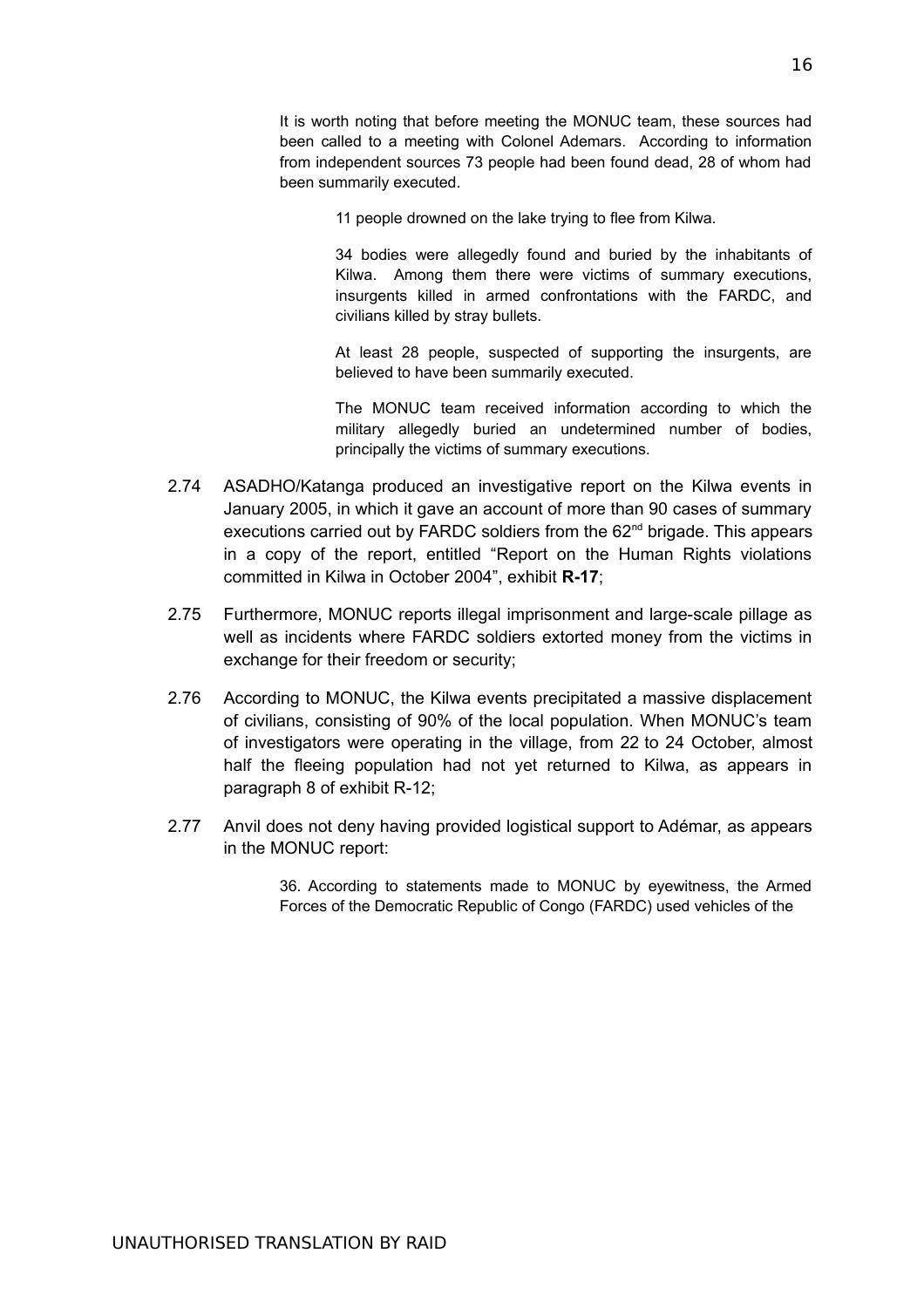It is worth noting that before meeting the MONUC team, these sources had been called to a meeting with Colonel Ademars. According to information from independent sources 73 people had been found dead, 28 of whom had been summarily executed.

11 people drowned on the lake trying to flee from Kilwa.

34 bodies were allegedly found and buried by the inhabitants of Kilwa. Among them there were victims of summary executions, insurgents killed in armed confrontations with the FARDC, and civilians killed by stray bullets.

At least 28 people, suspected of supporting the insurgents, are believed to have been summarily executed.

The MONUC team received information according to which the military allegedly buried an undetermined number of bodies, principally the victims of summary executions.

- 2.74 ASADHO/Katanga produced an investigative report on the Kilwa events in January 2005, in which it gave an account of more than 90 cases of summary executions carried out by FARDC soldiers from the 62<sup>nd</sup> brigade. This appears in a copy of the report, entitled "Report on the Human Rights violations committed in Kilwa in October 2004", exhibit **R-17**;
- 2.75 Furthermore, MONUC reports illegal imprisonment and large-scale pillage as well as incidents where FARDC soldiers extorted money from the victims in exchange for their freedom or security;
- 2.76 According to MONUC, the Kilwa events precipitated a massive displacement of civilians, consisting of 90% of the local population. When MONUC's team of investigators were operating in the village, from 22 to 24 October, almost half the fleeing population had not yet returned to Kilwa, as appears in paragraph 8 of exhibit R-12;
- 2.77 Anvil does not deny having provided logistical support to Adémar, as appears in the MONUC report:

36. According to statements made to MONUC by eyewitness, the Armed Forces of the Democratic Republic of Congo (FARDC) used vehicles of the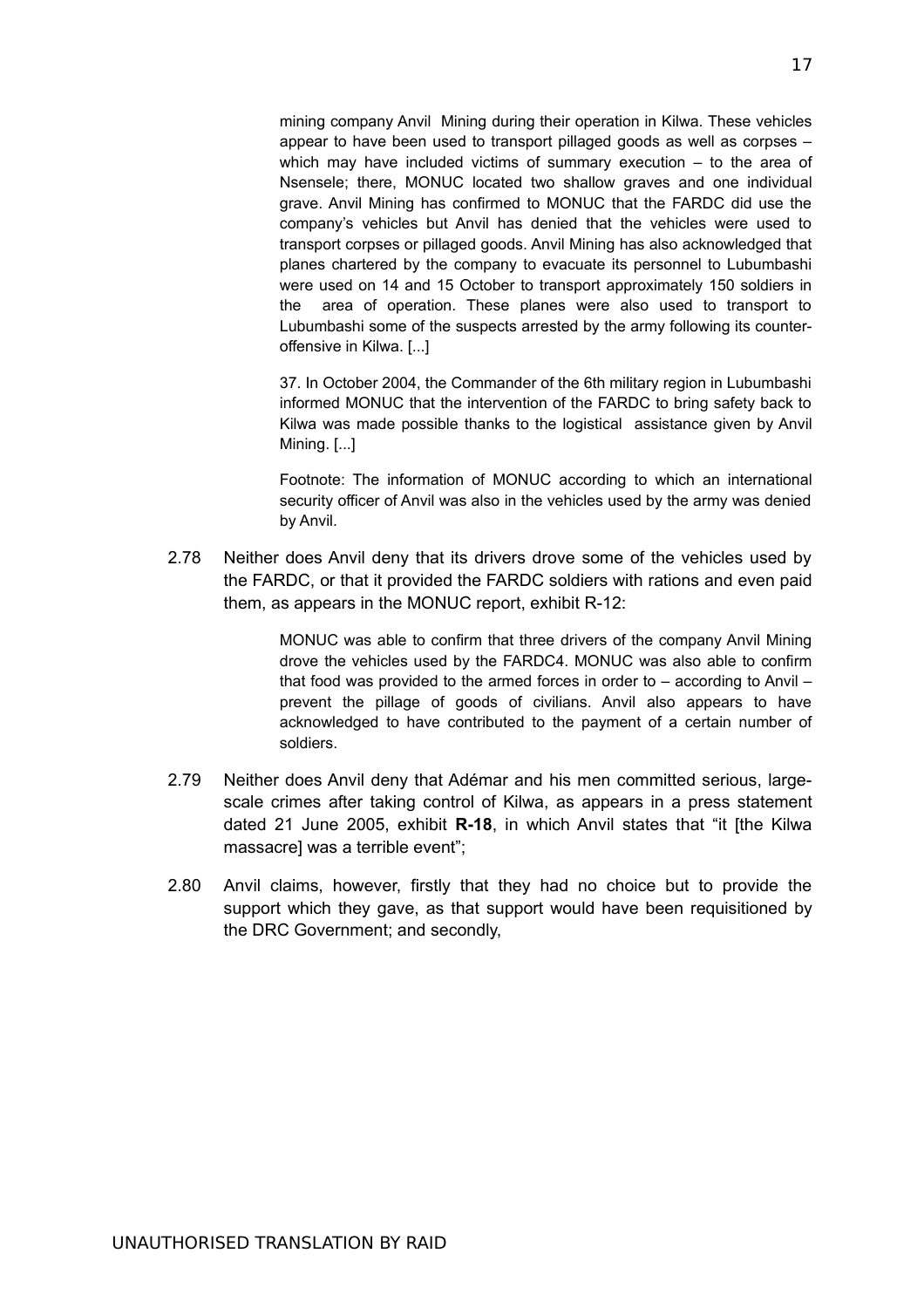mining company Anvil Mining during their operation in Kilwa. These vehicles appear to have been used to transport pillaged goods as well as corpses – which may have included victims of summary execution – to the area of Nsensele; there, MONUC located two shallow graves and one individual grave. Anvil Mining has confirmed to MONUC that the FARDC did use the company's vehicles but Anvil has denied that the vehicles were used to transport corpses or pillaged goods. Anvil Mining has also acknowledged that planes chartered by the company to evacuate its personnel to Lubumbashi were used on 14 and 15 October to transport approximately 150 soldiers in the area of operation. These planes were also used to transport to Lubumbashi some of the suspects arrested by the army following its counteroffensive in Kilwa. [...]

37. In October 2004, the Commander of the 6th military region in Lubumbashi informed MONUC that the intervention of the FARDC to bring safety back to Kilwa was made possible thanks to the logistical assistance given by Anvil Mining. [...]

Footnote: The information of MONUC according to which an international security officer of Anvil was also in the vehicles used by the army was denied by Anvil.

2.78 Neither does Anvil deny that its drivers drove some of the vehicles used by the FARDC, or that it provided the FARDC soldiers with rations and even paid them, as appears in the MONUC report, exhibit R-12:

> MONUC was able to confirm that three drivers of the company Anvil Mining drove the vehicles used by the FARDC4. MONUC was also able to confirm that food was provided to the armed forces in order to – according to Anvil – prevent the pillage of goods of civilians. Anvil also appears to have acknowledged to have contributed to the payment of a certain number of soldiers.

- 2.79 Neither does Anvil deny that Adémar and his men committed serious, largescale crimes after taking control of Kilwa, as appears in a press statement dated 21 June 2005, exhibit **R-18**, in which Anvil states that "it [the Kilwa massacre] was a terrible event";
- 2.80 Anvil claims, however, firstly that they had no choice but to provide the support which they gave, as that support would have been requisitioned by the DRC Government; and secondly,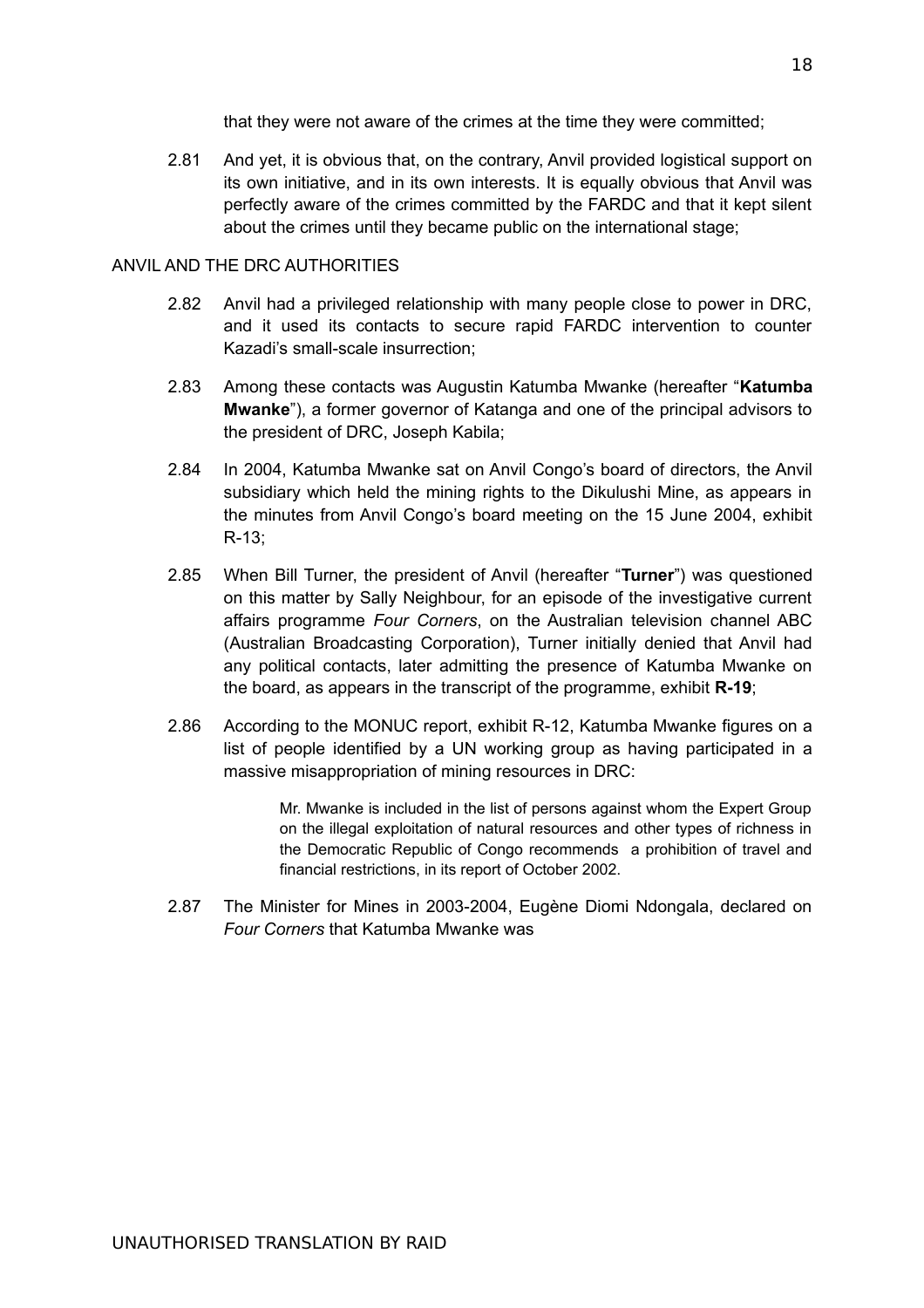that they were not aware of the crimes at the time they were committed;

2.81 And yet, it is obvious that, on the contrary, Anvil provided logistical support on its own initiative, and in its own interests. It is equally obvious that Anvil was perfectly aware of the crimes committed by the FARDC and that it kept silent about the crimes until they became public on the international stage;

#### ANVIL AND THE DRC AUTHORITIES

- 2.82 Anvil had a privileged relationship with many people close to power in DRC, and it used its contacts to secure rapid FARDC intervention to counter Kazadi's small-scale insurrection;
- 2.83 Among these contacts was Augustin Katumba Mwanke (hereafter "**Katumba Mwanke**"), a former governor of Katanga and one of the principal advisors to the president of DRC, Joseph Kabila;
- 2.84 In 2004, Katumba Mwanke sat on Anvil Congo's board of directors, the Anvil subsidiary which held the mining rights to the Dikulushi Mine, as appears in the minutes from Anvil Congo's board meeting on the 15 June 2004, exhibit R-13;
- 2.85 When Bill Turner, the president of Anvil (hereafter "**Turner**") was questioned on this matter by Sally Neighbour, for an episode of the investigative current affairs programme *Four Corners*, on the Australian television channel ABC (Australian Broadcasting Corporation), Turner initially denied that Anvil had any political contacts, later admitting the presence of Katumba Mwanke on the board, as appears in the transcript of the programme, exhibit **R-19**;
- 2.86 According to the MONUC report, exhibit R-12, Katumba Mwanke figures on a list of people identified by a UN working group as having participated in a massive misappropriation of mining resources in DRC:

Mr. Mwanke is included in the list of persons against whom the Expert Group on the illegal exploitation of natural resources and other types of richness in the Democratic Republic of Congo recommends a prohibition of travel and financial restrictions, in its report of October 2002.

2.87 The Minister for Mines in 2003-2004, Eugène Diomi Ndongala, declared on *Four Corners* that Katumba Mwanke was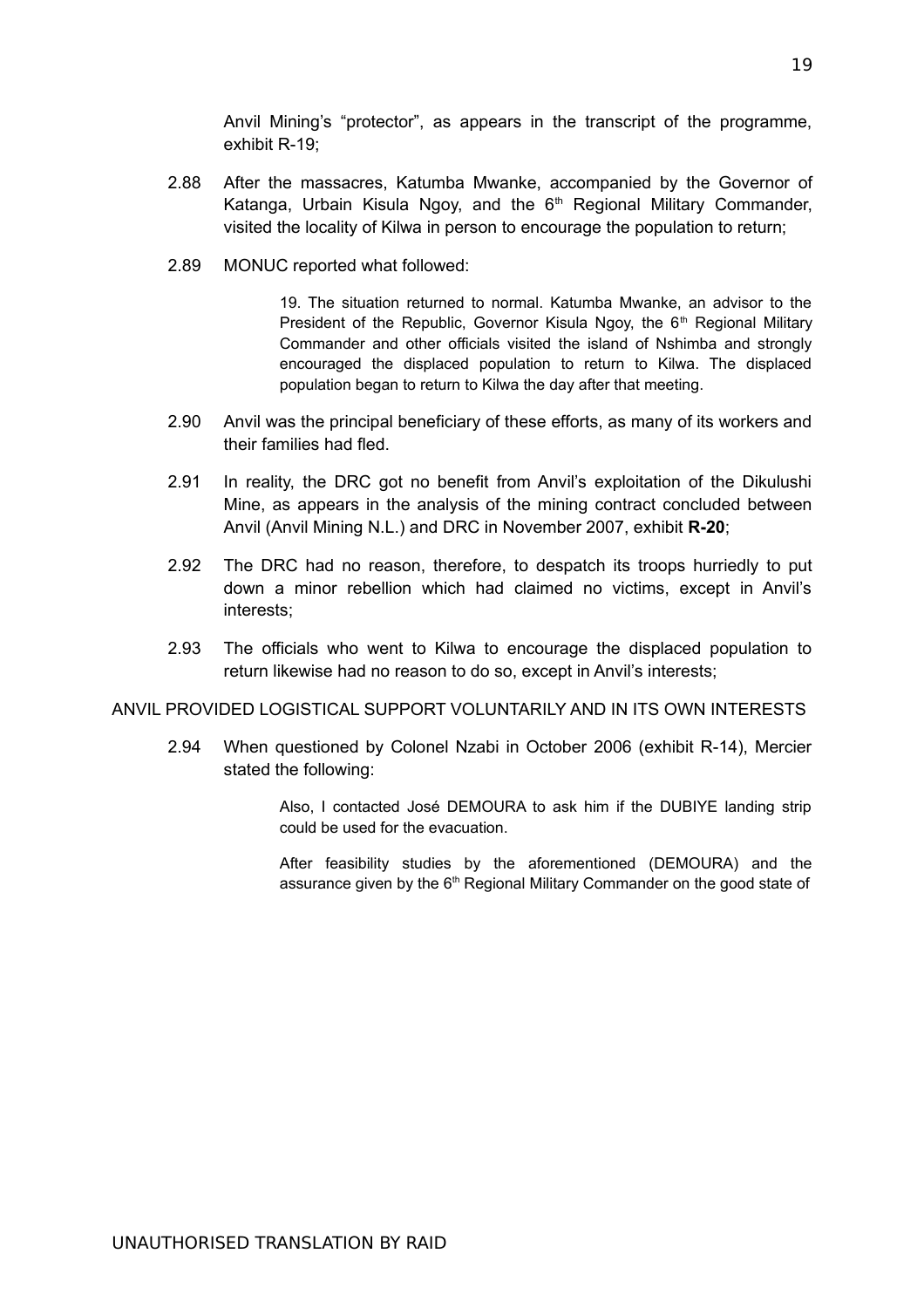Anvil Mining's "protector", as appears in the transcript of the programme, exhibit R-19;

- 2.88 After the massacres, Katumba Mwanke, accompanied by the Governor of Katanga, Urbain Kisula Ngoy, and the  $6<sup>th</sup>$  Regional Military Commander, visited the locality of Kilwa in person to encourage the population to return;
- 2.89 MONUC reported what followed:

19. The situation returned to normal. Katumba Mwanke, an advisor to the President of the Republic, Governor Kisula Ngoy, the 6<sup>th</sup> Regional Military Commander and other officials visited the island of Nshimba and strongly encouraged the displaced population to return to Kilwa. The displaced population began to return to Kilwa the day after that meeting.

- 2.90 Anvil was the principal beneficiary of these efforts, as many of its workers and their families had fled.
- 2.91 In reality, the DRC got no benefit from Anvil's exploitation of the Dikulushi Mine, as appears in the analysis of the mining contract concluded between Anvil (Anvil Mining N.L.) and DRC in November 2007, exhibit **R-20**;
- 2.92 The DRC had no reason, therefore, to despatch its troops hurriedly to put down a minor rebellion which had claimed no victims, except in Anvil's interests;
- 2.93 The officials who went to Kilwa to encourage the displaced population to return likewise had no reason to do so, except in Anvil's interests;

### ANVIL PROVIDED LOGISTICAL SUPPORT VOLUNTARILY AND IN ITS OWN INTERESTS

2.94 When questioned by Colonel Nzabi in October 2006 (exhibit R-14), Mercier stated the following:

> Also, I contacted José DEMOURA to ask him if the DUBIYE landing strip could be used for the evacuation.

> After feasibility studies by the aforementioned (DEMOURA) and the assurance given by the  $6<sup>th</sup>$  Regional Military Commander on the good state of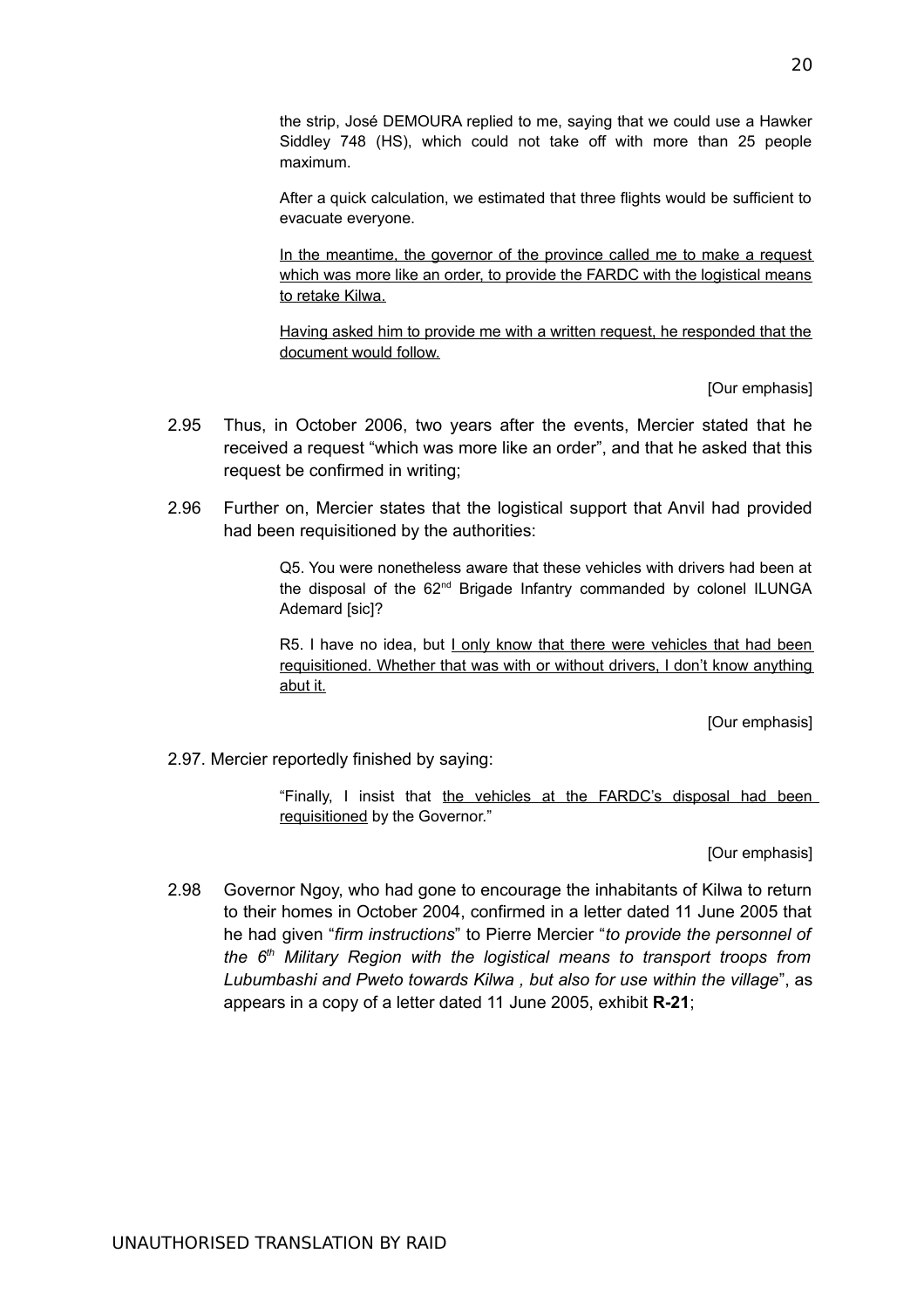the strip, José DEMOURA replied to me, saying that we could use a Hawker Siddley 748 (HS), which could not take off with more than 25 people maximum.

After a quick calculation, we estimated that three flights would be sufficient to evacuate everyone.

In the meantime, the governor of the province called me to make a request which was more like an order, to provide the FARDC with the logistical means to retake Kilwa.

Having asked him to provide me with a written request, he responded that the document would follow.

[Our emphasis]

- 2.95 Thus, in October 2006, two years after the events, Mercier stated that he received a request "which was more like an order", and that he asked that this request be confirmed in writing;
- 2.96 Further on, Mercier states that the logistical support that Anvil had provided had been requisitioned by the authorities:

Q5. You were nonetheless aware that these vehicles with drivers had been at the disposal of the 62<sup>nd</sup> Brigade Infantry commanded by colonel ILUNGA Ademard [sic]?

R5. I have no idea, but I only know that there were vehicles that had been requisitioned. Whether that was with or without drivers, I don't know anything abut it.

[Our emphasis]

2.97. Mercier reportedly finished by saying:

"Finally, I insist that the vehicles at the FARDC's disposal had been requisitioned by the Governor."

[Our emphasis]

2.98 Governor Ngoy, who had gone to encourage the inhabitants of Kilwa to return to their homes in October 2004, confirmed in a letter dated 11 June 2005 that he had given "*firm instructions*" to Pierre Mercier "*to provide the personnel of the 6th Military Region with the logistical means to transport troops from Lubumbashi and Pweto towards Kilwa , but also for use within the village*", as appears in a copy of a letter dated 11 June 2005, exhibit **R-21**;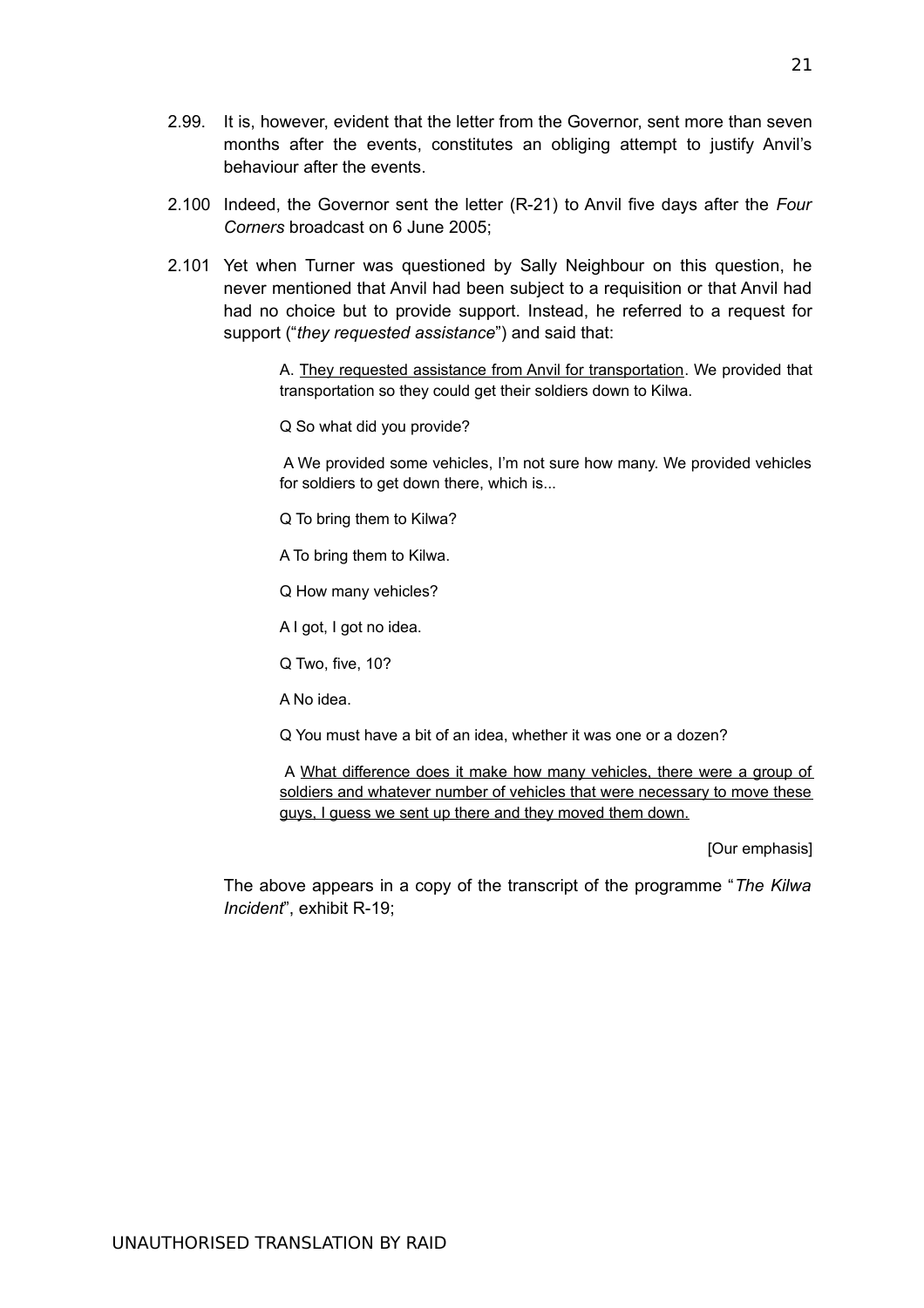- 2.99. It is, however, evident that the letter from the Governor, sent more than seven months after the events, constitutes an obliging attempt to justify Anvil's behaviour after the events.
- 2.100 Indeed, the Governor sent the letter (R-21) to Anvil five days after the *Four Corners* broadcast on 6 June 2005;
- 2.101 Yet when Turner was questioned by Sally Neighbour on this question, he never mentioned that Anvil had been subject to a requisition or that Anvil had had no choice but to provide support. Instead, he referred to a request for support ("*they requested assistance*") and said that:

A. They requested assistance from Anvil for transportation. We provided that transportation so they could get their soldiers down to Kilwa.

Q So what did you provide?

 A We provided some vehicles, I'm not sure how many. We provided vehicles for soldiers to get down there, which is...

Q To bring them to Kilwa?

A To bring them to Kilwa.

Q How many vehicles?

A I got, I got no idea.

Q Two, five, 10?

A No idea.

Q You must have a bit of an idea, whether it was one or a dozen?

 A What difference does it make how many vehicles, there were a group of soldiers and whatever number of vehicles that were necessary to move these guys, I guess we sent up there and they moved them down.

[Our emphasis]

The above appears in a copy of the transcript of the programme "*The Kilwa Incident*", exhibit R-19;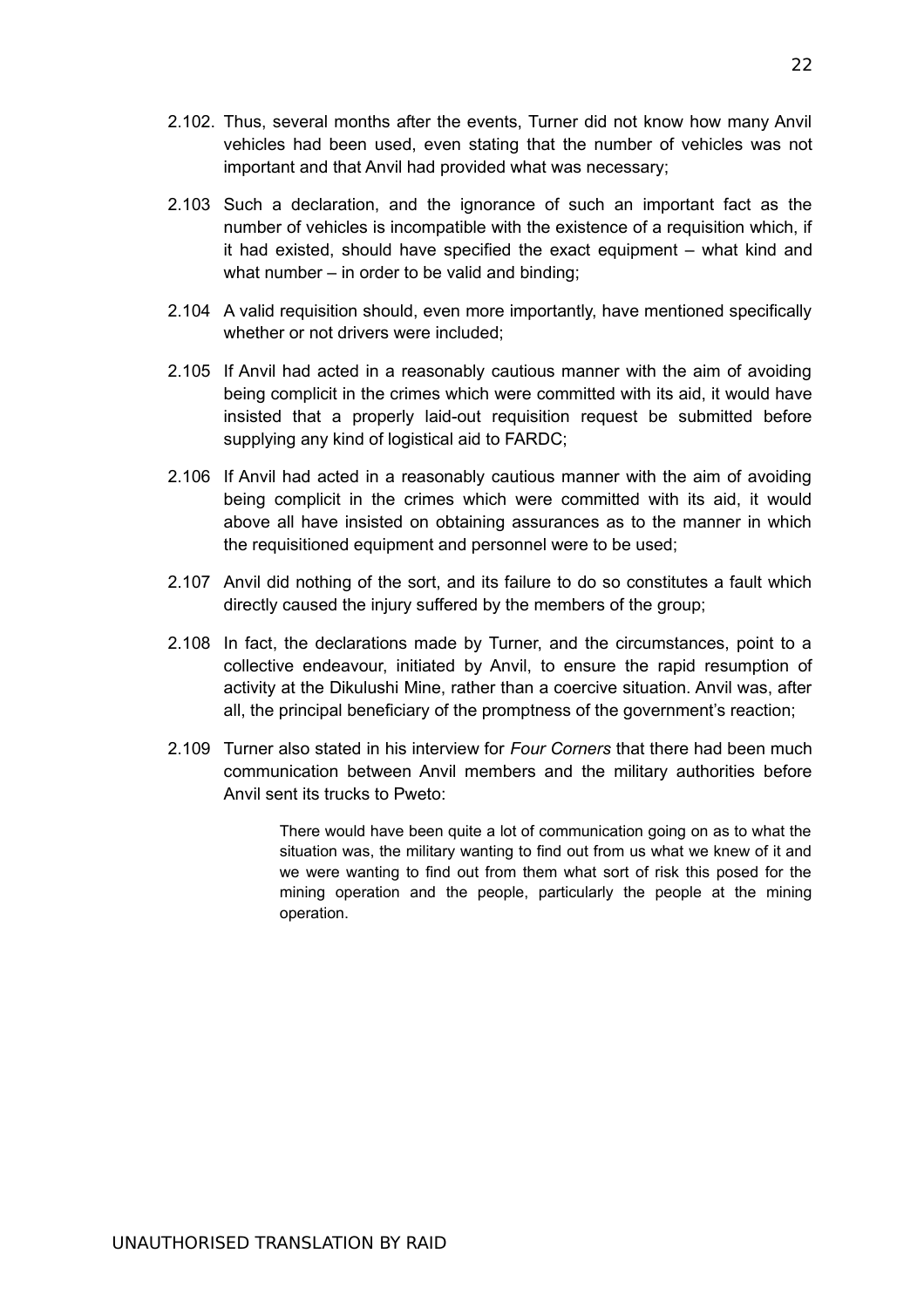- 2.102. Thus, several months after the events, Turner did not know how many Anvil vehicles had been used, even stating that the number of vehicles was not important and that Anvil had provided what was necessary;
- 2.103 Such a declaration, and the ignorance of such an important fact as the number of vehicles is incompatible with the existence of a requisition which, if it had existed, should have specified the exact equipment – what kind and what number – in order to be valid and binding;
- 2.104 A valid requisition should, even more importantly, have mentioned specifically whether or not drivers were included;
- 2.105 If Anvil had acted in a reasonably cautious manner with the aim of avoiding being complicit in the crimes which were committed with its aid, it would have insisted that a properly laid-out requisition request be submitted before supplying any kind of logistical aid to FARDC;
- 2.106 If Anvil had acted in a reasonably cautious manner with the aim of avoiding being complicit in the crimes which were committed with its aid, it would above all have insisted on obtaining assurances as to the manner in which the requisitioned equipment and personnel were to be used;
- 2.107 Anvil did nothing of the sort, and its failure to do so constitutes a fault which directly caused the injury suffered by the members of the group;
- 2.108 In fact, the declarations made by Turner, and the circumstances, point to a collective endeavour, initiated by Anvil, to ensure the rapid resumption of activity at the Dikulushi Mine, rather than a coercive situation. Anvil was, after all, the principal beneficiary of the promptness of the government's reaction;
- 2.109 Turner also stated in his interview for *Four Corners* that there had been much communication between Anvil members and the military authorities before Anvil sent its trucks to Pweto:

There would have been quite a lot of communication going on as to what the situation was, the military wanting to find out from us what we knew of it and we were wanting to find out from them what sort of risk this posed for the mining operation and the people, particularly the people at the mining operation.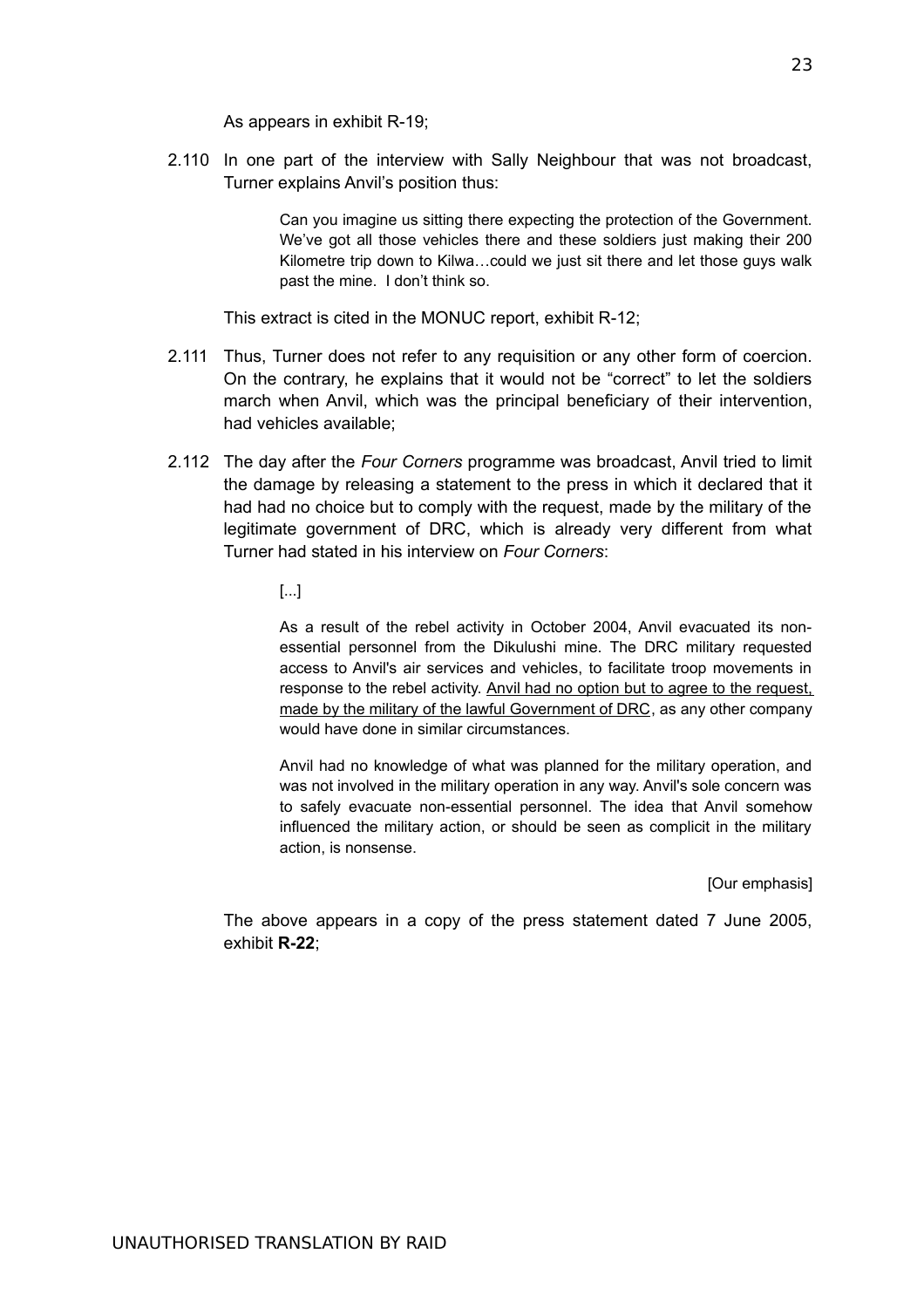As appears in exhibit R-19;

2.110 In one part of the interview with Sally Neighbour that was not broadcast, Turner explains Anvil's position thus:

> Can you imagine us sitting there expecting the protection of the Government. We've got all those vehicles there and these soldiers just making their 200 Kilometre trip down to Kilwa…could we just sit there and let those guys walk past the mine. I don't think so.

This extract is cited in the MONUC report, exhibit R-12;

- 2.111 Thus, Turner does not refer to any requisition or any other form of coercion. On the contrary, he explains that it would not be "correct" to let the soldiers march when Anvil, which was the principal beneficiary of their intervention, had vehicles available;
- 2.112 The day after the *Four Corners* programme was broadcast, Anvil tried to limit the damage by releasing a statement to the press in which it declared that it had had no choice but to comply with the request, made by the military of the legitimate government of DRC, which is already very different from what Turner had stated in his interview on *Four Corners*:
	- [...]

As a result of the rebel activity in October 2004, Anvil evacuated its nonessential personnel from the Dikulushi mine. The DRC military requested access to Anvil's air services and vehicles, to facilitate troop movements in response to the rebel activity. Anvil had no option but to agree to the request, made by the military of the lawful Government of DRC, as any other company would have done in similar circumstances.

Anvil had no knowledge of what was planned for the military operation, and was not involved in the military operation in any way. Anvil's sole concern was to safely evacuate non-essential personnel. The idea that Anvil somehow influenced the military action, or should be seen as complicit in the military action, is nonsense.

[Our emphasis]

The above appears in a copy of the press statement dated 7 June 2005, exhibit **R-22**;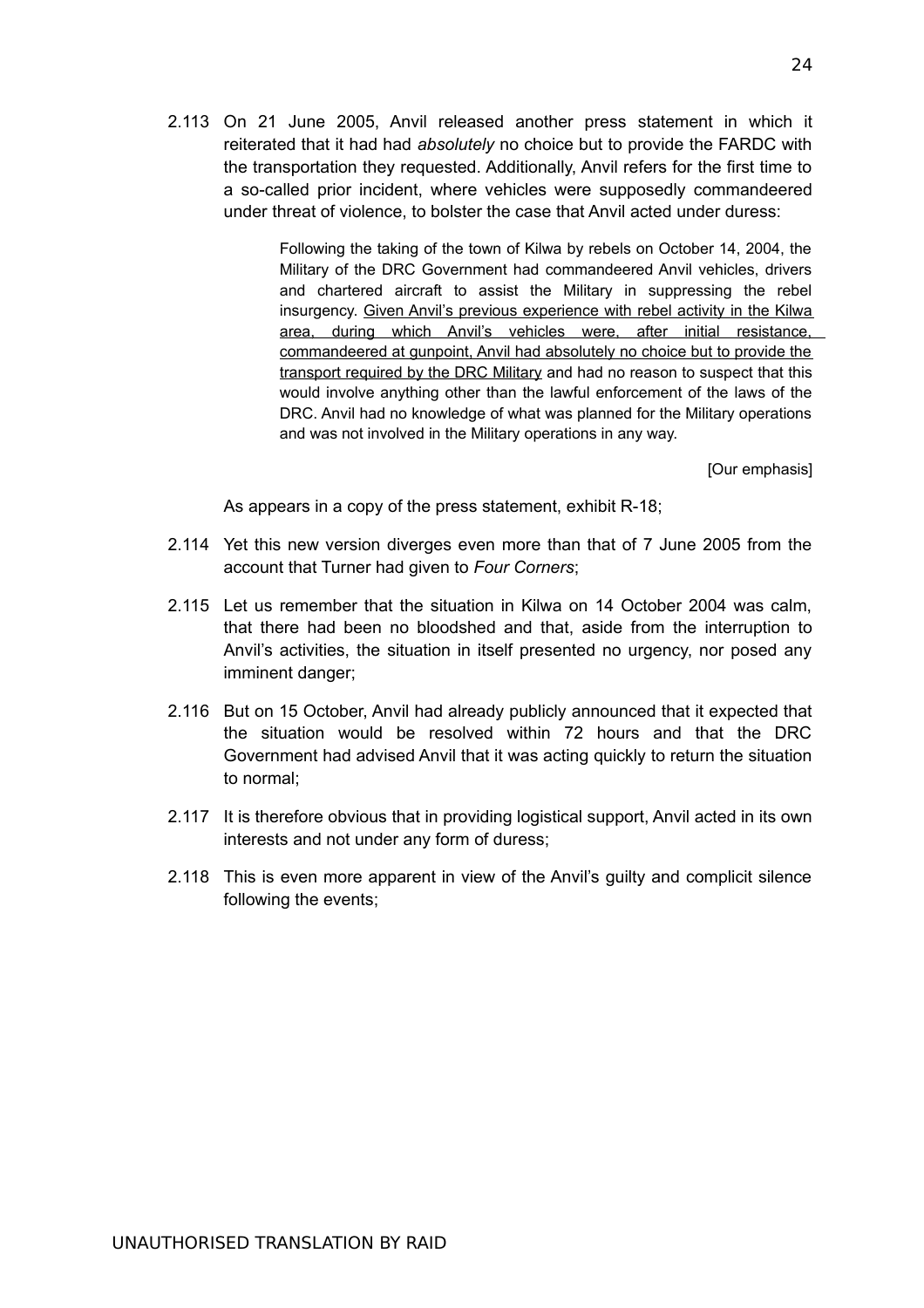2.113 On 21 June 2005, Anvil released another press statement in which it reiterated that it had had *absolutely* no choice but to provide the FARDC with the transportation they requested. Additionally, Anvil refers for the first time to a so-called prior incident, where vehicles were supposedly commandeered under threat of violence, to bolster the case that Anvil acted under duress:

> Following the taking of the town of Kilwa by rebels on October 14, 2004, the Military of the DRC Government had commandeered Anvil vehicles, drivers and chartered aircraft to assist the Military in suppressing the rebel insurgency. Given Anvil's previous experience with rebel activity in the Kilwa area, during which Anvil's vehicles were, after initial resistance, commandeered at gunpoint, Anvil had absolutely no choice but to provide the transport required by the DRC Military and had no reason to suspect that this would involve anything other than the lawful enforcement of the laws of the DRC. Anvil had no knowledge of what was planned for the Military operations and was not involved in the Military operations in any way.

> > [Our emphasis]

As appears in a copy of the press statement, exhibit R-18;

- 2.114 Yet this new version diverges even more than that of 7 June 2005 from the account that Turner had given to *Four Corners*;
- 2.115 Let us remember that the situation in Kilwa on 14 October 2004 was calm, that there had been no bloodshed and that, aside from the interruption to Anvil's activities, the situation in itself presented no urgency, nor posed any imminent danger;
- 2.116 But on 15 October, Anvil had already publicly announced that it expected that the situation would be resolved within 72 hours and that the DRC Government had advised Anvil that it was acting quickly to return the situation to normal;
- 2.117 It is therefore obvious that in providing logistical support, Anvil acted in its own interests and not under any form of duress;
- 2.118 This is even more apparent in view of the Anvil's guilty and complicit silence following the events;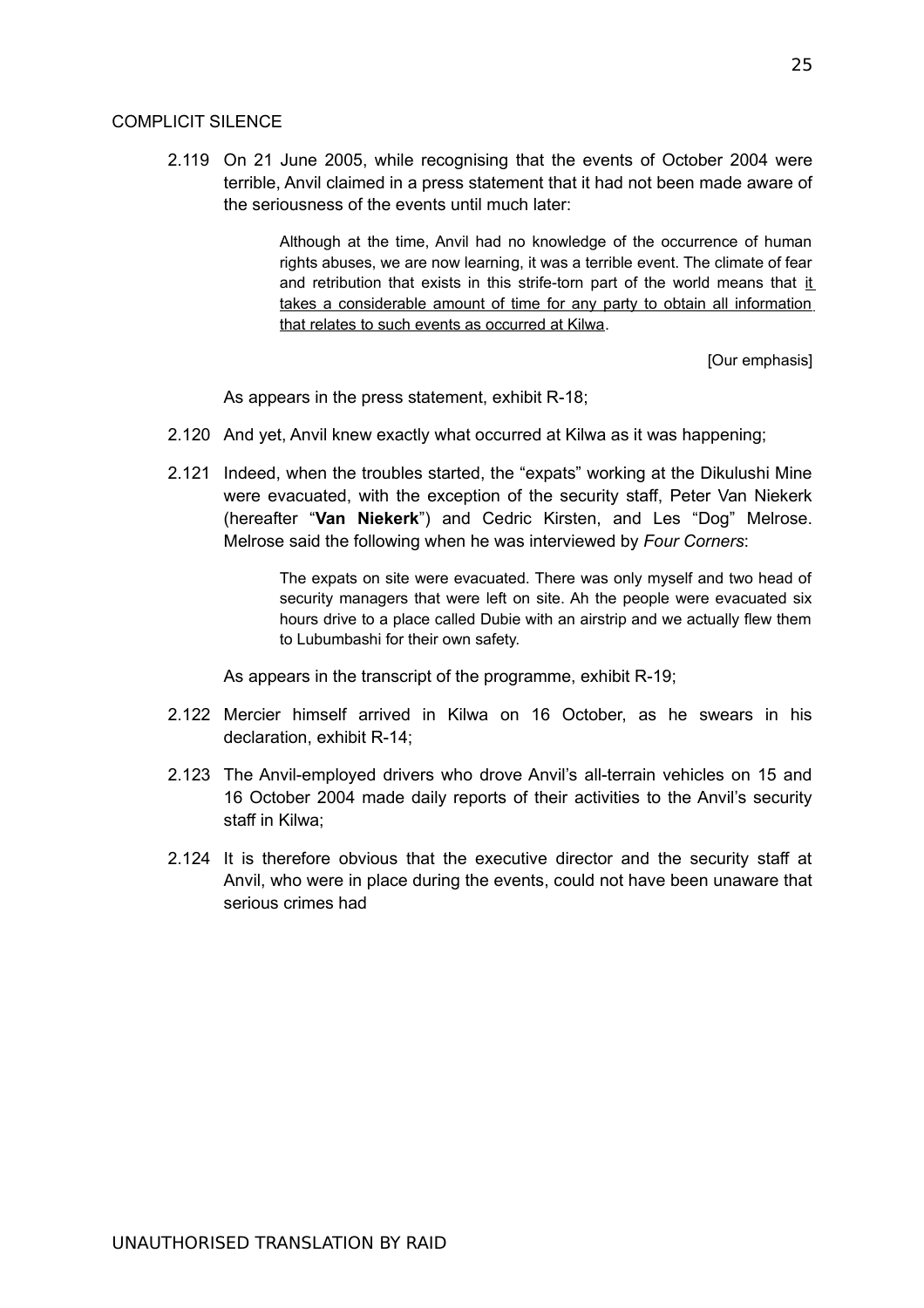### COMPLICIT SILENCE

2.119 On 21 June 2005, while recognising that the events of October 2004 were terrible, Anvil claimed in a press statement that it had not been made aware of the seriousness of the events until much later:

> Although at the time, Anvil had no knowledge of the occurrence of human rights abuses, we are now learning, it was a terrible event. The climate of fear and retribution that exists in this strife-torn part of the world means that it takes a considerable amount of time for any party to obtain all information that relates to such events as occurred at Kilwa.

> > [Our emphasis]

As appears in the press statement, exhibit R-18;

- 2.120 And yet, Anvil knew exactly what occurred at Kilwa as it was happening;
- 2.121 Indeed, when the troubles started, the "expats" working at the Dikulushi Mine were evacuated, with the exception of the security staff, Peter Van Niekerk (hereafter "**Van Niekerk**") and Cedric Kirsten, and Les "Dog" Melrose. Melrose said the following when he was interviewed by *Four Corners*:

The expats on site were evacuated. There was only myself and two head of security managers that were left on site. Ah the people were evacuated six hours drive to a place called Dubie with an airstrip and we actually flew them to Lubumbashi for their own safety.

As appears in the transcript of the programme, exhibit R-19;

- 2.122 Mercier himself arrived in Kilwa on 16 October, as he swears in his declaration, exhibit R-14;
- 2.123 The Anvil-employed drivers who drove Anvil's all-terrain vehicles on 15 and 16 October 2004 made daily reports of their activities to the Anvil's security staff in Kilwa;
- 2.124 It is therefore obvious that the executive director and the security staff at Anvil, who were in place during the events, could not have been unaware that serious crimes had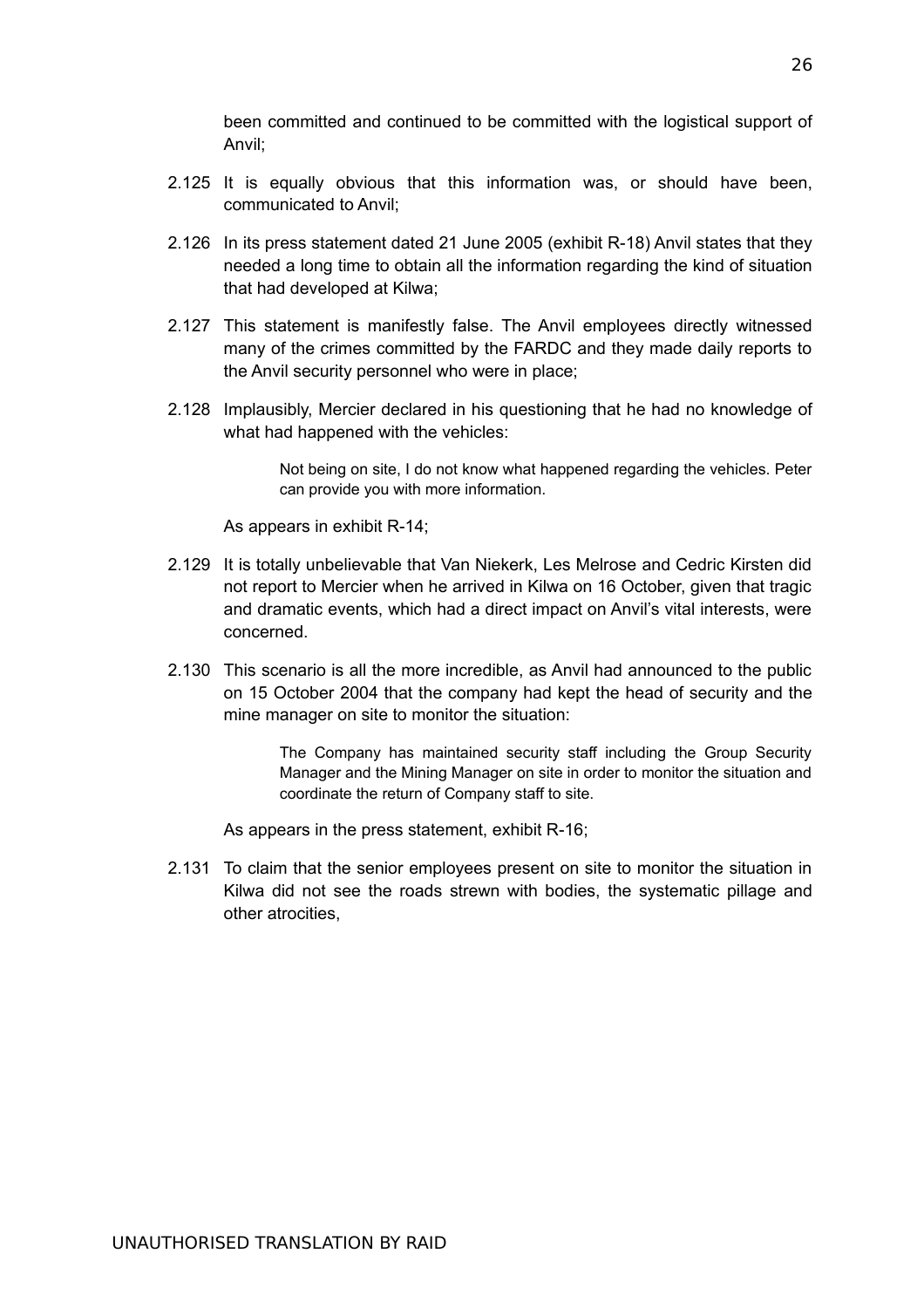been committed and continued to be committed with the logistical support of Anvil;

- 2.125 It is equally obvious that this information was, or should have been, communicated to Anvil;
- 2.126 In its press statement dated 21 June 2005 (exhibit R-18) Anvil states that they needed a long time to obtain all the information regarding the kind of situation that had developed at Kilwa;
- 2.127 This statement is manifestly false. The Anvil employees directly witnessed many of the crimes committed by the FARDC and they made daily reports to the Anvil security personnel who were in place;
- 2.128 Implausibly, Mercier declared in his questioning that he had no knowledge of what had happened with the vehicles:

Not being on site, I do not know what happened regarding the vehicles. Peter can provide you with more information.

As appears in exhibit R-14;

- 2.129 It is totally unbelievable that Van Niekerk, Les Melrose and Cedric Kirsten did not report to Mercier when he arrived in Kilwa on 16 October, given that tragic and dramatic events, which had a direct impact on Anvil's vital interests, were concerned.
- 2.130 This scenario is all the more incredible, as Anvil had announced to the public on 15 October 2004 that the company had kept the head of security and the mine manager on site to monitor the situation:

The Company has maintained security staff including the Group Security Manager and the Mining Manager on site in order to monitor the situation and coordinate the return of Company staff to site.

As appears in the press statement, exhibit R-16;

2.131 To claim that the senior employees present on site to monitor the situation in Kilwa did not see the roads strewn with bodies, the systematic pillage and other atrocities,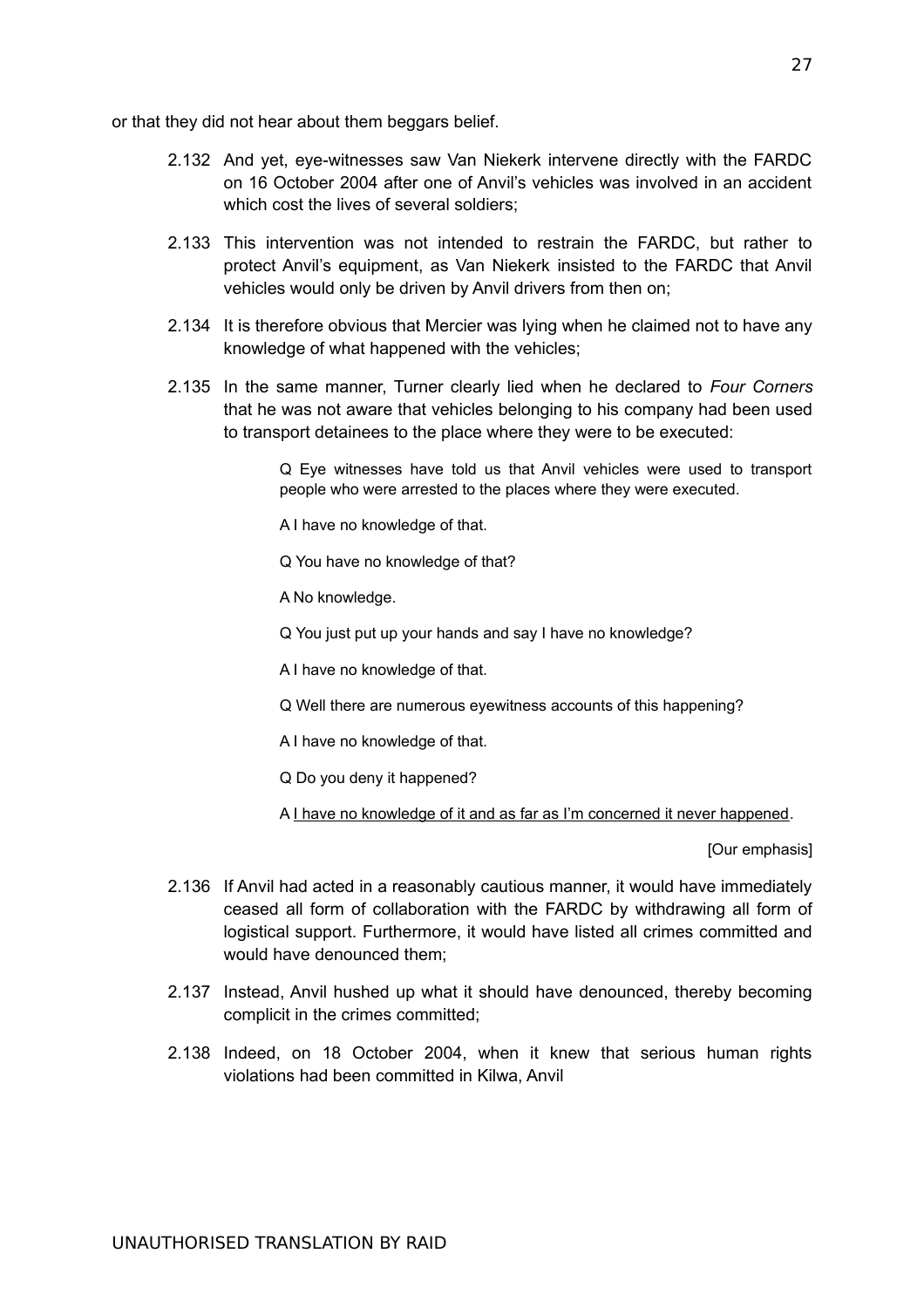or that they did not hear about them beggars belief.

- 2.132 And yet, eye-witnesses saw Van Niekerk intervene directly with the FARDC on 16 October 2004 after one of Anvil's vehicles was involved in an accident which cost the lives of several soldiers;
- 2.133 This intervention was not intended to restrain the FARDC, but rather to protect Anvil's equipment, as Van Niekerk insisted to the FARDC that Anvil vehicles would only be driven by Anvil drivers from then on;
- 2.134 It is therefore obvious that Mercier was lying when he claimed not to have any knowledge of what happened with the vehicles;
- 2.135 In the same manner, Turner clearly lied when he declared to *Four Corners* that he was not aware that vehicles belonging to his company had been used to transport detainees to the place where they were to be executed:

Q Eye witnesses have told us that Anvil vehicles were used to transport people who were arrested to the places where they were executed.

A I have no knowledge of that.

Q You have no knowledge of that?

A No knowledge.

Q You just put up your hands and say I have no knowledge?

A I have no knowledge of that.

Q Well there are numerous eyewitness accounts of this happening?

A I have no knowledge of that.

Q Do you deny it happened?

A I have no knowledge of it and as far as I'm concerned it never happened.

[Our emphasis]

- 2.136 If Anvil had acted in a reasonably cautious manner, it would have immediately ceased all form of collaboration with the FARDC by withdrawing all form of logistical support. Furthermore, it would have listed all crimes committed and would have denounced them;
- 2.137 Instead, Anvil hushed up what it should have denounced, thereby becoming complicit in the crimes committed;
- 2.138 Indeed, on 18 October 2004, when it knew that serious human rights violations had been committed in Kilwa, Anvil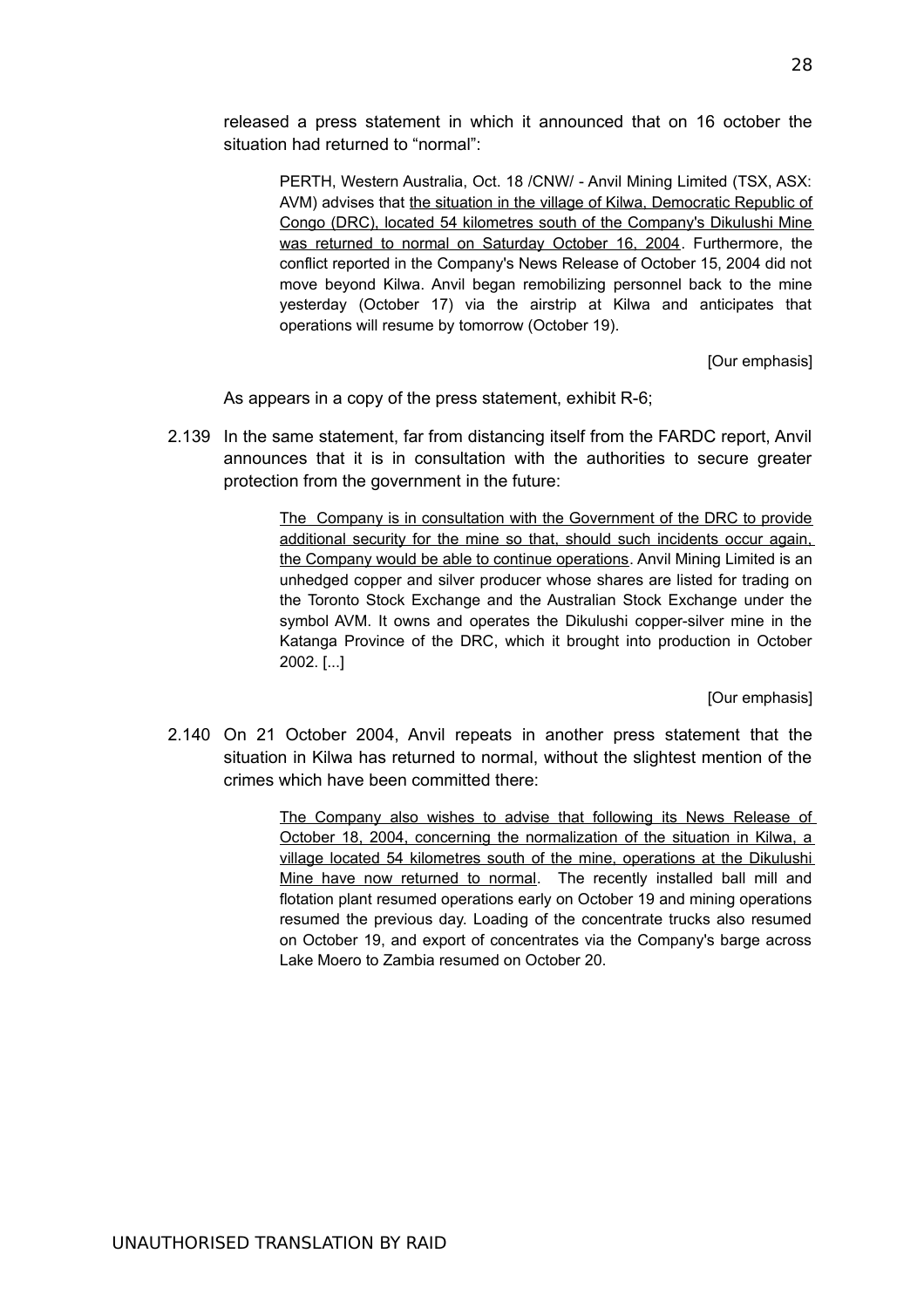released a press statement in which it announced that on 16 october the situation had returned to "normal":

PERTH, Western Australia, Oct. 18 /CNW/ - Anvil Mining Limited (TSX, ASX: AVM) advises that the situation in the village of Kilwa, Democratic Republic of Congo (DRC), located 54 kilometres south of the Company's Dikulushi Mine was returned to normal on Saturday October 16, 2004. Furthermore, the conflict reported in the Company's News Release of October 15, 2004 did not move beyond Kilwa. Anvil began remobilizing personnel back to the mine yesterday (October 17) via the airstrip at Kilwa and anticipates that operations will resume by tomorrow (October 19).

[Our emphasis]

As appears in a copy of the press statement, exhibit R-6;

2.139 In the same statement, far from distancing itself from the FARDC report, Anvil announces that it is in consultation with the authorities to secure greater protection from the government in the future:

> The Company is in consultation with the Government of the DRC to provide additional security for the mine so that, should such incidents occur again, the Company would be able to continue operations. Anvil Mining Limited is an unhedged copper and silver producer whose shares are listed for trading on the Toronto Stock Exchange and the Australian Stock Exchange under the symbol AVM. It owns and operates the Dikulushi copper-silver mine in the Katanga Province of the DRC, which it brought into production in October 2002. [...]

> > [Our emphasis]

2.140 On 21 October 2004, Anvil repeats in another press statement that the situation in Kilwa has returned to normal, without the slightest mention of the crimes which have been committed there:

> The Company also wishes to advise that following its News Release of October 18, 2004, concerning the normalization of the situation in Kilwa, a village located 54 kilometres south of the mine, operations at the Dikulushi Mine have now returned to normal. The recently installed ball mill and flotation plant resumed operations early on October 19 and mining operations resumed the previous day. Loading of the concentrate trucks also resumed on October 19, and export of concentrates via the Company's barge across Lake Moero to Zambia resumed on October 20.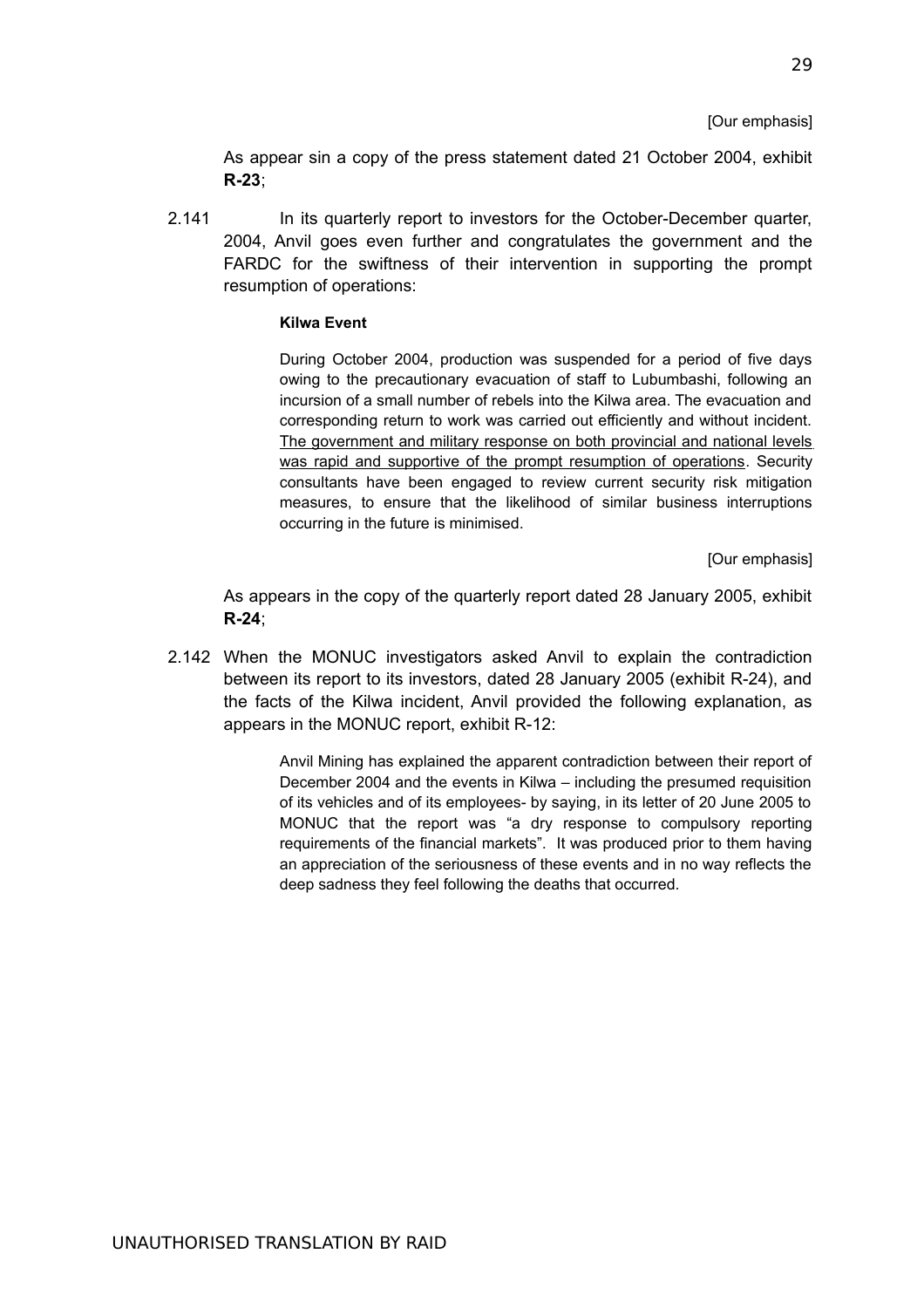[Our emphasis]

As appear sin a copy of the press statement dated 21 October 2004, exhibit **R-23**;

2.141 In its quarterly report to investors for the October-December quarter, 2004, Anvil goes even further and congratulates the government and the FARDC for the swiftness of their intervention in supporting the prompt resumption of operations:

### **Kilwa Event**

During October 2004, production was suspended for a period of five days owing to the precautionary evacuation of staff to Lubumbashi, following an incursion of a small number of rebels into the Kilwa area. The evacuation and corresponding return to work was carried out efficiently and without incident. The government and military response on both provincial and national levels was rapid and supportive of the prompt resumption of operations. Security consultants have been engaged to review current security risk mitigation measures, to ensure that the likelihood of similar business interruptions occurring in the future is minimised.

[Our emphasis]

As appears in the copy of the quarterly report dated 28 January 2005, exhibit **R-24**;

2.142 When the MONUC investigators asked Anvil to explain the contradiction between its report to its investors, dated 28 January 2005 (exhibit R-24), and the facts of the Kilwa incident, Anvil provided the following explanation, as appears in the MONUC report, exhibit R-12:

> Anvil Mining has explained the apparent contradiction between their report of December 2004 and the events in Kilwa – including the presumed requisition of its vehicles and of its employees- by saying, in its letter of 20 June 2005 to MONUC that the report was "a dry response to compulsory reporting requirements of the financial markets". It was produced prior to them having an appreciation of the seriousness of these events and in no way reflects the deep sadness they feel following the deaths that occurred.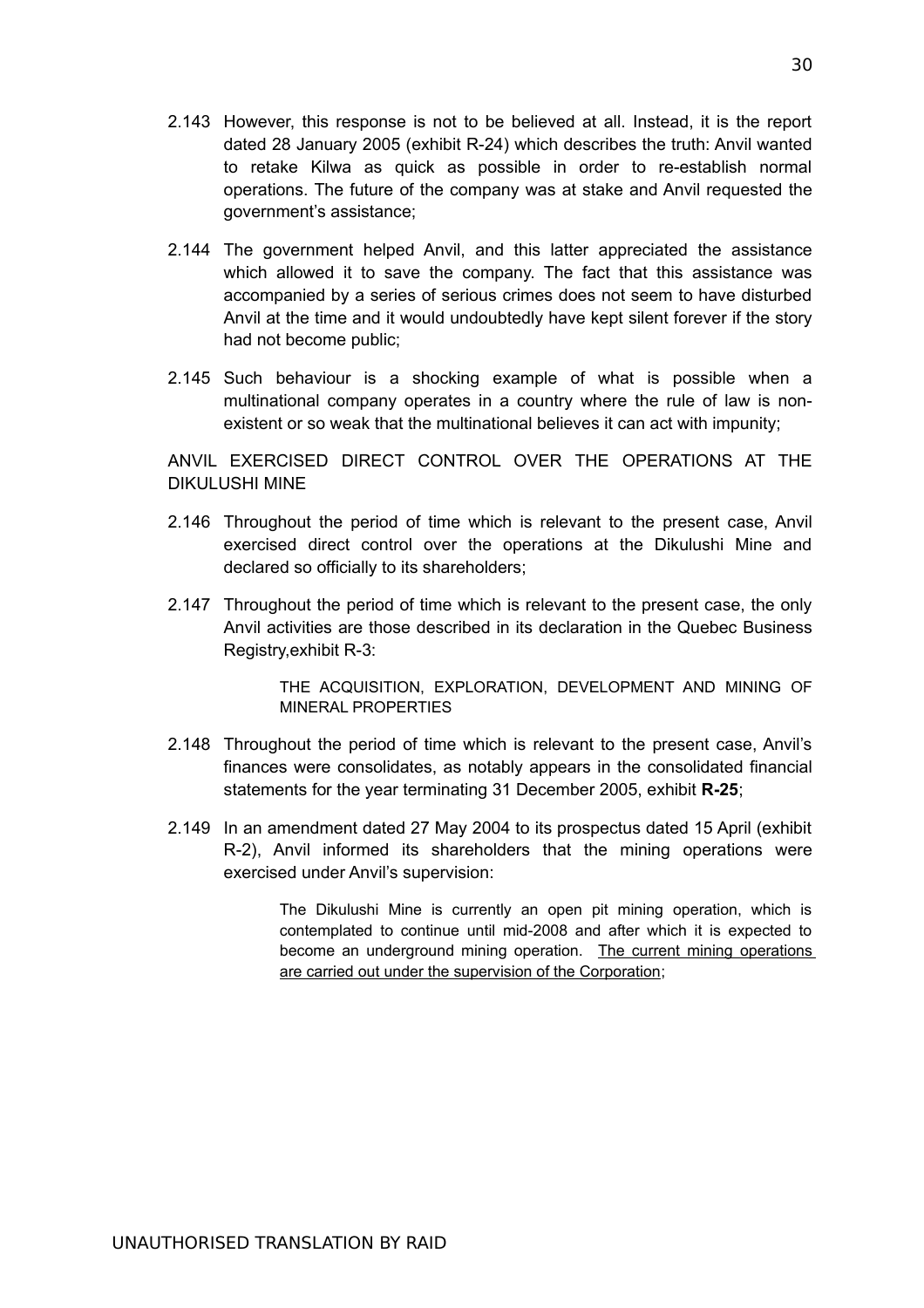- 2.143 However, this response is not to be believed at all. Instead, it is the report dated 28 January 2005 (exhibit R-24) which describes the truth: Anvil wanted to retake Kilwa as quick as possible in order to re-establish normal operations. The future of the company was at stake and Anvil requested the government's assistance;
- 2.144 The government helped Anvil, and this latter appreciated the assistance which allowed it to save the company. The fact that this assistance was accompanied by a series of serious crimes does not seem to have disturbed Anvil at the time and it would undoubtedly have kept silent forever if the story had not become public;
- 2.145 Such behaviour is a shocking example of what is possible when a multinational company operates in a country where the rule of law is nonexistent or so weak that the multinational believes it can act with impunity;

ANVIL EXERCISED DIRECT CONTROL OVER THE OPERATIONS AT THE DIKULUSHI MINE

- 2.146 Throughout the period of time which is relevant to the present case, Anvil exercised direct control over the operations at the Dikulushi Mine and declared so officially to its shareholders;
- 2.147 Throughout the period of time which is relevant to the present case, the only Anvil activities are those described in its declaration in the Quebec Business Registry,exhibit R-3:

THE ACQUISITION, EXPLORATION, DEVELOPMENT AND MINING OF MINERAL PROPERTIES

- 2.148 Throughout the period of time which is relevant to the present case, Anvil's finances were consolidates, as notably appears in the consolidated financial statements for the year terminating 31 December 2005, exhibit **R-25**;
- 2.149 In an amendment dated 27 May 2004 to its prospectus dated 15 April (exhibit R-2), Anvil informed its shareholders that the mining operations were exercised under Anvil's supervision:

The Dikulushi Mine is currently an open pit mining operation, which is contemplated to continue until mid-2008 and after which it is expected to become an underground mining operation. The current mining operations are carried out under the supervision of the Corporation;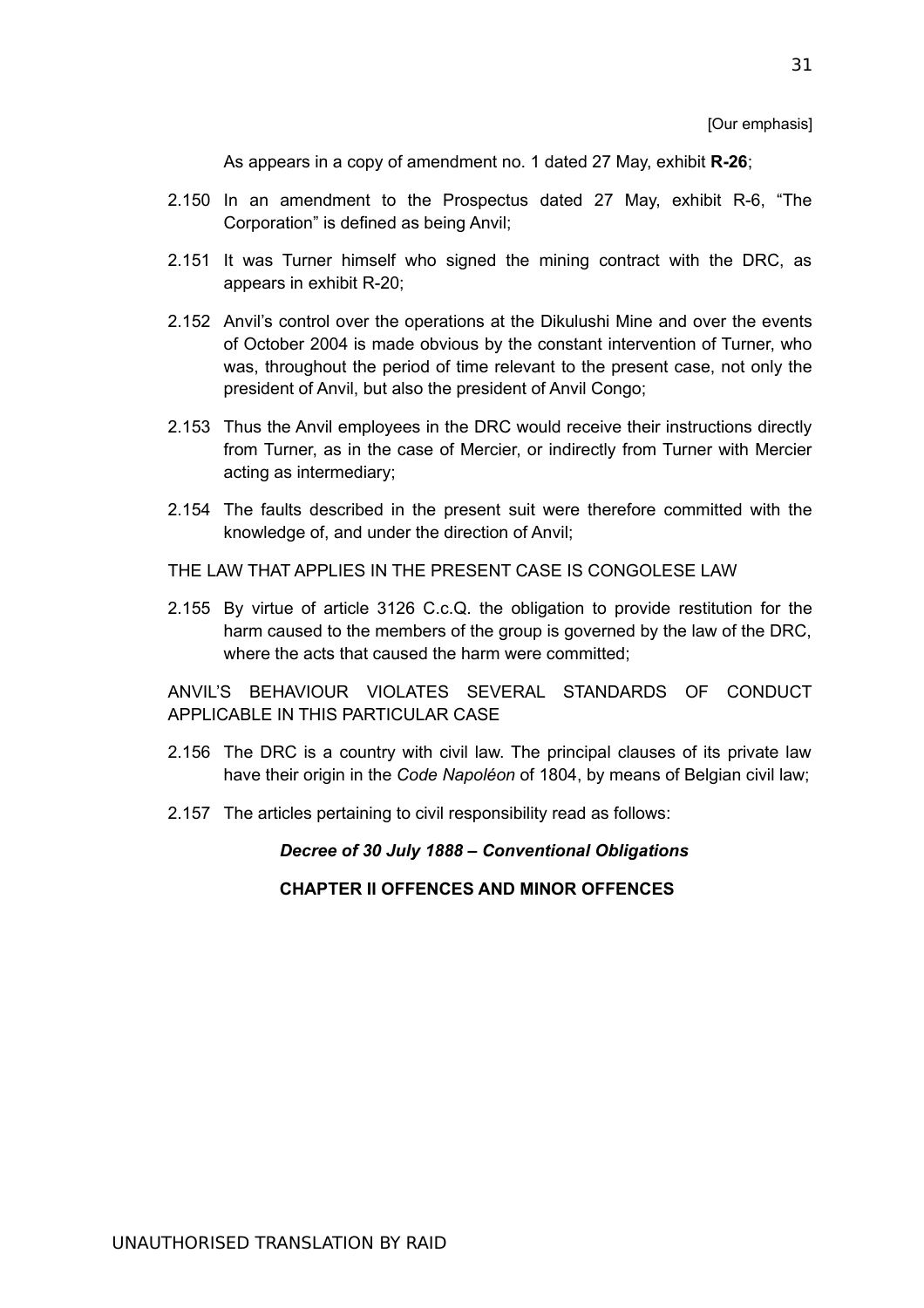[Our emphasis]

As appears in a copy of amendment no. 1 dated 27 May, exhibit **R-26**;

- 2.150 In an amendment to the Prospectus dated 27 May, exhibit R-6, "The Corporation" is defined as being Anvil;
- 2.151 It was Turner himself who signed the mining contract with the DRC, as appears in exhibit R-20;
- 2.152 Anvil's control over the operations at the Dikulushi Mine and over the events of October 2004 is made obvious by the constant intervention of Turner, who was, throughout the period of time relevant to the present case, not only the president of Anvil, but also the president of Anvil Congo;
- 2.153 Thus the Anvil employees in the DRC would receive their instructions directly from Turner, as in the case of Mercier, or indirectly from Turner with Mercier acting as intermediary;
- 2.154 The faults described in the present suit were therefore committed with the knowledge of, and under the direction of Anvil;
- THE LAW THAT APPLIES IN THE PRESENT CASE IS CONGOLESE LAW
- 2.155 By virtue of article 3126 C.c.Q. the obligation to provide restitution for the harm caused to the members of the group is governed by the law of the DRC, where the acts that caused the harm were committed:

ANVIL'S BEHAVIOUR VIOLATES SEVERAL STANDARDS OF CONDUCT APPLICABLE IN THIS PARTICULAR CASE

- 2.156 The DRC is a country with civil law. The principal clauses of its private law have their origin in the *Code Napoléon* of 1804, by means of Belgian civil law;
- 2.157 The articles pertaining to civil responsibility read as follows:

*Decree of 30 July 1888 – Conventional Obligations*

### **CHAPTER II OFFENCES AND MINOR OFFENCES**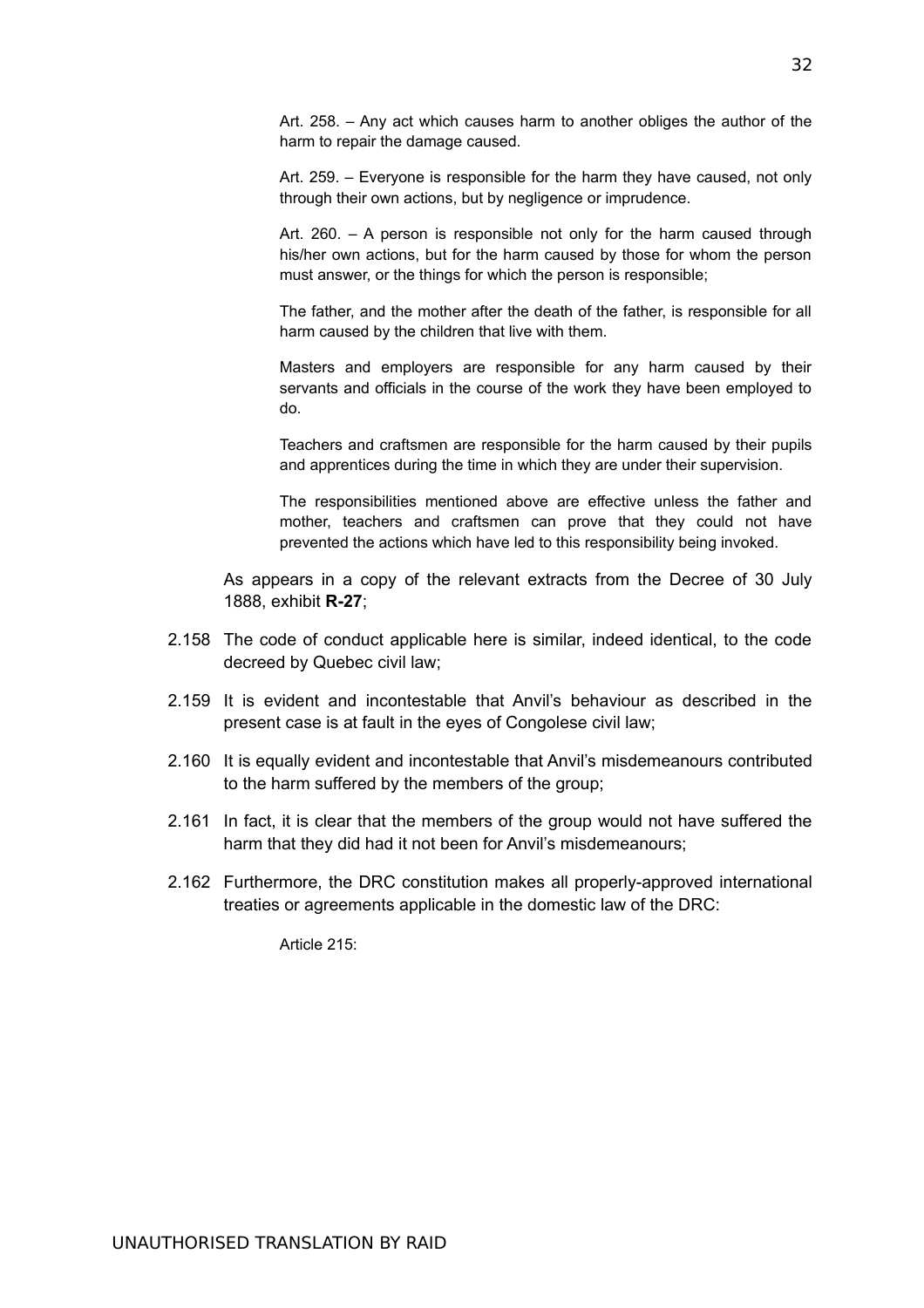Art. 258. – Any act which causes harm to another obliges the author of the harm to repair the damage caused.

Art. 259. – Everyone is responsible for the harm they have caused, not only through their own actions, but by negligence or imprudence.

Art. 260. – A person is responsible not only for the harm caused through his/her own actions, but for the harm caused by those for whom the person must answer, or the things for which the person is responsible;

The father, and the mother after the death of the father, is responsible for all harm caused by the children that live with them.

Masters and employers are responsible for any harm caused by their servants and officials in the course of the work they have been employed to do.

Teachers and craftsmen are responsible for the harm caused by their pupils and apprentices during the time in which they are under their supervision.

The responsibilities mentioned above are effective unless the father and mother, teachers and craftsmen can prove that they could not have prevented the actions which have led to this responsibility being invoked.

As appears in a copy of the relevant extracts from the Decree of 30 July 1888, exhibit **R-27**;

- 2.158 The code of conduct applicable here is similar, indeed identical, to the code decreed by Quebec civil law;
- 2.159 It is evident and incontestable that Anvil's behaviour as described in the present case is at fault in the eyes of Congolese civil law;
- 2.160 It is equally evident and incontestable that Anvil's misdemeanours contributed to the harm suffered by the members of the group;
- 2.161 In fact, it is clear that the members of the group would not have suffered the harm that they did had it not been for Anvil's misdemeanours;
- 2.162 Furthermore, the DRC constitution makes all properly-approved international treaties or agreements applicable in the domestic law of the DRC:

Article 215: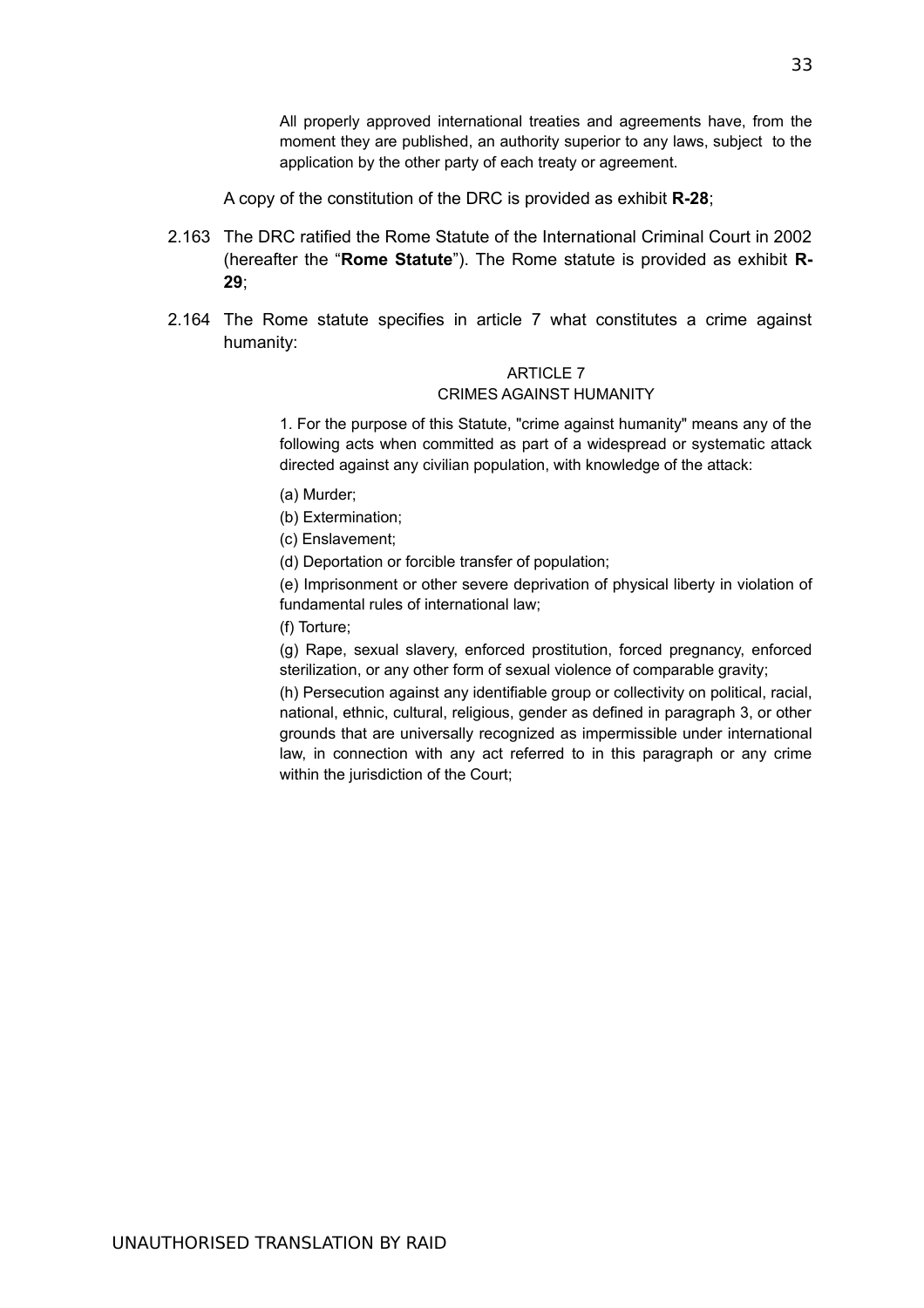All properly approved international treaties and agreements have, from the moment they are published, an authority superior to any laws, subject to the application by the other party of each treaty or agreement.

A copy of the constitution of the DRC is provided as exhibit **R-28**;

- 2.163 The DRC ratified the Rome Statute of the International Criminal Court in 2002 (hereafter the "**Rome Statute**"). The Rome statute is provided as exhibit **R-29**;
- 2.164 The Rome statute specifies in article 7 what constitutes a crime against humanity:

## **ARTICLE 7**

#### CRIMES AGAINST HUMANITY

1. For the purpose of this Statute, "crime against humanity" means any of the following acts when committed as part of a widespread or systematic attack directed against any civilian population, with knowledge of the attack:

- (a) Murder;
- (b) Extermination;
- (c) Enslavement;
- (d) Deportation or forcible transfer of population;

(e) Imprisonment or other severe deprivation of physical liberty in violation of fundamental rules of international law;

(f) Torture;

(g) Rape, sexual slavery, enforced prostitution, forced pregnancy, enforced sterilization, or any other form of sexual violence of comparable gravity;

(h) Persecution against any identifiable group or collectivity on political, racial, national, ethnic, cultural, religious, gender as defined in paragraph 3, or other grounds that are universally recognized as impermissible under international law, in connection with any act referred to in this paragraph or any crime within the jurisdiction of the Court;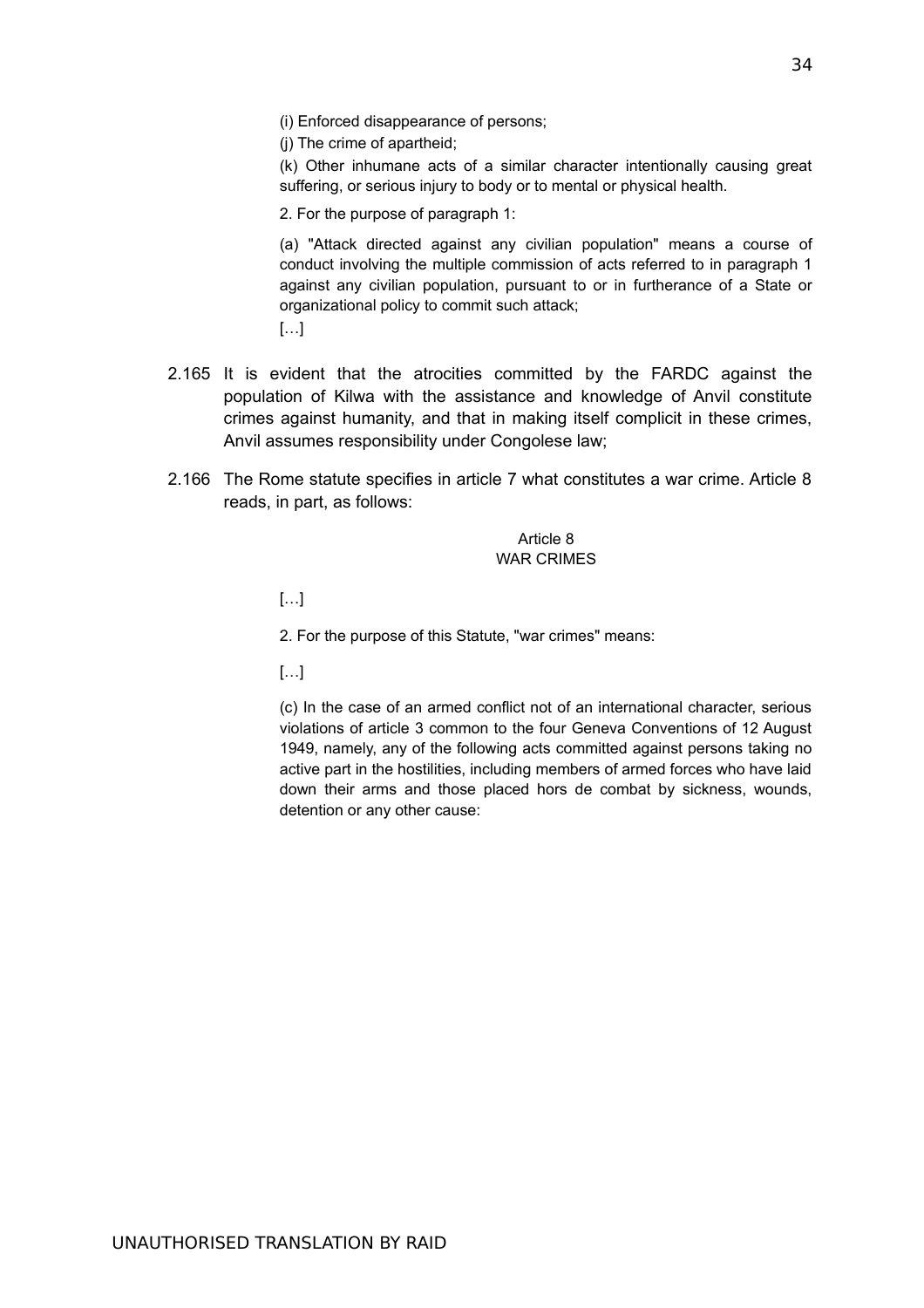(i) Enforced disappearance of persons;

(j) The crime of apartheid;

(k) Other inhumane acts of a similar character intentionally causing great suffering, or serious injury to body or to mental or physical health.

2. For the purpose of paragraph 1:

(a) "Attack directed against any civilian population" means a course of conduct involving the multiple commission of acts referred to in paragraph 1 against any civilian population, pursuant to or in furtherance of a State or organizational policy to commit such attack;

[…]

- 2.165 It is evident that the atrocities committed by the FARDC against the population of Kilwa with the assistance and knowledge of Anvil constitute crimes against humanity, and that in making itself complicit in these crimes, Anvil assumes responsibility under Congolese law;
- 2.166 The Rome statute specifies in article 7 what constitutes a war crime. Article 8 reads, in part, as follows:

Article 8 WAR CRIMES

 $[\ldots]$ 

2. For the purpose of this Statute, "war crimes" means:

[…]

(c) In the case of an armed conflict not of an international character, serious violations of article 3 common to the four Geneva Conventions of 12 August 1949, namely, any of the following acts committed against persons taking no active part in the hostilities, including members of armed forces who have laid down their arms and those placed hors de combat by sickness, wounds, detention or any other cause: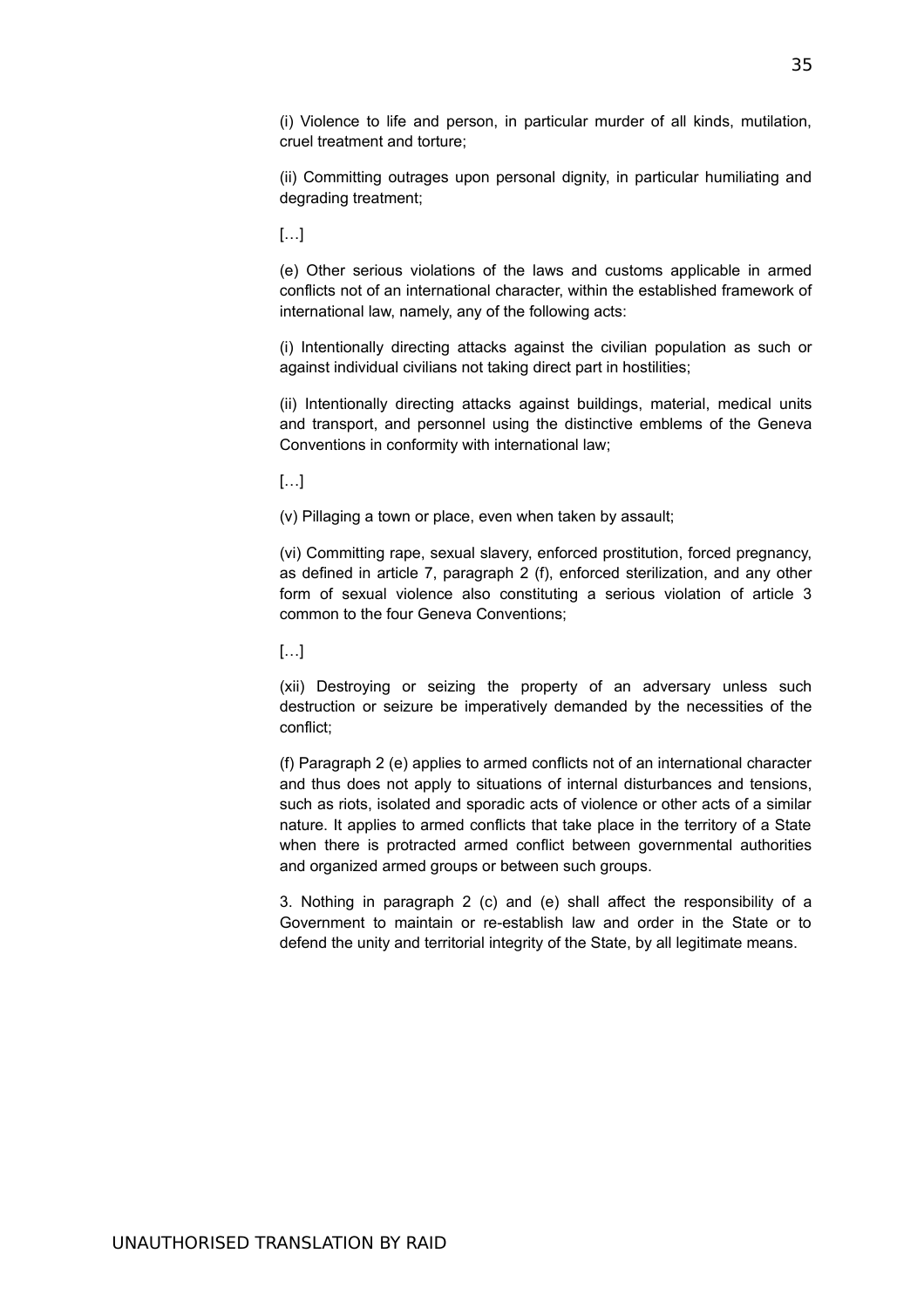(i) Violence to life and person, in particular murder of all kinds, mutilation, cruel treatment and torture;

(ii) Committing outrages upon personal dignity, in particular humiliating and degrading treatment;

[…]

(e) Other serious violations of the laws and customs applicable in armed conflicts not of an international character, within the established framework of international law, namely, any of the following acts:

(i) Intentionally directing attacks against the civilian population as such or against individual civilians not taking direct part in hostilities;

(ii) Intentionally directing attacks against buildings, material, medical units and transport, and personnel using the distinctive emblems of the Geneva Conventions in conformity with international law;

[…]

(v) Pillaging a town or place, even when taken by assault;

(vi) Committing rape, sexual slavery, enforced prostitution, forced pregnancy, as defined in article 7, paragraph 2 (f), enforced sterilization, and any other form of sexual violence also constituting a serious violation of article 3 common to the four Geneva Conventions;

[…]

(xii) Destroying or seizing the property of an adversary unless such destruction or seizure be imperatively demanded by the necessities of the conflict;

(f) Paragraph 2 (e) applies to armed conflicts not of an international character and thus does not apply to situations of internal disturbances and tensions, such as riots, isolated and sporadic acts of violence or other acts of a similar nature. It applies to armed conflicts that take place in the territory of a State when there is protracted armed conflict between governmental authorities and organized armed groups or between such groups.

3. Nothing in paragraph 2 (c) and (e) shall affect the responsibility of a Government to maintain or re-establish law and order in the State or to defend the unity and territorial integrity of the State, by all legitimate means.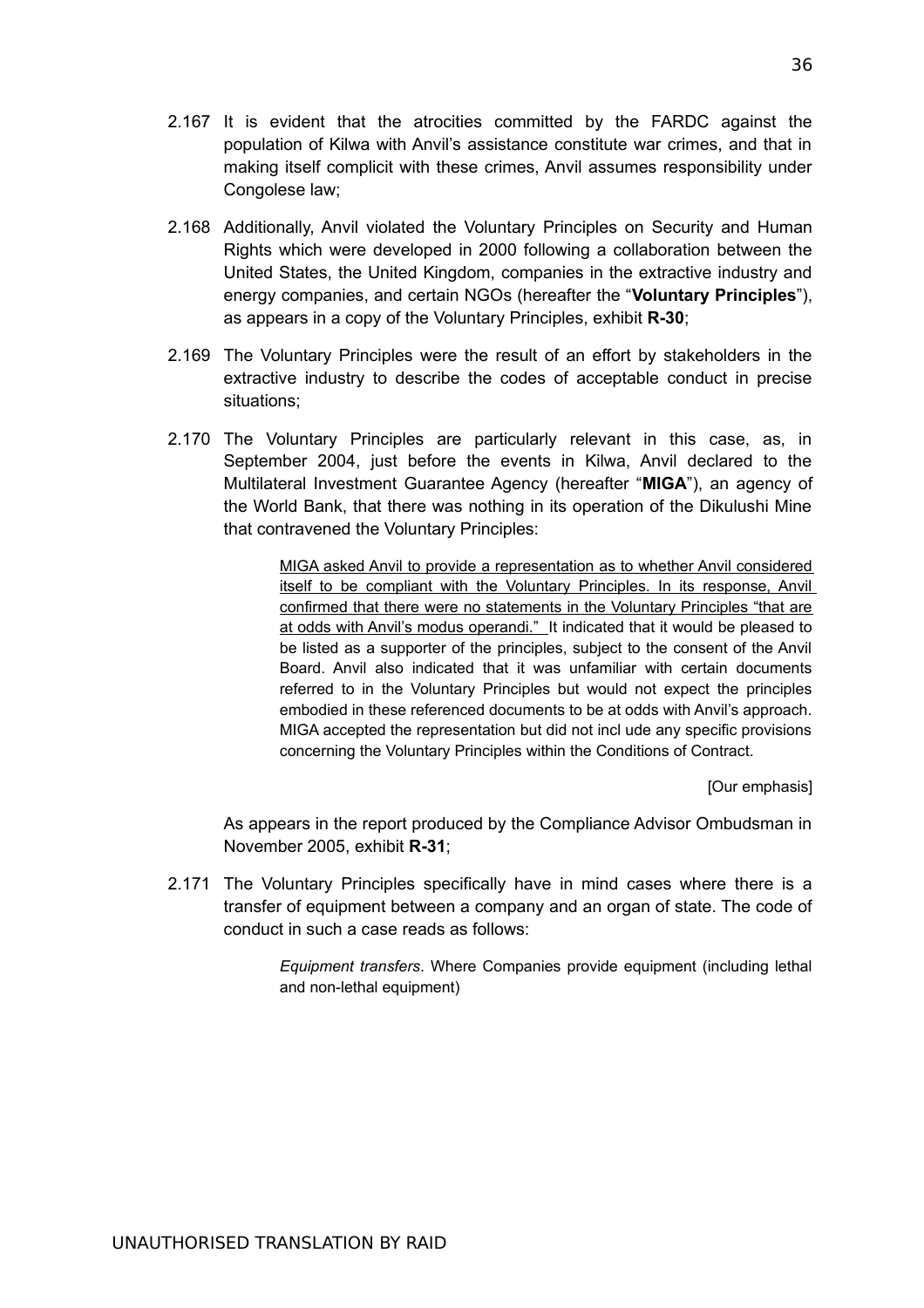- 2.167 It is evident that the atrocities committed by the FARDC against the population of Kilwa with Anvil's assistance constitute war crimes, and that in making itself complicit with these crimes, Anvil assumes responsibility under Congolese law;
- 2.168 Additionally, Anvil violated the Voluntary Principles on Security and Human Rights which were developed in 2000 following a collaboration between the United States, the United Kingdom, companies in the extractive industry and energy companies, and certain NGOs (hereafter the "**Voluntary Principles**"), as appears in a copy of the Voluntary Principles, exhibit **R-30**;
- 2.169 The Voluntary Principles were the result of an effort by stakeholders in the extractive industry to describe the codes of acceptable conduct in precise situations;
- 2.170 The Voluntary Principles are particularly relevant in this case, as, in September 2004, just before the events in Kilwa, Anvil declared to the Multilateral Investment Guarantee Agency (hereafter "**MIGA**"), an agency of the World Bank, that there was nothing in its operation of the Dikulushi Mine that contravened the Voluntary Principles:

MIGA asked Anvil to provide a representation as to whether Anvil considered itself to be compliant with the Voluntary Principles. In its response, Anvil confirmed that there were no statements in the Voluntary Principles "that are at odds with Anvil's modus operandi." It indicated that it would be pleased to be listed as a supporter of the principles, subject to the consent of the Anvil Board. Anvil also indicated that it was unfamiliar with certain documents referred to in the Voluntary Principles but would not expect the principles embodied in these referenced documents to be at odds with Anvil's approach. MIGA accepted the representation but did not incl ude any specific provisions concerning the Voluntary Principles within the Conditions of Contract.

[Our emphasis]

As appears in the report produced by the Compliance Advisor Ombudsman in November 2005, exhibit **R-31**;

2.171 The Voluntary Principles specifically have in mind cases where there is a transfer of equipment between a company and an organ of state. The code of conduct in such a case reads as follows:

> *Equipment transfers*. Where Companies provide equipment (including lethal and non-lethal equipment)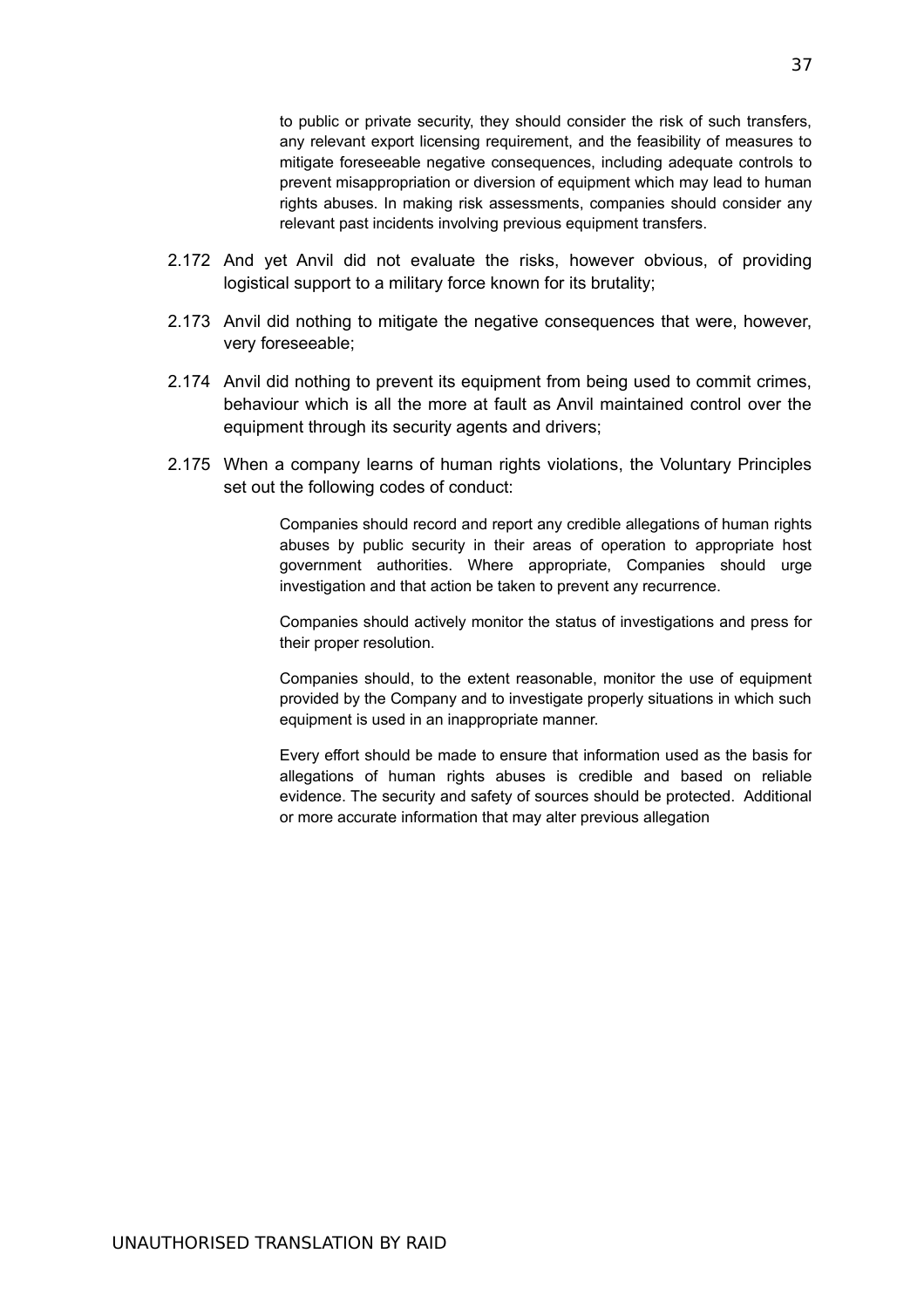to public or private security, they should consider the risk of such transfers, any relevant export licensing requirement, and the feasibility of measures to mitigate foreseeable negative consequences, including adequate controls to prevent misappropriation or diversion of equipment which may lead to human rights abuses. In making risk assessments, companies should consider any relevant past incidents involving previous equipment transfers.

- 2.172 And yet Anvil did not evaluate the risks, however obvious, of providing logistical support to a military force known for its brutality;
- 2.173 Anvil did nothing to mitigate the negative consequences that were, however, very foreseeable;
- 2.174 Anvil did nothing to prevent its equipment from being used to commit crimes, behaviour which is all the more at fault as Anvil maintained control over the equipment through its security agents and drivers;
- 2.175 When a company learns of human rights violations, the Voluntary Principles set out the following codes of conduct:

Companies should record and report any credible allegations of human rights abuses by public security in their areas of operation to appropriate host government authorities. Where appropriate, Companies should urge investigation and that action be taken to prevent any recurrence.

Companies should actively monitor the status of investigations and press for their proper resolution.

Companies should, to the extent reasonable, monitor the use of equipment provided by the Company and to investigate properly situations in which such equipment is used in an inappropriate manner.

Every effort should be made to ensure that information used as the basis for allegations of human rights abuses is credible and based on reliable evidence. The security and safety of sources should be protected. Additional or more accurate information that may alter previous allegation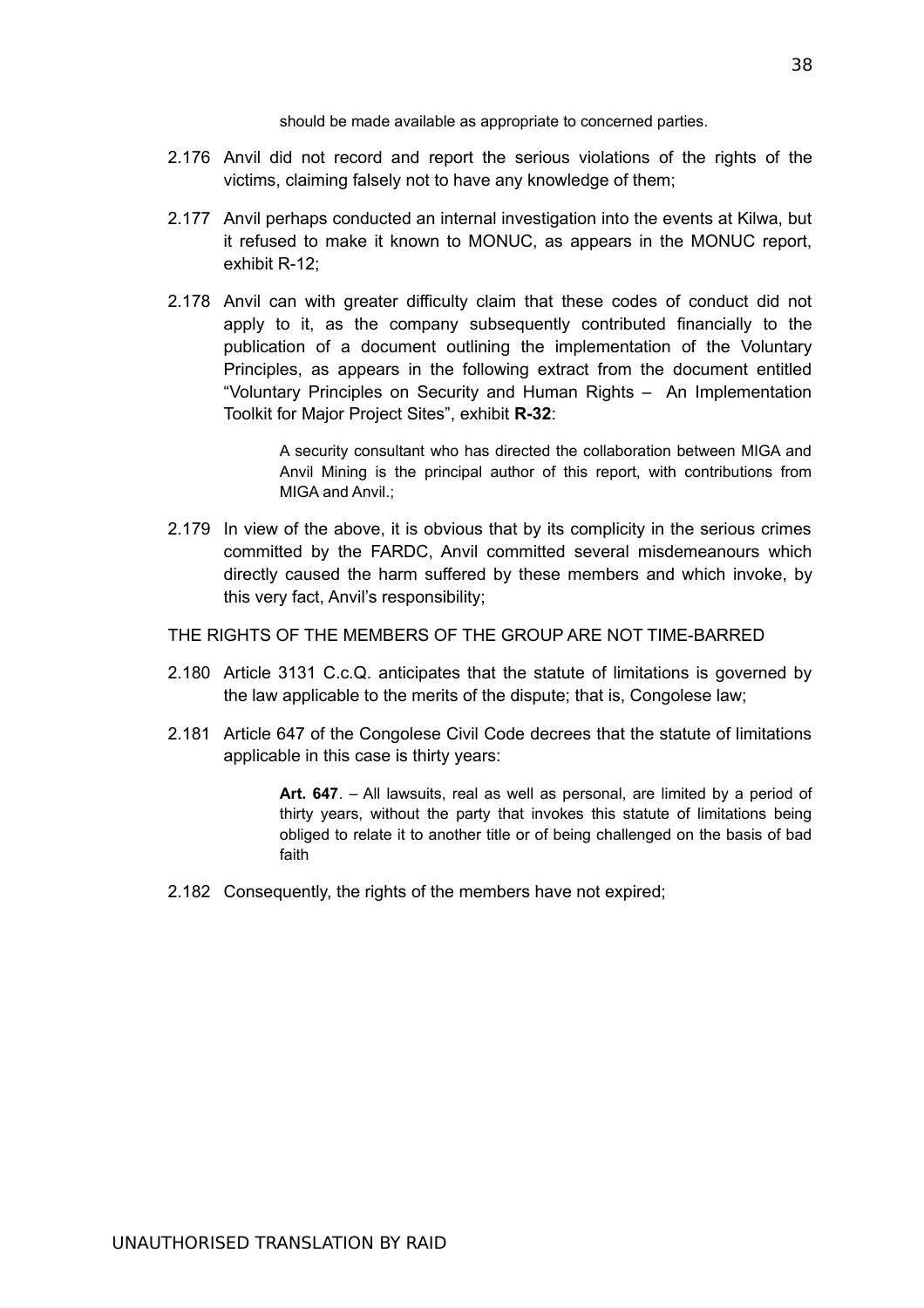should be made available as appropriate to concerned parties.

- 2.176 Anvil did not record and report the serious violations of the rights of the victims, claiming falsely not to have any knowledge of them;
- 2.177 Anvil perhaps conducted an internal investigation into the events at Kilwa, but it refused to make it known to MONUC, as appears in the MONUC report, exhibit R-12;
- 2.178 Anvil can with greater difficulty claim that these codes of conduct did not apply to it, as the company subsequently contributed financially to the publication of a document outlining the implementation of the Voluntary Principles, as appears in the following extract from the document entitled "Voluntary Principles on Security and Human Rights – An Implementation Toolkit for Major Project Sites", exhibit **R-32**:

A security consultant who has directed the collaboration between MIGA and Anvil Mining is the principal author of this report, with contributions from MIGA and Anvil.;

2.179 In view of the above, it is obvious that by its complicity in the serious crimes committed by the FARDC, Anvil committed several misdemeanours which directly caused the harm suffered by these members and which invoke, by this very fact, Anvil's responsibility;

THE RIGHTS OF THE MEMBERS OF THE GROUP ARE NOT TIME-BARRED

- 2.180 Article 3131 C.c.Q. anticipates that the statute of limitations is governed by the law applicable to the merits of the dispute; that is, Congolese law;
- 2.181 Article 647 of the Congolese Civil Code decrees that the statute of limitations applicable in this case is thirty years:

**Art. 647**. – All lawsuits, real as well as personal, are limited by a period of thirty years, without the party that invokes this statute of limitations being obliged to relate it to another title or of being challenged on the basis of bad faith

2.182 Consequently, the rights of the members have not expired;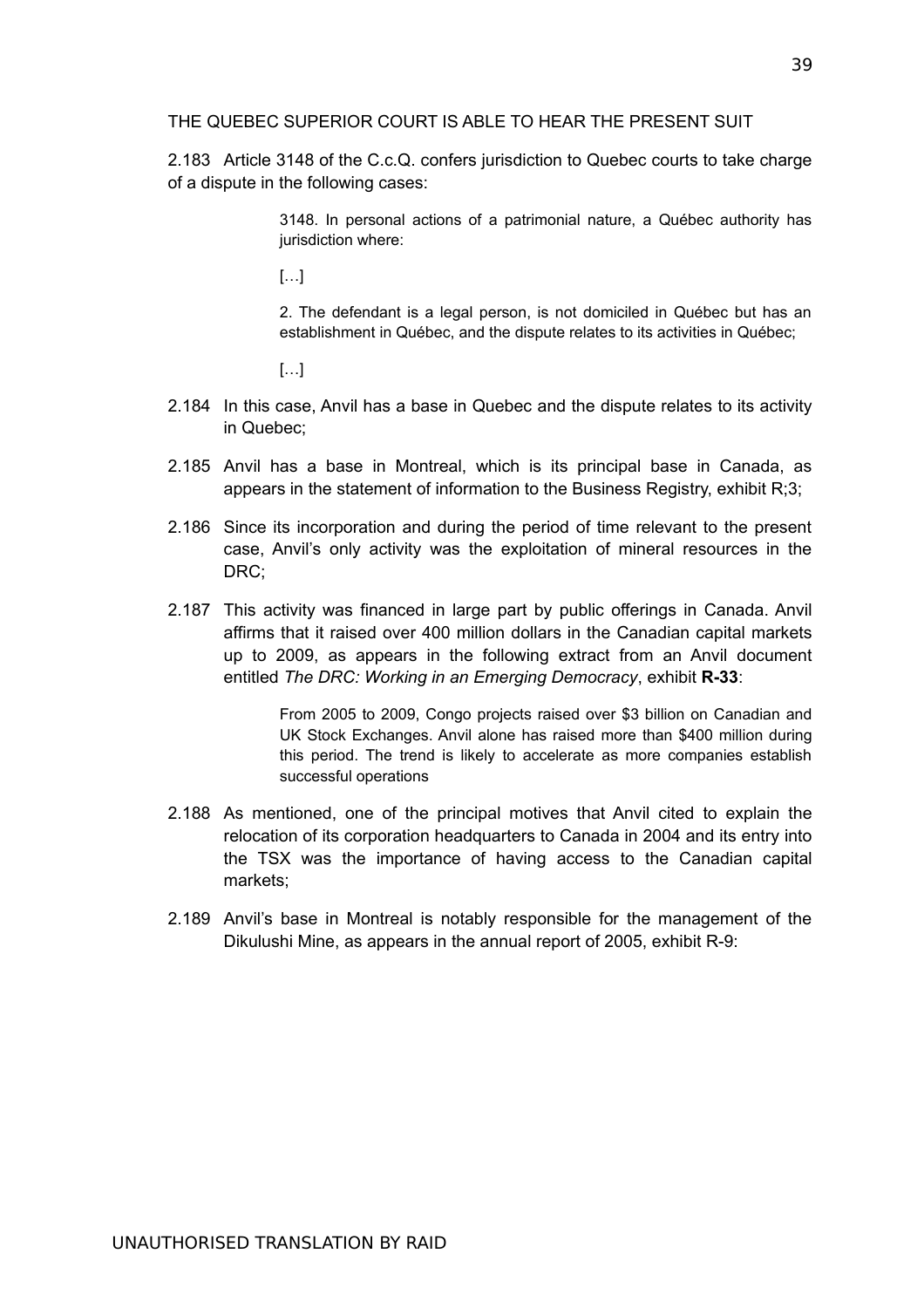#### THE QUEBEC SUPERIOR COURT IS ABLE TO HEAR THE PRESENT SUIT

2.183 Article 3148 of the C.c.Q. confers jurisdiction to Quebec courts to take charge of a dispute in the following cases:

> 3148. In personal actions of a patrimonial nature, a Québec authority has jurisdiction where:

[…]

2. The defendant is a legal person, is not domiciled in Québec but has an establishment in Québec, and the dispute relates to its activities in Québec;

 $[\ldots]$ 

- 2.184 In this case, Anvil has a base in Quebec and the dispute relates to its activity in Quebec;
- 2.185 Anvil has a base in Montreal, which is its principal base in Canada, as appears in the statement of information to the Business Registry, exhibit R;3;
- 2.186 Since its incorporation and during the period of time relevant to the present case, Anvil's only activity was the exploitation of mineral resources in the DRC;
- 2.187 This activity was financed in large part by public offerings in Canada. Anvil affirms that it raised over 400 million dollars in the Canadian capital markets up to 2009, as appears in the following extract from an Anvil document entitled *The DRC: Working in an Emerging Democracy*, exhibit **R-33**:

From 2005 to 2009, Congo projects raised over \$3 billion on Canadian and UK Stock Exchanges. Anvil alone has raised more than \$400 million during this period. The trend is likely to accelerate as more companies establish successful operations

- 2.188 As mentioned, one of the principal motives that Anvil cited to explain the relocation of its corporation headquarters to Canada in 2004 and its entry into the TSX was the importance of having access to the Canadian capital markets;
- 2.189 Anvil's base in Montreal is notably responsible for the management of the Dikulushi Mine, as appears in the annual report of 2005, exhibit R-9: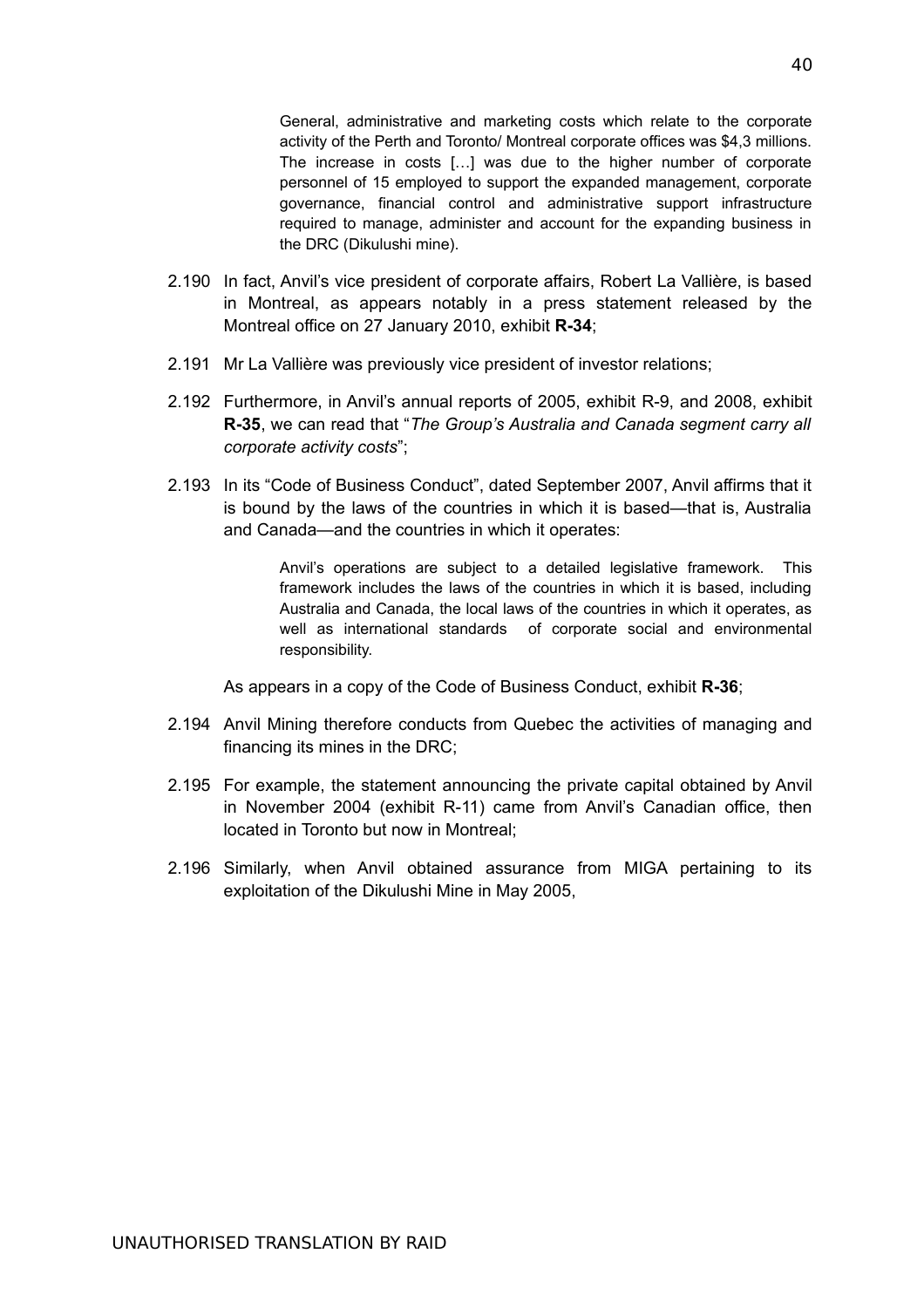General, administrative and marketing costs which relate to the corporate activity of the Perth and Toronto/ Montreal corporate offices was \$4,3 millions. The increase in costs […] was due to the higher number of corporate personnel of 15 employed to support the expanded management, corporate governance, financial control and administrative support infrastructure required to manage, administer and account for the expanding business in the DRC (Dikulushi mine).

- 2.190 In fact, Anvil's vice president of corporate affairs, Robert La Vallière, is based in Montreal, as appears notably in a press statement released by the Montreal office on 27 January 2010, exhibit **R-34**;
- 2.191 Mr La Vallière was previously vice president of investor relations;
- 2.192 Furthermore, in Anvil's annual reports of 2005, exhibit R-9, and 2008, exhibit **R-35**, we can read that "*The Group's Australia and Canada segment carry all corporate activity costs*";
- 2.193 In its "Code of Business Conduct", dated September 2007, Anvil affirms that it is bound by the laws of the countries in which it is based—that is, Australia and Canada—and the countries in which it operates:

Anvil's operations are subject to a detailed legislative framework. This framework includes the laws of the countries in which it is based, including Australia and Canada, the local laws of the countries in which it operates, as well as international standards of corporate social and environmental responsibility.

As appears in a copy of the Code of Business Conduct, exhibit **R-36**;

- 2.194 Anvil Mining therefore conducts from Quebec the activities of managing and financing its mines in the DRC;
- 2.195 For example, the statement announcing the private capital obtained by Anvil in November 2004 (exhibit R-11) came from Anvil's Canadian office, then located in Toronto but now in Montreal;
- 2.196 Similarly, when Anvil obtained assurance from MIGA pertaining to its exploitation of the Dikulushi Mine in May 2005,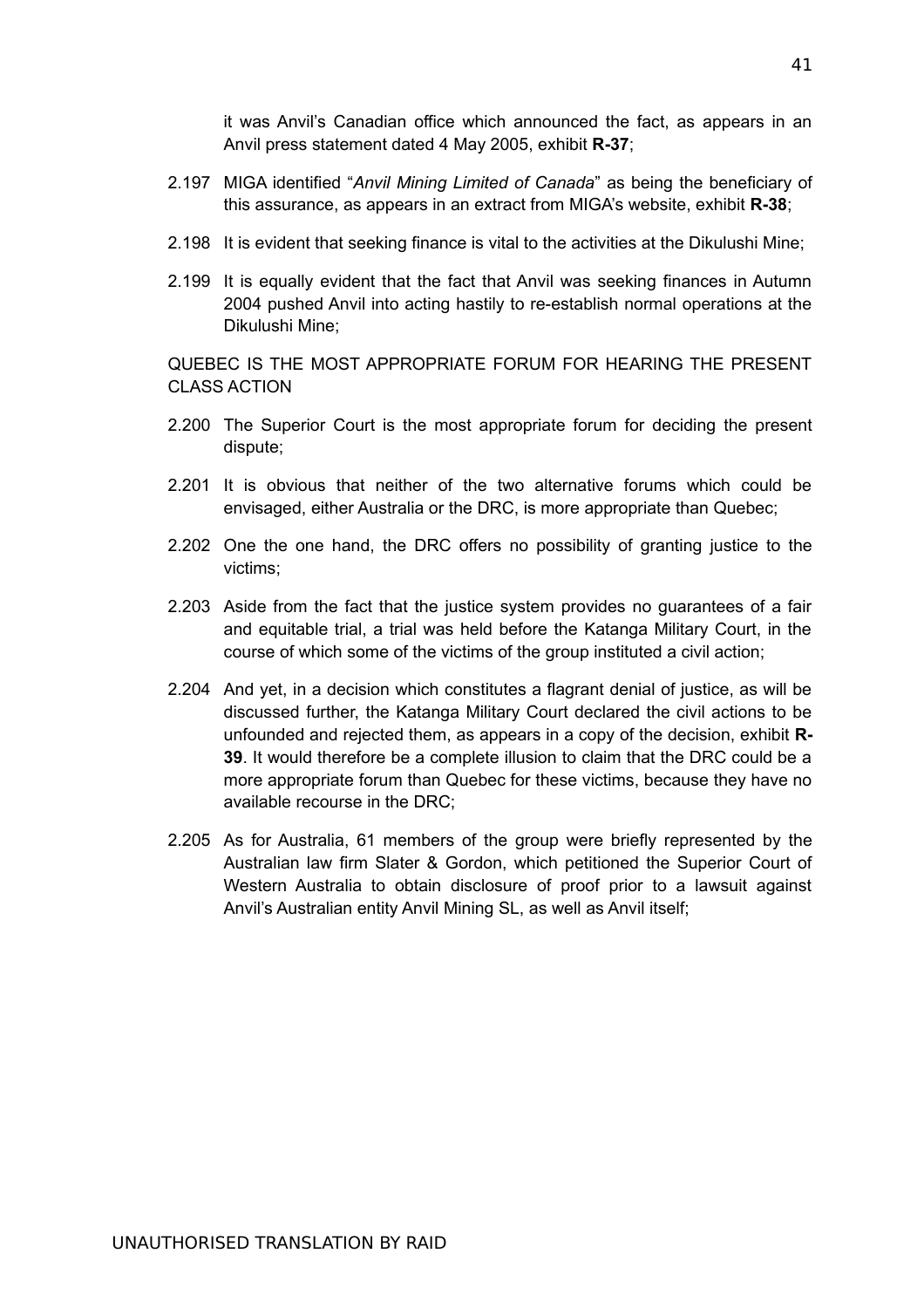it was Anvil's Canadian office which announced the fact, as appears in an Anvil press statement dated 4 May 2005, exhibit **R-37**;

- 2.197 MIGA identified "*Anvil Mining Limited of Canada*" as being the beneficiary of this assurance, as appears in an extract from MIGA's website, exhibit **R-38**;
- 2.198 It is evident that seeking finance is vital to the activities at the Dikulushi Mine;
- 2.199 It is equally evident that the fact that Anvil was seeking finances in Autumn 2004 pushed Anvil into acting hastily to re-establish normal operations at the Dikulushi Mine;

QUEBEC IS THE MOST APPROPRIATE FORUM FOR HEARING THE PRESENT CLASS ACTION

- 2.200 The Superior Court is the most appropriate forum for deciding the present dispute;
- 2.201 It is obvious that neither of the two alternative forums which could be envisaged, either Australia or the DRC, is more appropriate than Quebec;
- 2.202 One the one hand, the DRC offers no possibility of granting justice to the victims;
- 2.203 Aside from the fact that the justice system provides no guarantees of a fair and equitable trial, a trial was held before the Katanga Military Court, in the course of which some of the victims of the group instituted a civil action;
- 2.204 And yet, in a decision which constitutes a flagrant denial of justice, as will be discussed further, the Katanga Military Court declared the civil actions to be unfounded and rejected them, as appears in a copy of the decision, exhibit **R-39**. It would therefore be a complete illusion to claim that the DRC could be a more appropriate forum than Quebec for these victims, because they have no available recourse in the DRC;
- 2.205 As for Australia, 61 members of the group were briefly represented by the Australian law firm Slater & Gordon, which petitioned the Superior Court of Western Australia to obtain disclosure of proof prior to a lawsuit against Anvil's Australian entity Anvil Mining SL, as well as Anvil itself;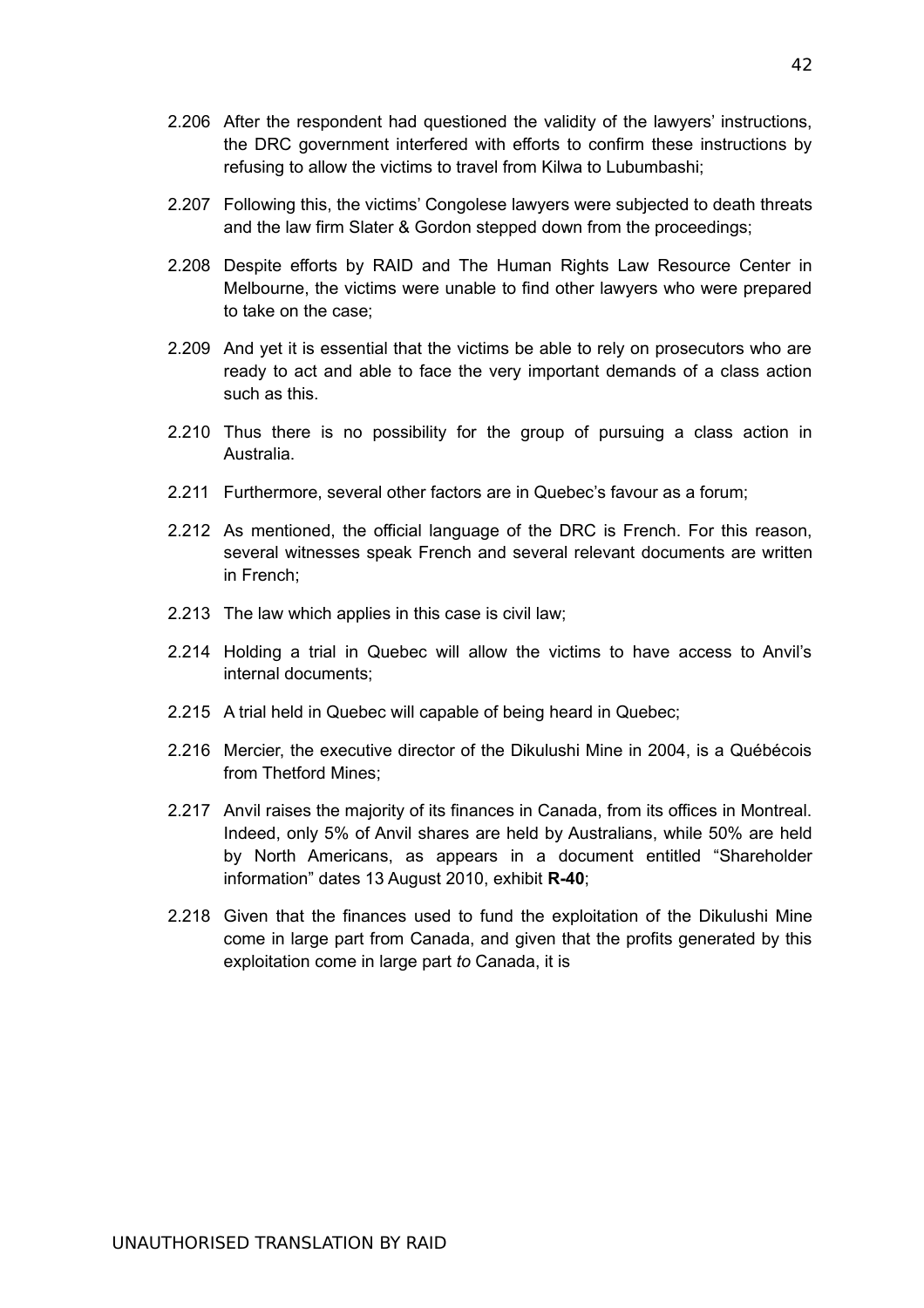- 2.206 After the respondent had questioned the validity of the lawyers' instructions, the DRC government interfered with efforts to confirm these instructions by refusing to allow the victims to travel from Kilwa to Lubumbashi;
- 2.207 Following this, the victims' Congolese lawyers were subjected to death threats and the law firm Slater & Gordon stepped down from the proceedings;
- 2.208 Despite efforts by RAID and The Human Rights Law Resource Center in Melbourne, the victims were unable to find other lawyers who were prepared to take on the case;
- 2.209 And yet it is essential that the victims be able to rely on prosecutors who are ready to act and able to face the very important demands of a class action such as this.
- 2.210 Thus there is no possibility for the group of pursuing a class action in Australia.
- 2.211 Furthermore, several other factors are in Quebec's favour as a forum;
- 2.212 As mentioned, the official language of the DRC is French. For this reason, several witnesses speak French and several relevant documents are written in French;
- 2.213 The law which applies in this case is civil law;
- 2.214 Holding a trial in Quebec will allow the victims to have access to Anvil's internal documents;
- 2.215 A trial held in Quebec will capable of being heard in Quebec;
- 2.216 Mercier, the executive director of the Dikulushi Mine in 2004, is a Québécois from Thetford Mines;
- 2.217 Anvil raises the majority of its finances in Canada, from its offices in Montreal. Indeed, only 5% of Anvil shares are held by Australians, while 50% are held by North Americans, as appears in a document entitled "Shareholder information" dates 13 August 2010, exhibit **R-40**;
- 2.218 Given that the finances used to fund the exploitation of the Dikulushi Mine come in large part from Canada, and given that the profits generated by this exploitation come in large part *to* Canada, it is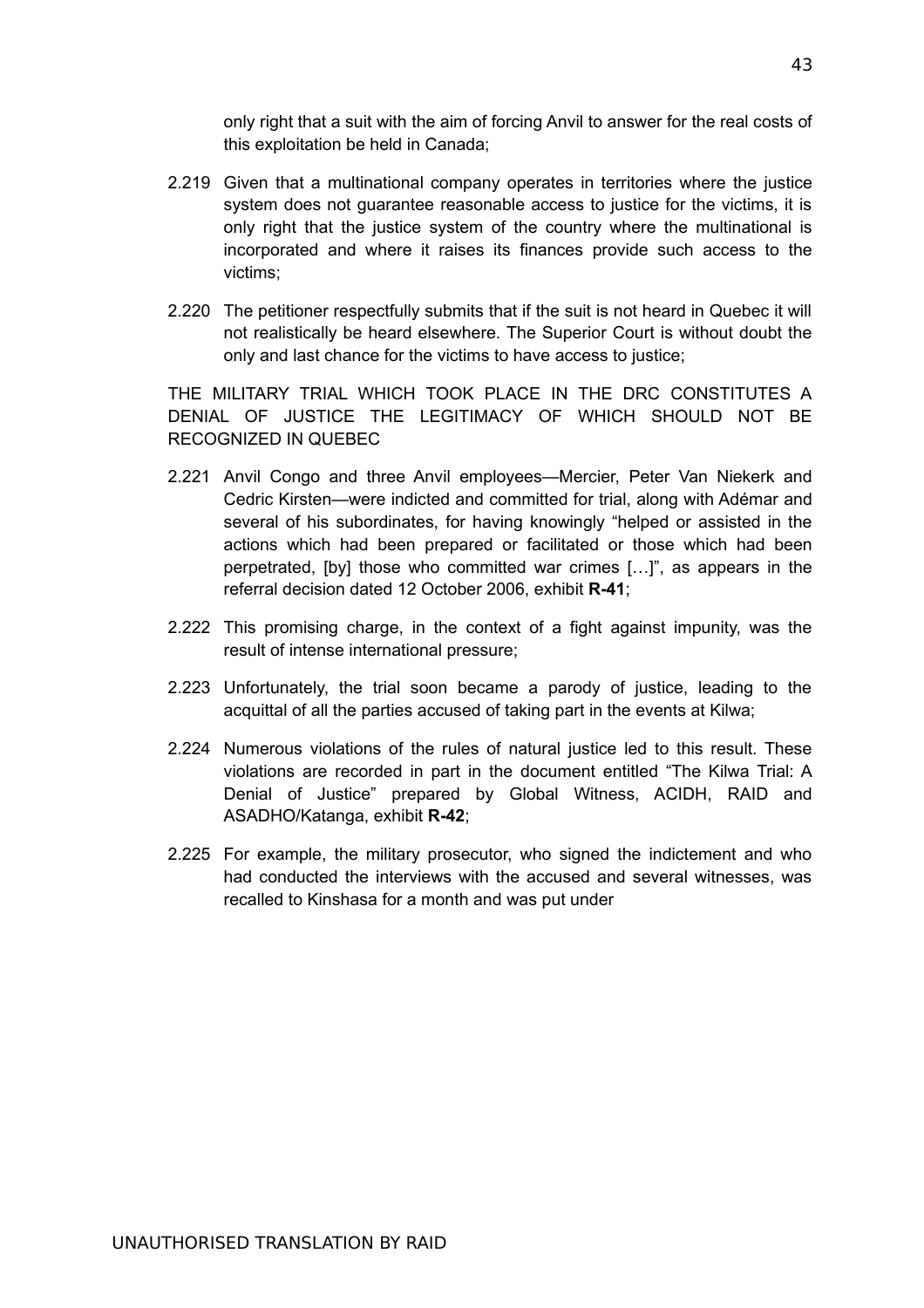only right that a suit with the aim of forcing Anvil to answer for the real costs of this exploitation be held in Canada;

- 2.219 Given that a multinational company operates in territories where the justice system does not guarantee reasonable access to justice for the victims, it is only right that the justice system of the country where the multinational is incorporated and where it raises its finances provide such access to the victims;
- 2.220 The petitioner respectfully submits that if the suit is not heard in Quebec it will not realistically be heard elsewhere. The Superior Court is without doubt the only and last chance for the victims to have access to justice;

THE MILITARY TRIAL WHICH TOOK PLACE IN THE DRC CONSTITUTES A DENIAL OF JUSTICE THE LEGITIMACY OF WHICH SHOULD NOT BE RECOGNIZED IN QUEBEC

- 2.221 Anvil Congo and three Anvil employees—Mercier, Peter Van Niekerk and Cedric Kirsten—were indicted and committed for trial, along with Adémar and several of his subordinates, for having knowingly "helped or assisted in the actions which had been prepared or facilitated or those which had been perpetrated, [by] those who committed war crimes […]", as appears in the referral decision dated 12 October 2006, exhibit **R-41**;
- 2.222 This promising charge, in the context of a fight against impunity, was the result of intense international pressure;
- 2.223 Unfortunately, the trial soon became a parody of justice, leading to the acquittal of all the parties accused of taking part in the events at Kilwa;
- 2.224 Numerous violations of the rules of natural justice led to this result. These violations are recorded in part in the document entitled "The Kilwa Trial: A Denial of Justice" prepared by Global Witness, ACIDH, RAID and ASADHO/Katanga, exhibit **R-42**;
- 2.225 For example, the military prosecutor, who signed the indictement and who had conducted the interviews with the accused and several witnesses, was recalled to Kinshasa for a month and was put under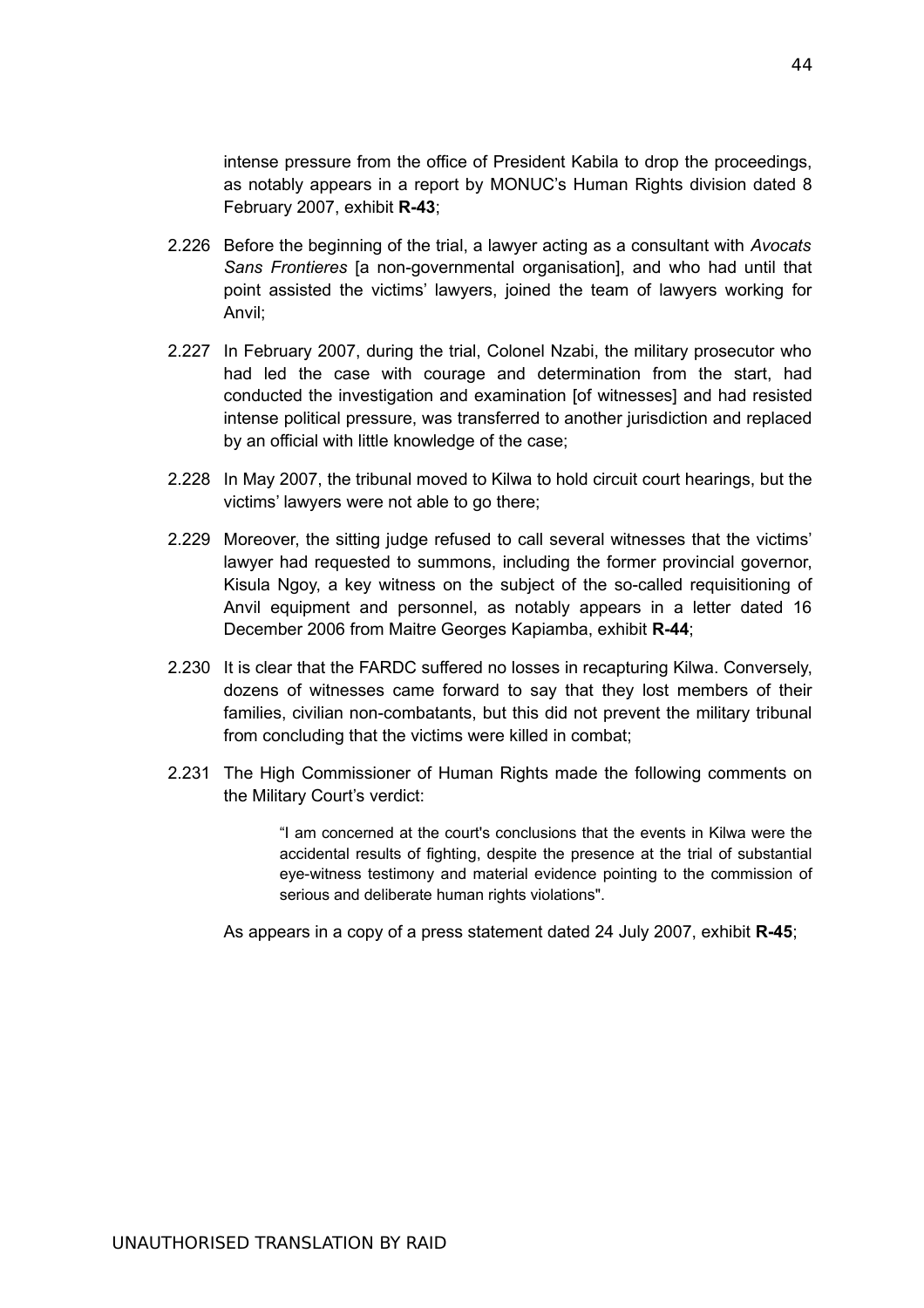intense pressure from the office of President Kabila to drop the proceedings, as notably appears in a report by MONUC's Human Rights division dated 8 February 2007, exhibit **R-43**;

- 2.226 Before the beginning of the trial, a lawyer acting as a consultant with *Avocats Sans Frontieres* [a non-governmental organisation], and who had until that point assisted the victims' lawyers, joined the team of lawyers working for Anvil;
- 2.227 In February 2007, during the trial, Colonel Nzabi, the military prosecutor who had led the case with courage and determination from the start, had conducted the investigation and examination [of witnesses] and had resisted intense political pressure, was transferred to another jurisdiction and replaced by an official with little knowledge of the case;
- 2.228 In May 2007, the tribunal moved to Kilwa to hold circuit court hearings, but the victims' lawyers were not able to go there;
- 2.229 Moreover, the sitting judge refused to call several witnesses that the victims' lawyer had requested to summons, including the former provincial governor, Kisula Ngoy, a key witness on the subject of the so-called requisitioning of Anvil equipment and personnel, as notably appears in a letter dated 16 December 2006 from Maitre Georges Kapiamba, exhibit **R-44**;
- 2.230 It is clear that the FARDC suffered no losses in recapturing Kilwa. Conversely, dozens of witnesses came forward to say that they lost members of their families, civilian non-combatants, but this did not prevent the military tribunal from concluding that the victims were killed in combat;
- 2.231 The High Commissioner of Human Rights made the following comments on the Military Court's verdict:

"I am concerned at the court's conclusions that the events in Kilwa were the accidental results of fighting, despite the presence at the trial of substantial eye-witness testimony and material evidence pointing to the commission of serious and deliberate human rights violations".

As appears in a copy of a press statement dated 24 July 2007, exhibit **R-45**;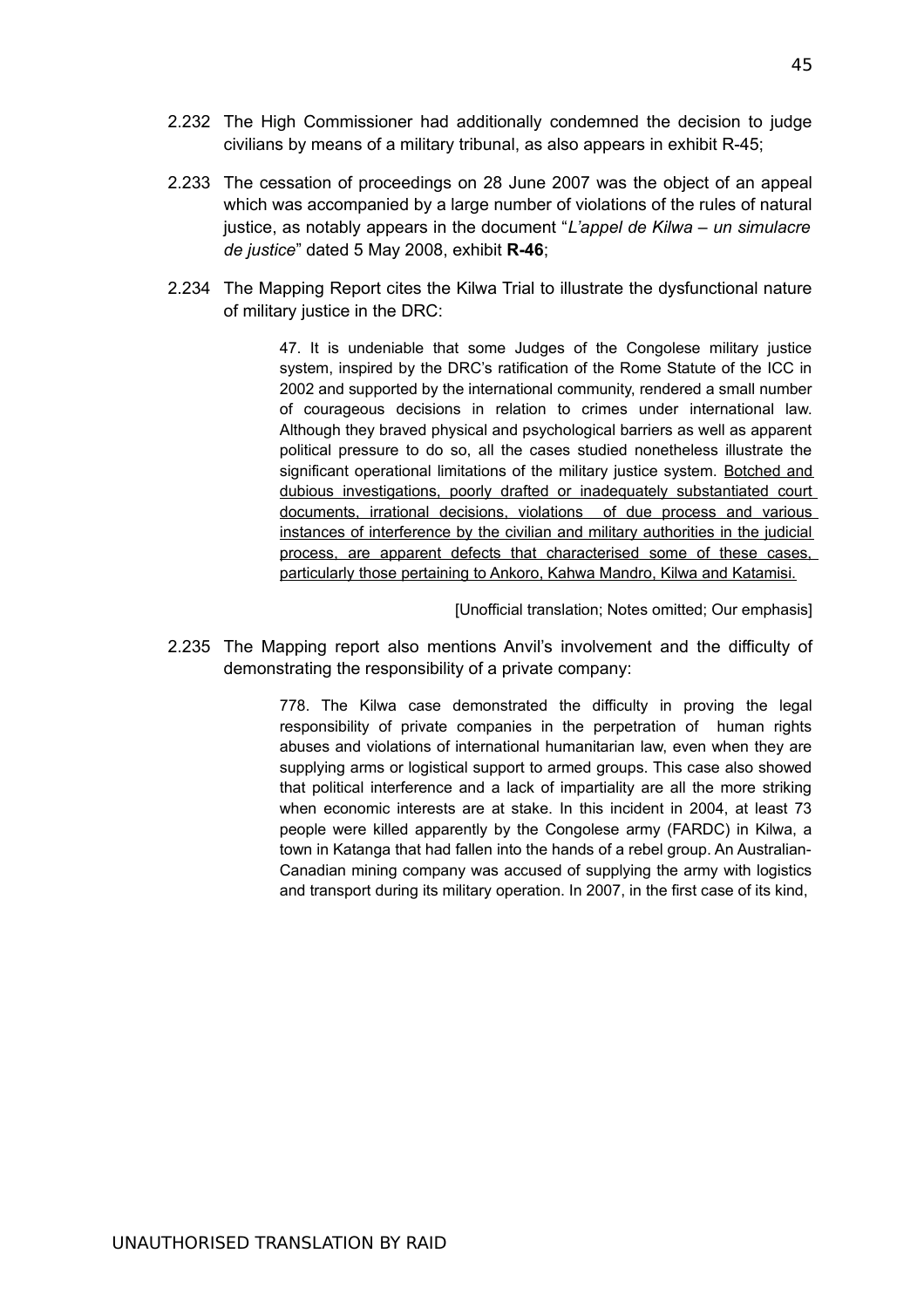- 2.232 The High Commissioner had additionally condemned the decision to judge civilians by means of a military tribunal, as also appears in exhibit R-45;
- 2.233 The cessation of proceedings on 28 June 2007 was the object of an appeal which was accompanied by a large number of violations of the rules of natural justice, as notably appears in the document "*L'appel de Kilwa – un simulacre de justice*" dated 5 May 2008, exhibit **R-46**;
- 2.234 The Mapping Report cites the Kilwa Trial to illustrate the dysfunctional nature of military justice in the DRC:

47. It is undeniable that some Judges of the Congolese military justice system, inspired by the DRC's ratification of the Rome Statute of the ICC in 2002 and supported by the international community, rendered a small number of courageous decisions in relation to crimes under international law. Although they braved physical and psychological barriers as well as apparent political pressure to do so, all the cases studied nonetheless illustrate the significant operational limitations of the military justice system. Botched and dubious investigations, poorly drafted or inadequately substantiated court documents, irrational decisions, violations of due process and various instances of interference by the civilian and military authorities in the judicial process, are apparent defects that characterised some of these cases, particularly those pertaining to Ankoro, Kahwa Mandro, Kilwa and Katamisi.

[Unofficial translation; Notes omitted; Our emphasis]

2.235 The Mapping report also mentions Anvil's involvement and the difficulty of demonstrating the responsibility of a private company:

> 778. The Kilwa case demonstrated the difficulty in proving the legal responsibility of private companies in the perpetration of human rights abuses and violations of international humanitarian law, even when they are supplying arms or logistical support to armed groups. This case also showed that political interference and a lack of impartiality are all the more striking when economic interests are at stake. In this incident in 2004, at least 73 people were killed apparently by the Congolese army (FARDC) in Kilwa, a town in Katanga that had fallen into the hands of a rebel group. An Australian-Canadian mining company was accused of supplying the army with logistics and transport during its military operation. In 2007, in the first case of its kind,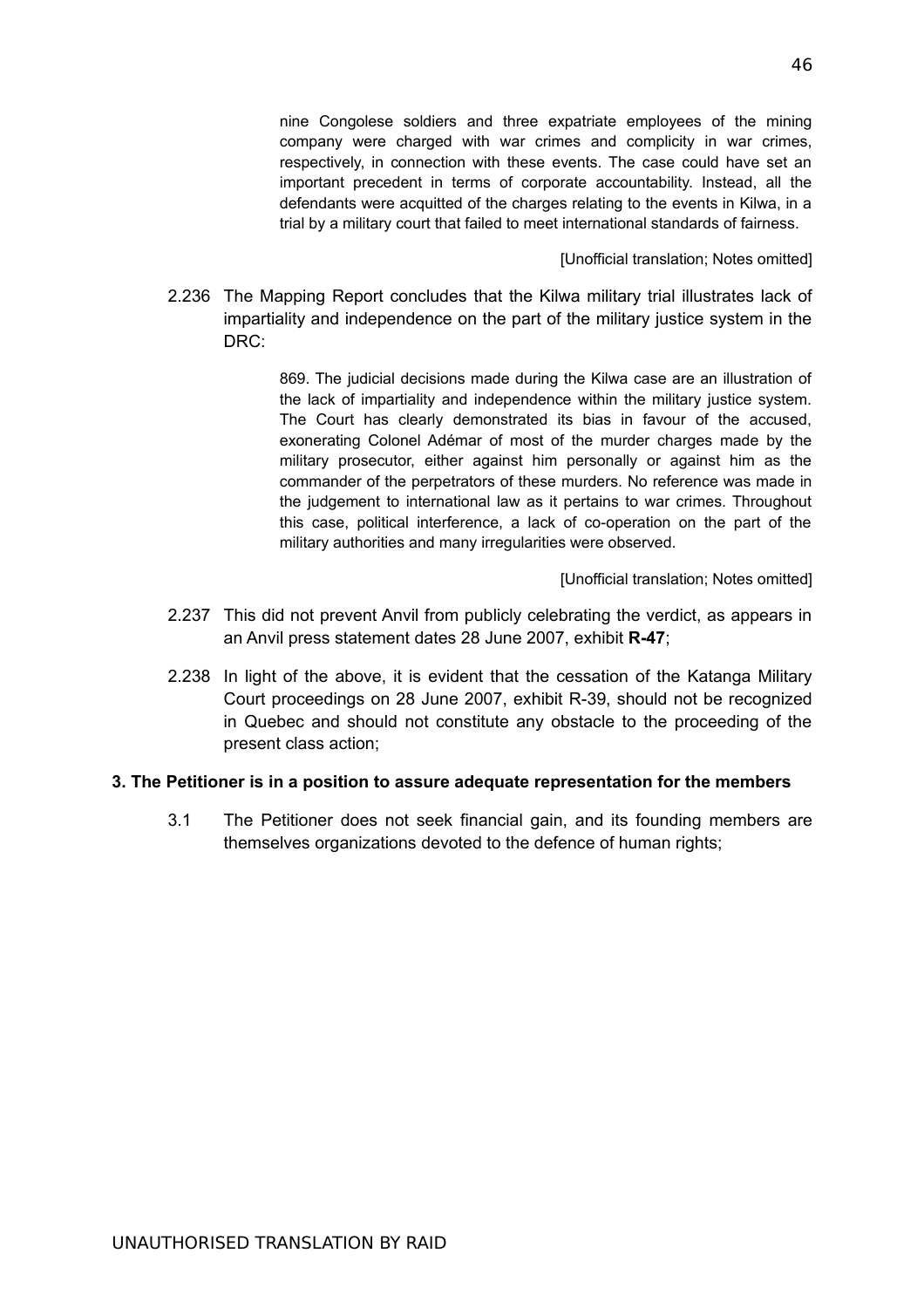nine Congolese soldiers and three expatriate employees of the mining company were charged with war crimes and complicity in war crimes, respectively, in connection with these events. The case could have set an important precedent in terms of corporate accountability. Instead, all the defendants were acquitted of the charges relating to the events in Kilwa, in a trial by a military court that failed to meet international standards of fairness.

[Unofficial translation; Notes omitted]

2.236 The Mapping Report concludes that the Kilwa military trial illustrates lack of impartiality and independence on the part of the military justice system in the DRC:

> 869. The judicial decisions made during the Kilwa case are an illustration of the lack of impartiality and independence within the military justice system. The Court has clearly demonstrated its bias in favour of the accused, exonerating Colonel Adémar of most of the murder charges made by the military prosecutor, either against him personally or against him as the commander of the perpetrators of these murders. No reference was made in the judgement to international law as it pertains to war crimes. Throughout this case, political interference, a lack of co-operation on the part of the military authorities and many irregularities were observed.

> > [Unofficial translation; Notes omitted]

- 2.237 This did not prevent Anvil from publicly celebrating the verdict, as appears in an Anvil press statement dates 28 June 2007, exhibit **R-47**;
- 2.238 In light of the above, it is evident that the cessation of the Katanga Military Court proceedings on 28 June 2007, exhibit R-39, should not be recognized in Quebec and should not constitute any obstacle to the proceeding of the present class action;

#### **3. The Petitioner is in a position to assure adequate representation for the members**

3.1 The Petitioner does not seek financial gain, and its founding members are themselves organizations devoted to the defence of human rights;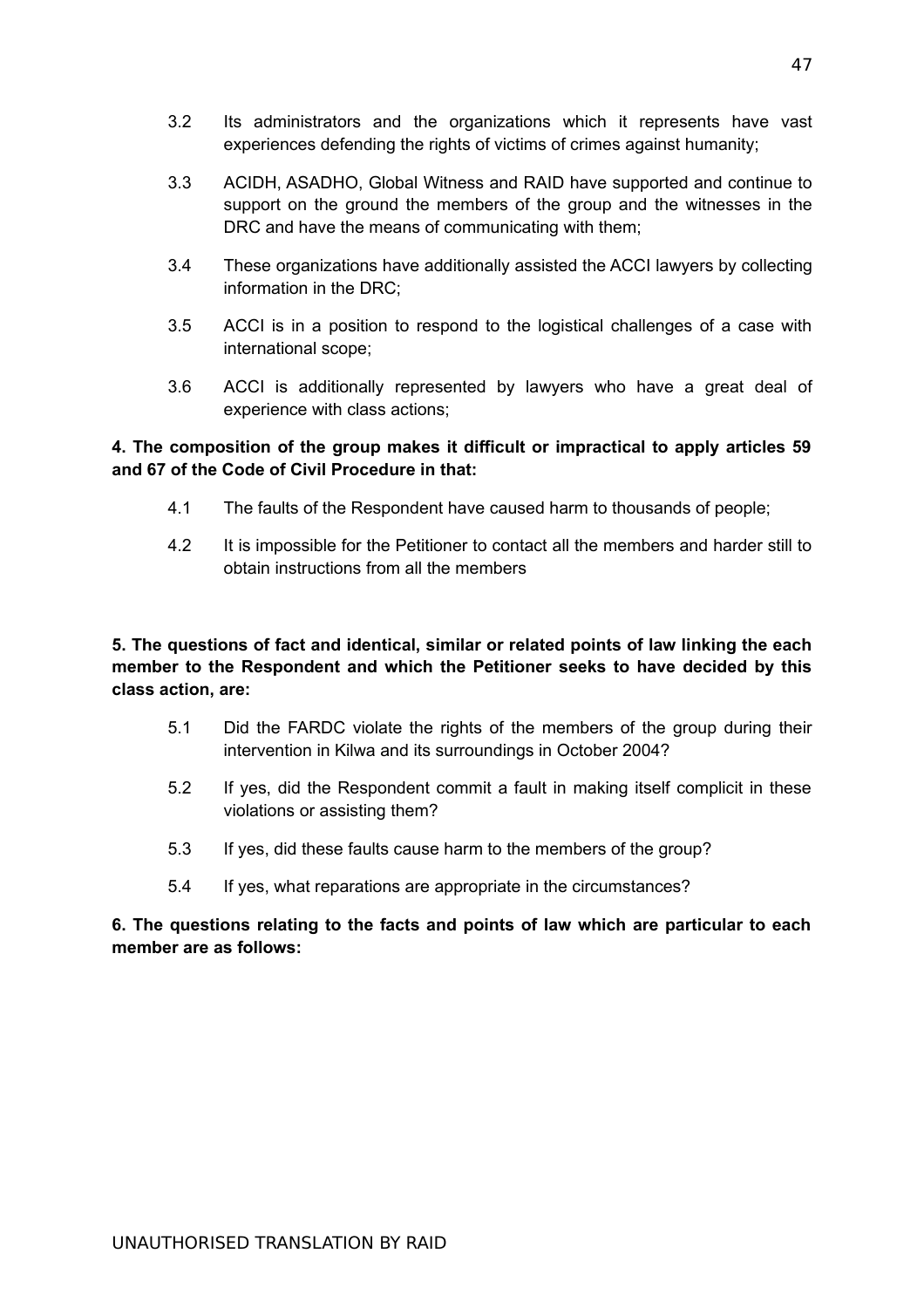- 3.3 ACIDH, ASADHO, Global Witness and RAID have supported and continue to support on the ground the members of the group and the witnesses in the DRC and have the means of communicating with them;
- 3.4 These organizations have additionally assisted the ACCI lawyers by collecting information in the DRC;
- 3.5 ACCI is in a position to respond to the logistical challenges of a case with international scope;
- 3.6 ACCI is additionally represented by lawyers who have a great deal of experience with class actions;

# **4. The composition of the group makes it difficult or impractical to apply articles 59 and 67 of the Code of Civil Procedure in that:**

- 4.1 The faults of the Respondent have caused harm to thousands of people;
- 4.2 It is impossible for the Petitioner to contact all the members and harder still to obtain instructions from all the members

**5. The questions of fact and identical, similar or related points of law linking the each member to the Respondent and which the Petitioner seeks to have decided by this class action, are:**

- 5.1 Did the FARDC violate the rights of the members of the group during their intervention in Kilwa and its surroundings in October 2004?
- 5.2 If yes, did the Respondent commit a fault in making itself complicit in these violations or assisting them?
- 5.3 If yes, did these faults cause harm to the members of the group?
- 5.4 If yes, what reparations are appropriate in the circumstances?

# **6. The questions relating to the facts and points of law which are particular to each member are as follows:**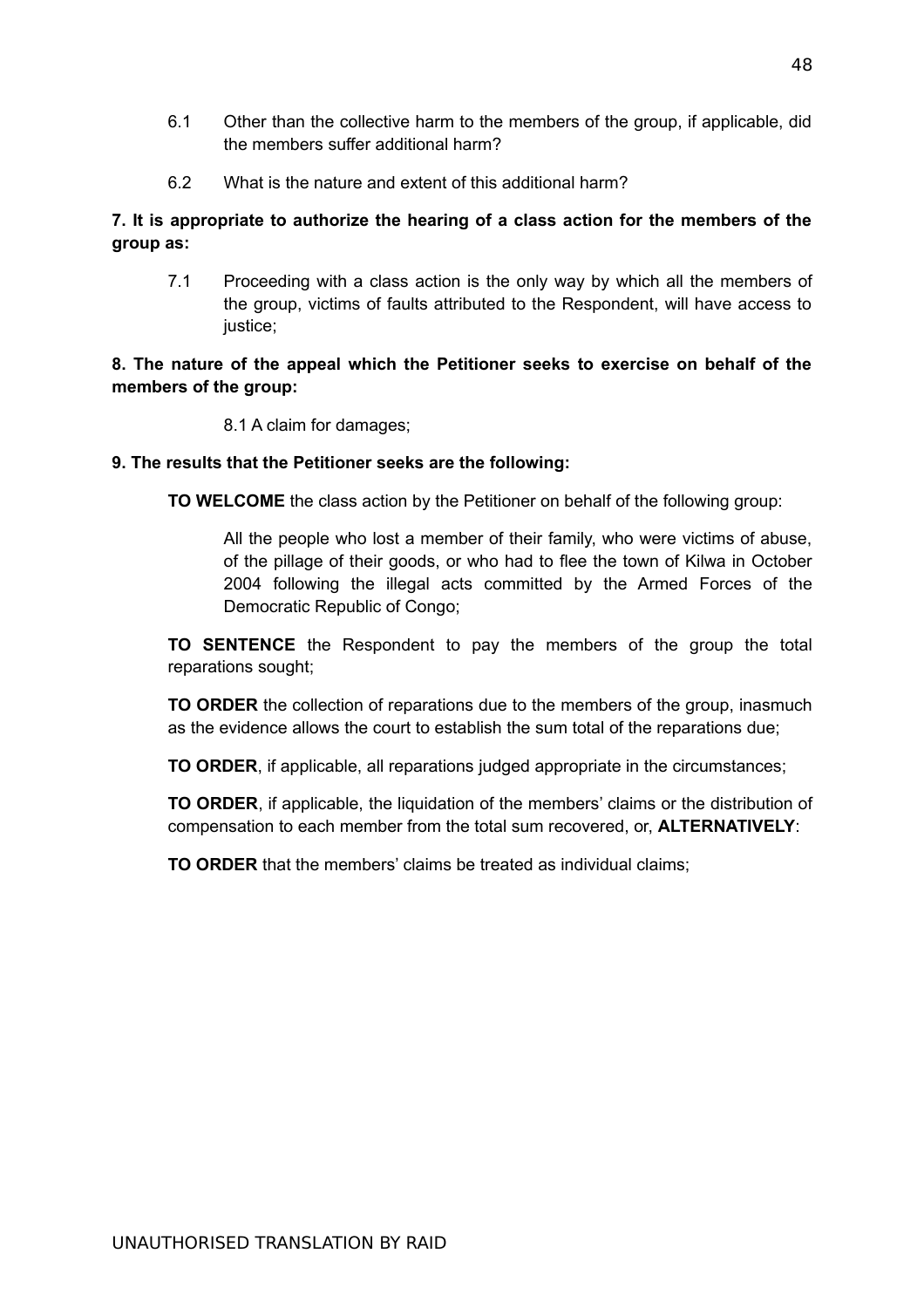- 6.1 Other than the collective harm to the members of the group, if applicable, did the members suffer additional harm?
- 6.2 What is the nature and extent of this additional harm?

# **7. It is appropriate to authorize the hearing of a class action for the members of the group as:**

7.1 Proceeding with a class action is the only way by which all the members of the group, victims of faults attributed to the Respondent, will have access to justice;

# **8. The nature of the appeal which the Petitioner seeks to exercise on behalf of the members of the group:**

8.1 A claim for damages;

# **9. The results that the Petitioner seeks are the following:**

**TO WELCOME** the class action by the Petitioner on behalf of the following group:

All the people who lost a member of their family, who were victims of abuse, of the pillage of their goods, or who had to flee the town of Kilwa in October 2004 following the illegal acts committed by the Armed Forces of the Democratic Republic of Congo;

**TO SENTENCE** the Respondent to pay the members of the group the total reparations sought;

**TO ORDER** the collection of reparations due to the members of the group, inasmuch as the evidence allows the court to establish the sum total of the reparations due;

**TO ORDER**, if applicable, all reparations judged appropriate in the circumstances;

**TO ORDER**, if applicable, the liquidation of the members' claims or the distribution of compensation to each member from the total sum recovered, or, **ALTERNATIVELY**:

**TO ORDER** that the members' claims be treated as individual claims: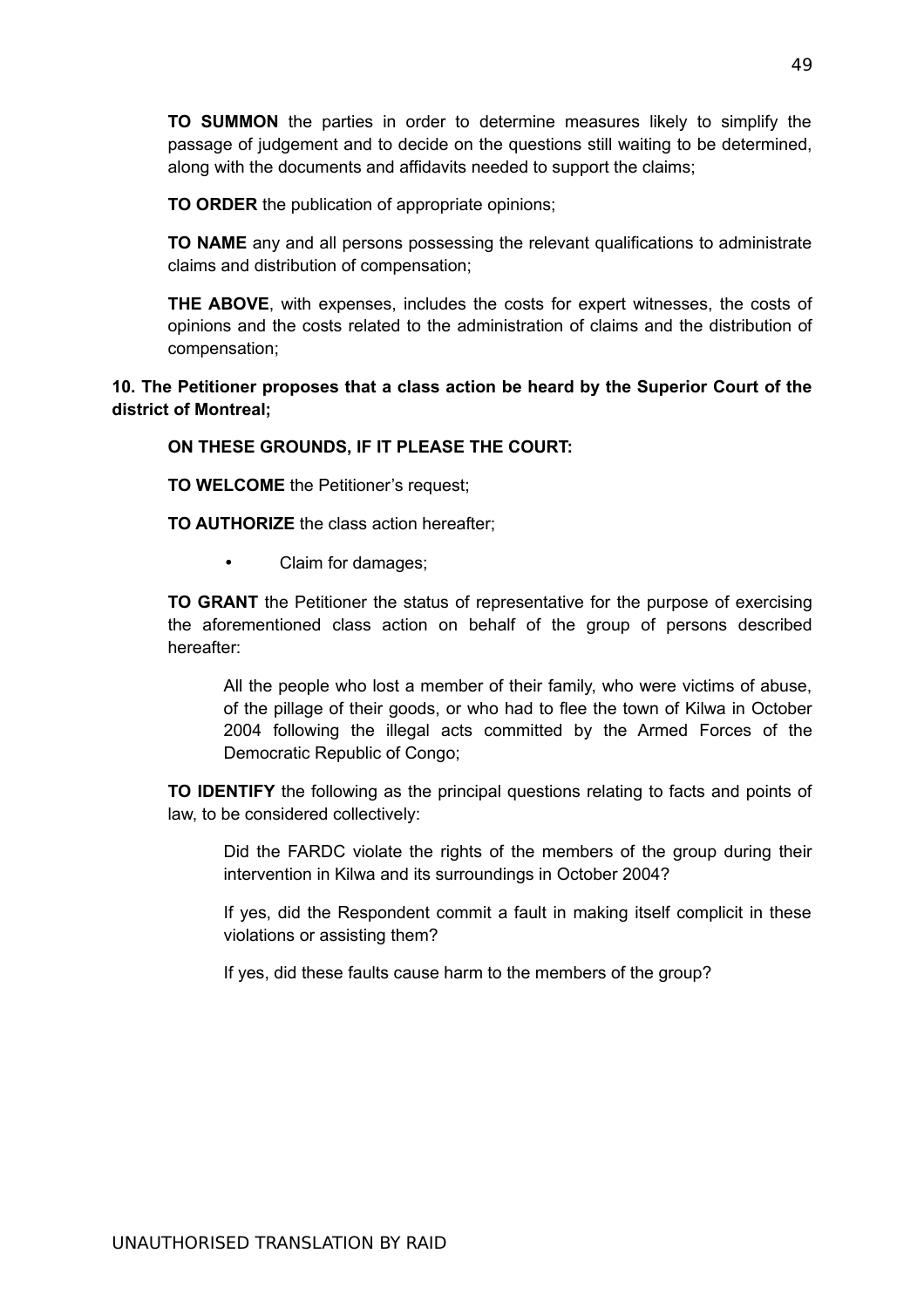**TO SUMMON** the parties in order to determine measures likely to simplify the passage of judgement and to decide on the questions still waiting to be determined, along with the documents and affidavits needed to support the claims;

**TO ORDER** the publication of appropriate opinions;

**TO NAME** any and all persons possessing the relevant qualifications to administrate claims and distribution of compensation;

**THE ABOVE**, with expenses, includes the costs for expert witnesses, the costs of opinions and the costs related to the administration of claims and the distribution of compensation;

# **10. The Petitioner proposes that a class action be heard by the Superior Court of the district of Montreal;**

# **ON THESE GROUNDS, IF IT PLEASE THE COURT:**

**TO WELCOME** the Petitioner's request;

**TO AUTHORIZE** the class action hereafter;

• Claim for damages;

**TO GRANT** the Petitioner the status of representative for the purpose of exercising the aforementioned class action on behalf of the group of persons described hereafter:

All the people who lost a member of their family, who were victims of abuse, of the pillage of their goods, or who had to flee the town of Kilwa in October 2004 following the illegal acts committed by the Armed Forces of the Democratic Republic of Congo;

**TO IDENTIFY** the following as the principal questions relating to facts and points of law, to be considered collectively:

Did the FARDC violate the rights of the members of the group during their intervention in Kilwa and its surroundings in October 2004?

If yes, did the Respondent commit a fault in making itself complicit in these violations or assisting them?

If yes, did these faults cause harm to the members of the group?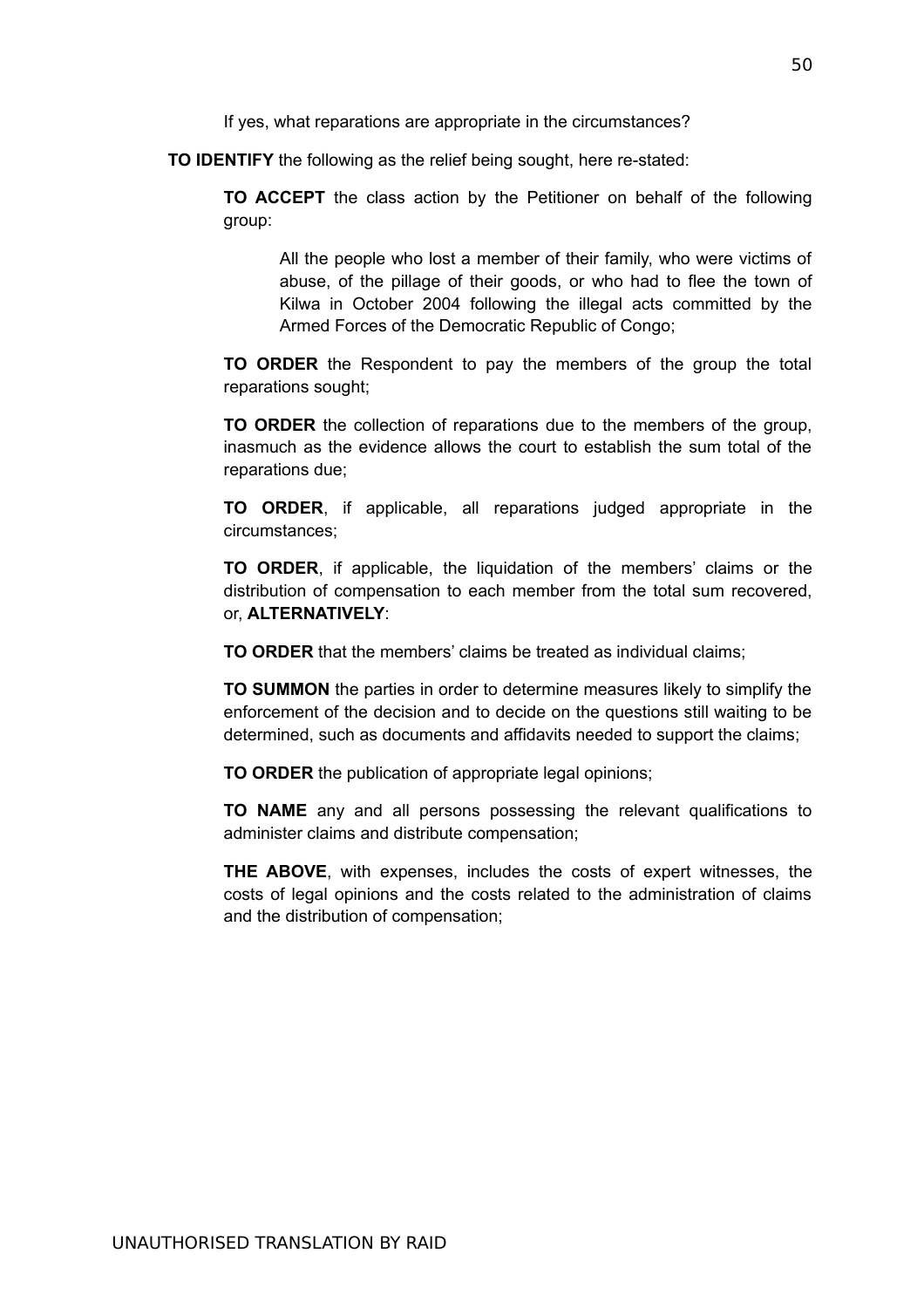If yes, what reparations are appropriate in the circumstances?

**TO IDENTIFY** the following as the relief being sought, here re-stated:

**TO ACCEPT** the class action by the Petitioner on behalf of the following group:

All the people who lost a member of their family, who were victims of abuse, of the pillage of their goods, or who had to flee the town of Kilwa in October 2004 following the illegal acts committed by the Armed Forces of the Democratic Republic of Congo;

**TO ORDER** the Respondent to pay the members of the group the total reparations sought;

**TO ORDER** the collection of reparations due to the members of the group, inasmuch as the evidence allows the court to establish the sum total of the reparations due;

**TO ORDER**, if applicable, all reparations judged appropriate in the circumstances;

**TO ORDER**, if applicable, the liquidation of the members' claims or the distribution of compensation to each member from the total sum recovered, or, **ALTERNATIVELY**:

**TO ORDER** that the members' claims be treated as individual claims;

**TO SUMMON** the parties in order to determine measures likely to simplify the enforcement of the decision and to decide on the questions still waiting to be determined, such as documents and affidavits needed to support the claims;

**TO ORDER** the publication of appropriate legal opinions;

**TO NAME** any and all persons possessing the relevant qualifications to administer claims and distribute compensation;

**THE ABOVE**, with expenses, includes the costs of expert witnesses, the costs of legal opinions and the costs related to the administration of claims and the distribution of compensation;